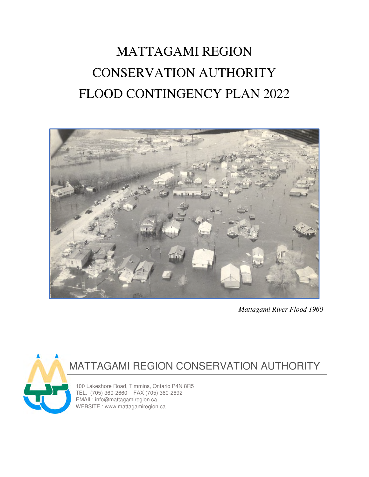# MATTAGAMI REGION CONSERVATION AUTHORITY FLOOD CONTINGENCY PLAN 2022



*Mattagami River Flood 1960* 



# MATTAGAMI REGION CONSERVATION AUTHORITY

100 Lakeshore Road, Timmins, Ontario P4N 8R5 TEL. (705) 360-2660 FAX (705) 360-2692 EMAIL: info@mattagamiregion.ca WEBSITE : www.mattagamiregion.ca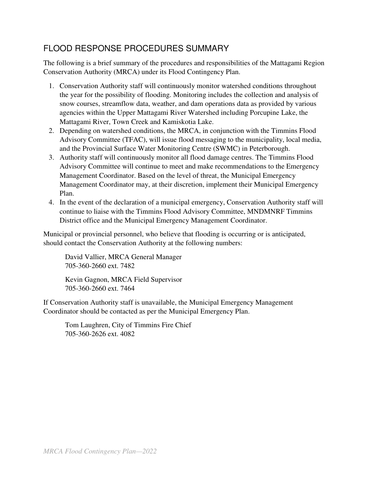# FLOOD RESPONSE PROCEDURES SUMMARY

The following is a brief summary of the procedures and responsibilities of the Mattagami Region Conservation Authority (MRCA) under its Flood Contingency Plan.

- 1. Conservation Authority staff will continuously monitor watershed conditions throughout the year for the possibility of flooding. Monitoring includes the collection and analysis of snow courses, streamflow data, weather, and dam operations data as provided by various agencies within the Upper Mattagami River Watershed including Porcupine Lake, the Mattagami River, Town Creek and Kamiskotia Lake.
- 2. Depending on watershed conditions, the MRCA, in conjunction with the Timmins Flood Advisory Committee (TFAC), will issue flood messaging to the municipality, local media, and the Provincial Surface Water Monitoring Centre (SWMC) in Peterborough.
- 3. Authority staff will continuously monitor all flood damage centres. The Timmins Flood Advisory Committee will continue to meet and make recommendations to the Emergency Management Coordinator. Based on the level of threat, the Municipal Emergency Management Coordinator may, at their discretion, implement their Municipal Emergency Plan.
- 4. In the event of the declaration of a municipal emergency, Conservation Authority staff will continue to liaise with the Timmins Flood Advisory Committee, MNDMNRF Timmins District office and the Municipal Emergency Management Coordinator.

Municipal or provincial personnel, who believe that flooding is occurring or is anticipated, should contact the Conservation Authority at the following numbers:

David Vallier, MRCA General Manager 705-360-2660 ext. 7482

Kevin Gagnon, MRCA Field Supervisor 705-360-2660 ext. 7464

If Conservation Authority staff is unavailable, the Municipal Emergency Management Coordinator should be contacted as per the Municipal Emergency Plan.

Tom Laughren, City of Timmins Fire Chief 705-360-2626 ext. 4082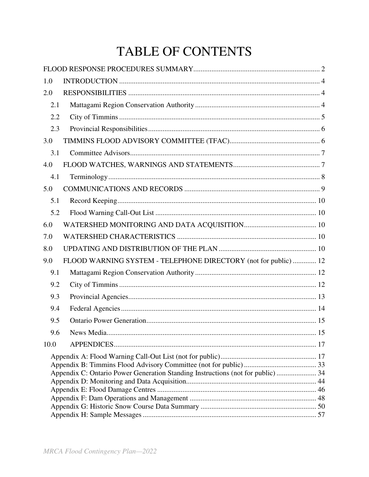# TABLE OF CONTENTS

| 1.0  |                                                                                 |    |
|------|---------------------------------------------------------------------------------|----|
| 2.0  |                                                                                 |    |
| 2.1  |                                                                                 |    |
| 2.2  |                                                                                 |    |
| 2.3  |                                                                                 |    |
| 3.0  |                                                                                 |    |
| 3.1  |                                                                                 |    |
| 4.0  |                                                                                 |    |
| 4.1  |                                                                                 |    |
| 5.0  |                                                                                 |    |
| 5.1  |                                                                                 |    |
| 5.2  |                                                                                 |    |
| 6.0  |                                                                                 |    |
| 7.0  |                                                                                 |    |
| 8.0  |                                                                                 |    |
| 9.0  | FLOOD WARNING SYSTEM - TELEPHONE DIRECTORY (not for public)  12                 |    |
| 9.1  |                                                                                 |    |
| 9.2  |                                                                                 |    |
| 9.3  |                                                                                 |    |
| 9.4  |                                                                                 |    |
| 9.5  |                                                                                 |    |
| 9.6  | News Media                                                                      | 15 |
| 10.0 |                                                                                 |    |
|      |                                                                                 |    |
|      |                                                                                 |    |
|      | Appendix C: Ontario Power Generation Standing Instructions (not for public)  34 |    |
|      |                                                                                 |    |
|      |                                                                                 |    |
|      |                                                                                 |    |
|      |                                                                                 |    |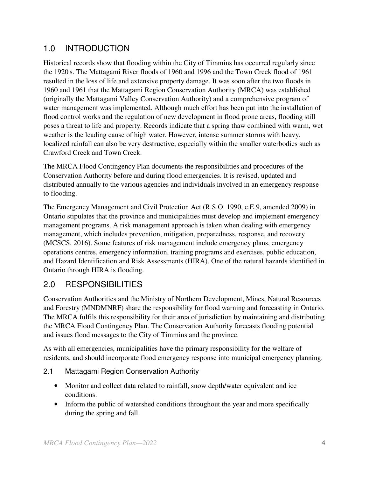# 1.0 INTRODUCTION

Historical records show that flooding within the City of Timmins has occurred regularly since the 1920's. The Mattagami River floods of 1960 and 1996 and the Town Creek flood of 1961 resulted in the loss of life and extensive property damage. It was soon after the two floods in 1960 and 1961 that the Mattagami Region Conservation Authority (MRCA) was established (originally the Mattagami Valley Conservation Authority) and a comprehensive program of water management was implemented. Although much effort has been put into the installation of flood control works and the regulation of new development in flood prone areas, flooding still poses a threat to life and property. Records indicate that a spring thaw combined with warm, wet weather is the leading cause of high water. However, intense summer storms with heavy, localized rainfall can also be very destructive, especially within the smaller waterbodies such as Crawford Creek and Town Creek.

The MRCA Flood Contingency Plan documents the responsibilities and procedures of the Conservation Authority before and during flood emergencies. It is revised, updated and distributed annually to the various agencies and individuals involved in an emergency response to flooding.

The Emergency Management and Civil Protection Act (R.S.O. 1990, c.E.9, amended 2009) in Ontario stipulates that the province and municipalities must develop and implement emergency management programs. A risk management approach is taken when dealing with emergency management, which includes prevention, mitigation, preparedness, response, and recovery (MCSCS, 2016). Some features of risk management include emergency plans, emergency operations centres, emergency information, training programs and exercises, public education, and Hazard Identification and Risk Assessments (HIRA). One of the natural hazards identified in Ontario through HIRA is flooding.

# 2.0 RESPONSIBILITIES

Conservation Authorities and the Ministry of Northern Development, Mines, Natural Resources and Forestry (MNDMNRF) share the responsibility for flood warning and forecasting in Ontario. The MRCA fulfils this responsibility for their area of jurisdiction by maintaining and distributing the MRCA Flood Contingency Plan. The Conservation Authority forecasts flooding potential and issues flood messages to the City of Timmins and the province.

As with all emergencies, municipalities have the primary responsibility for the welfare of residents, and should incorporate flood emergency response into municipal emergency planning.

# 2.1 Mattagami Region Conservation Authority

- Monitor and collect data related to rainfall, snow depth/water equivalent and ice conditions.
- Inform the public of watershed conditions throughout the year and more specifically during the spring and fall.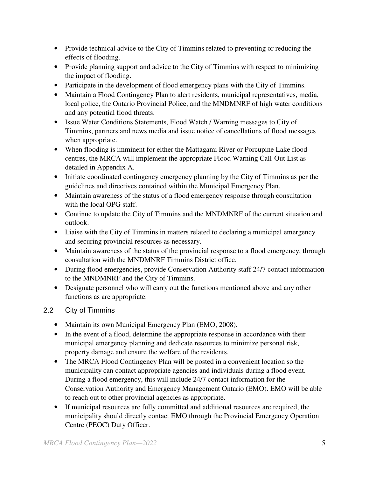- Provide technical advice to the City of Timmins related to preventing or reducing the effects of flooding.
- Provide planning support and advice to the City of Timmins with respect to minimizing the impact of flooding.
- Participate in the development of flood emergency plans with the City of Timmins.
- Maintain a Flood Contingency Plan to alert residents, municipal representatives, media, local police, the Ontario Provincial Police, and the MNDMNRF of high water conditions and any potential flood threats.
- Issue Water Conditions Statements, Flood Watch / Warning messages to City of Timmins, partners and news media and issue notice of cancellations of flood messages when appropriate.
- When flooding is imminent for either the Mattagami River or Porcupine Lake flood centres, the MRCA will implement the appropriate Flood Warning Call-Out List as detailed in Appendix A.
- Initiate coordinated contingency emergency planning by the City of Timmins as per the guidelines and directives contained within the Municipal Emergency Plan.
- Maintain awareness of the status of a flood emergency response through consultation with the local OPG staff.
- Continue to update the City of Timmins and the MNDMNRF of the current situation and outlook.
- Liaise with the City of Timmins in matters related to declaring a municipal emergency and securing provincial resources as necessary.
- Maintain awareness of the status of the provincial response to a flood emergency, through consultation with the MNDMNRF Timmins District office.
- During flood emergencies, provide Conservation Authority staff 24/7 contact information to the MNDMNRF and the City of Timmins.
- Designate personnel who will carry out the functions mentioned above and any other functions as are appropriate.

# 2.2 City of Timmins

- Maintain its own Municipal Emergency Plan (EMO, 2008).
- In the event of a flood, determine the appropriate response in accordance with their municipal emergency planning and dedicate resources to minimize personal risk, property damage and ensure the welfare of the residents.
- The MRCA Flood Contingency Plan will be posted in a convenient location so the municipality can contact appropriate agencies and individuals during a flood event. During a flood emergency, this will include 24/7 contact information for the Conservation Authority and Emergency Management Ontario (EMO). EMO will be able to reach out to other provincial agencies as appropriate.
- If municipal resources are fully committed and additional resources are required, the municipality should directly contact EMO through the Provincial Emergency Operation Centre (PEOC) Duty Officer.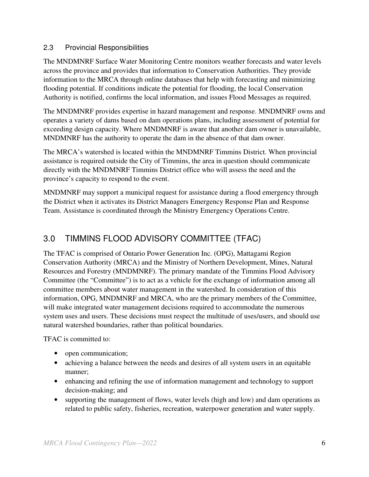#### 2.3 Provincial Responsibilities

The MNDMNRF Surface Water Monitoring Centre monitors weather forecasts and water levels across the province and provides that information to Conservation Authorities. They provide information to the MRCA through online databases that help with forecasting and minimizing flooding potential. If conditions indicate the potential for flooding, the local Conservation Authority is notified, confirms the local information, and issues Flood Messages as required.

The MNDMNRF provides expertise in hazard management and response. MNDMNRF owns and operates a variety of dams based on dam operations plans, including assessment of potential for exceeding design capacity. Where MNDMNRF is aware that another dam owner is unavailable, MNDMNRF has the authority to operate the dam in the absence of that dam owner.

The MRCA's watershed is located within the MNDMNRF Timmins District. When provincial assistance is required outside the City of Timmins, the area in question should communicate directly with the MNDMNRF Timmins District office who will assess the need and the province's capacity to respond to the event.

MNDMNRF may support a municipal request for assistance during a flood emergency through the District when it activates its District Managers Emergency Response Plan and Response Team. Assistance is coordinated through the Ministry Emergency Operations Centre.

# 3.0 TIMMINS FLOOD ADVISORY COMMITTEE (TFAC)

The TFAC is comprised of Ontario Power Generation Inc. (OPG), Mattagami Region Conservation Authority (MRCA) and the Ministry of Northern Development, Mines, Natural Resources and Forestry (MNDMNRF). The primary mandate of the Timmins Flood Advisory Committee (the "Committee") is to act as a vehicle for the exchange of information among all committee members about water management in the watershed. In consideration of this information, OPG, MNDMNRF and MRCA, who are the primary members of the Committee, will make integrated water management decisions required to accommodate the numerous system uses and users. These decisions must respect the multitude of uses/users, and should use natural watershed boundaries, rather than political boundaries.

TFAC is committed to:

- open communication;
- achieving a balance between the needs and desires of all system users in an equitable manner;
- enhancing and refining the use of information management and technology to support decision-making; and
- supporting the management of flows, water levels (high and low) and dam operations as related to public safety, fisheries, recreation, waterpower generation and water supply.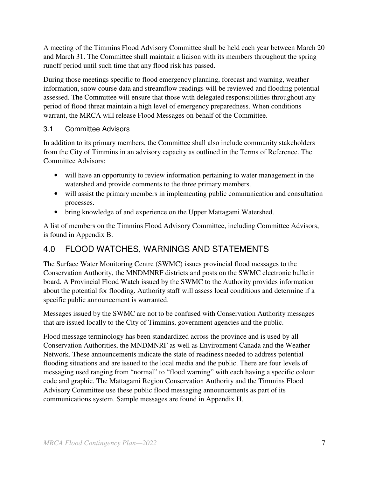A meeting of the Timmins Flood Advisory Committee shall be held each year between March 20 and March 31. The Committee shall maintain a liaison with its members throughout the spring runoff period until such time that any flood risk has passed.

During those meetings specific to flood emergency planning, forecast and warning, weather information, snow course data and streamflow readings will be reviewed and flooding potential assessed. The Committee will ensure that those with delegated responsibilities throughout any period of flood threat maintain a high level of emergency preparedness. When conditions warrant, the MRCA will release Flood Messages on behalf of the Committee.

### 3.1 Committee Advisors

In addition to its primary members, the Committee shall also include community stakeholders from the City of Timmins in an advisory capacity as outlined in the Terms of Reference. The Committee Advisors:

- will have an opportunity to review information pertaining to water management in the watershed and provide comments to the three primary members.
- will assist the primary members in implementing public communication and consultation processes.
- bring knowledge of and experience on the Upper Mattagami Watershed.

A list of members on the Timmins Flood Advisory Committee, including Committee Advisors, is found in Appendix B.

# 4.0 FLOOD WATCHES, WARNINGS AND STATEMENTS

The Surface Water Monitoring Centre (SWMC) issues provincial flood messages to the Conservation Authority, the MNDMNRF districts and posts on the SWMC electronic bulletin board. A Provincial Flood Watch issued by the SWMC to the Authority provides information about the potential for flooding. Authority staff will assess local conditions and determine if a specific public announcement is warranted.

Messages issued by the SWMC are not to be confused with Conservation Authority messages that are issued locally to the City of Timmins, government agencies and the public.

Flood message terminology has been standardized across the province and is used by all Conservation Authorities, the MNDMNRF as well as Environment Canada and the Weather Network. These announcements indicate the state of readiness needed to address potential flooding situations and are issued to the local media and the public. There are four levels of messaging used ranging from "normal" to "flood warning" with each having a specific colour code and graphic. The Mattagami Region Conservation Authority and the Timmins Flood Advisory Committee use these public flood messaging announcements as part of its communications system. Sample messages are found in Appendix H.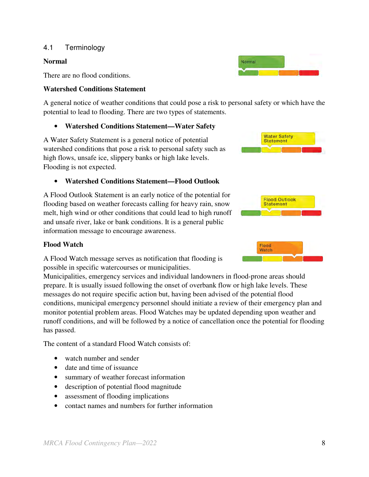#### 4.1 Terminology

#### **Normal**

There are no flood conditions.

#### **Watershed Conditions Statement**

A general notice of weather conditions that could pose a risk to personal safety or which have the potential to lead to flooding. There are two types of statements.

#### • **Watershed Conditions Statement—Water Safety**

A Water Safety Statement is a general notice of potential watershed conditions that pose a risk to personal safety such as high flows, unsafe ice, slippery banks or high lake levels. Flooding is not expected.

#### • **Watershed Conditions Statement—Flood Outlook**

A Flood Outlook Statement is an early notice of the potential for flooding based on weather forecasts calling for heavy rain, snow melt, high wind or other conditions that could lead to high runoff and unsafe river, lake or bank conditions. It is a general public information message to encourage awareness.

#### **Flood Watch**

A Flood Watch message serves as notification that flooding is possible in specific watercourses or municipalities.

Municipalities, emergency services and individual landowners in flood-prone areas should prepare. It is usually issued following the onset of overbank flow or high lake levels. These messages do not require specific action but, having been advised of the potential flood conditions, municipal emergency personnel should initiate a review of their emergency plan and monitor potential problem areas. Flood Watches may be updated depending upon weather and runoff conditions, and will be followed by a notice of cancellation once the potential for flooding has passed.

The content of a standard Flood Watch consists of:

- watch number and sender
- date and time of issuance
- summary of weather forecast information
- description of potential flood magnitude
- assessment of flooding implications
- contact names and numbers for further information





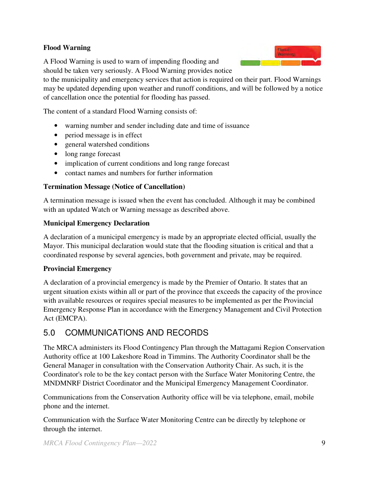#### **Flood Warning**

A Flood Warning is used to warn of impending flooding and should be taken very seriously. A Flood Warning provides notice

to the municipality and emergency services that action is required on their part. Flood Warnings may be updated depending upon weather and runoff conditions, and will be followed by a notice of cancellation once the potential for flooding has passed.

The content of a standard Flood Warning consists of:

- warning number and sender including date and time of issuance
- period message is in effect
- general watershed conditions
- long range forecast
- implication of current conditions and long range forecast
- contact names and numbers for further information

#### **Termination Message (Notice of Cancellation)**

A termination message is issued when the event has concluded. Although it may be combined with an updated Watch or Warning message as described above.

#### **Municipal Emergency Declaration**

A declaration of a municipal emergency is made by an appropriate elected official, usually the Mayor. This municipal declaration would state that the flooding situation is critical and that a coordinated response by several agencies, both government and private, may be required.

#### **Provincial Emergency**

A declaration of a provincial emergency is made by the Premier of Ontario. It states that an urgent situation exists within all or part of the province that exceeds the capacity of the province with available resources or requires special measures to be implemented as per the Provincial Emergency Response Plan in accordance with the Emergency Management and Civil Protection Act (EMCPA).

# 5.0 COMMUNICATIONS AND RECORDS

The MRCA administers its Flood Contingency Plan through the Mattagami Region Conservation Authority office at 100 Lakeshore Road in Timmins. The Authority Coordinator shall be the General Manager in consultation with the Conservation Authority Chair. As such, it is the Coordinator's role to be the key contact person with the Surface Water Monitoring Centre, the MNDMNRF District Coordinator and the Municipal Emergency Management Coordinator.

Communications from the Conservation Authority office will be via telephone, email, mobile phone and the internet.

Communication with the Surface Water Monitoring Centre can be directly by telephone or through the internet.

Flood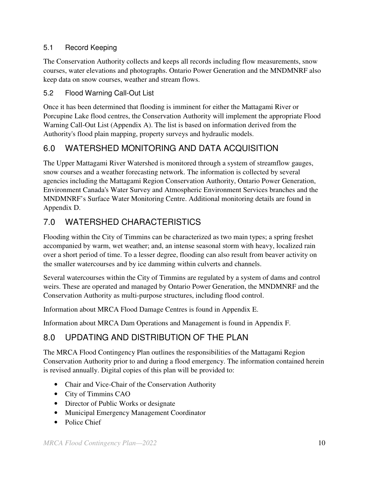# 5.1 Record Keeping

The Conservation Authority collects and keeps all records including flow measurements, snow courses, water elevations and photographs. Ontario Power Generation and the MNDMNRF also keep data on snow courses, weather and stream flows.

## 5.2 Flood Warning Call-Out List

Once it has been determined that flooding is imminent for either the Mattagami River or Porcupine Lake flood centres, the Conservation Authority will implement the appropriate Flood Warning Call-Out List (Appendix A). The list is based on information derived from the Authority's flood plain mapping, property surveys and hydraulic models.

# 6.0 WATERSHED MONITORING AND DATA ACQUISITION

The Upper Mattagami River Watershed is monitored through a system of streamflow gauges, snow courses and a weather forecasting network. The information is collected by several agencies including the Mattagami Region Conservation Authority, Ontario Power Generation, Environment Canada's Water Survey and Atmospheric Environment Services branches and the MNDMNRF's Surface Water Monitoring Centre. Additional monitoring details are found in Appendix D.

# 7.0 WATERSHED CHARACTERISTICS

Flooding within the City of Timmins can be characterized as two main types; a spring freshet accompanied by warm, wet weather; and, an intense seasonal storm with heavy, localized rain over a short period of time. To a lesser degree, flooding can also result from beaver activity on the smaller watercourses and by ice damming within culverts and channels.

Several watercourses within the City of Timmins are regulated by a system of dams and control weirs. These are operated and managed by Ontario Power Generation, the MNDMNRF and the Conservation Authority as multi-purpose structures, including flood control.

Information about MRCA Flood Damage Centres is found in Appendix E.

Information about MRCA Dam Operations and Management is found in Appendix F.

# 8.0 UPDATING AND DISTRIBUTION OF THE PLAN

The MRCA Flood Contingency Plan outlines the responsibilities of the Mattagami Region Conservation Authority prior to and during a flood emergency. The information contained herein is revised annually. Digital copies of this plan will be provided to:

- Chair and Vice-Chair of the Conservation Authority
- City of Timmins CAO
- Director of Public Works or designate
- Municipal Emergency Management Coordinator
- Police Chief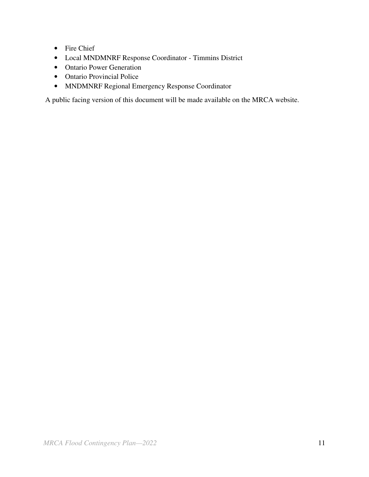- Fire Chief
- Local MNDMNRF Response Coordinator Timmins District
- Ontario Power Generation
- Ontario Provincial Police
- MNDMNRF Regional Emergency Response Coordinator

A public facing version of this document will be made available on the MRCA website.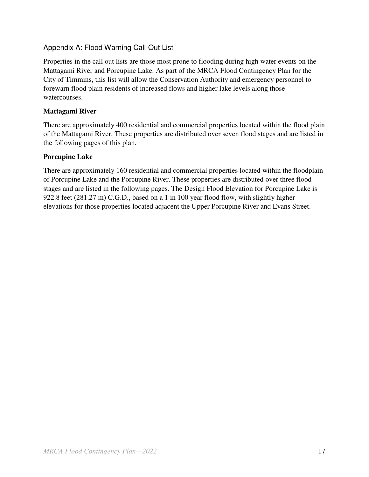# Appendix A: Flood Warning Call-Out List

Properties in the call out lists are those most prone to flooding during high water events on the Mattagami River and Porcupine Lake. As part of the MRCA Flood Contingency Plan for the City of Timmins, this list will allow the Conservation Authority and emergency personnel to forewarn flood plain residents of increased flows and higher lake levels along those watercourses.

#### **Mattagami River**

There are approximately 400 residential and commercial properties located within the flood plain of the Mattagami River. These properties are distributed over seven flood stages and are listed in the following pages of this plan.

#### **Porcupine Lake**

There are approximately 160 residential and commercial properties located within the floodplain of Porcupine Lake and the Porcupine River. These properties are distributed over three flood stages and are listed in the following pages. The Design Flood Elevation for Porcupine Lake is 922.8 feet (281.27 m) C.G.D., based on a 1 in 100 year flood flow, with slightly higher elevations for those properties located adjacent the Upper Porcupine River and Evans Street.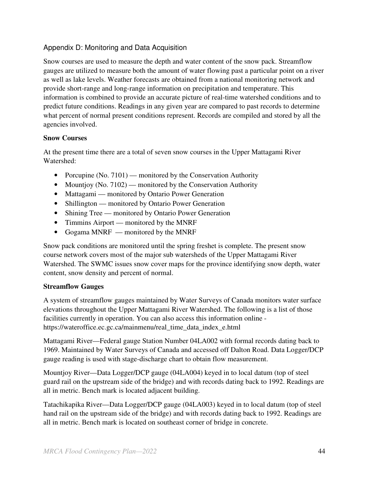# Appendix D: Monitoring and Data Acquisition

Snow courses are used to measure the depth and water content of the snow pack. Streamflow gauges are utilized to measure both the amount of water flowing past a particular point on a river as well as lake levels. Weather forecasts are obtained from a national monitoring network and provide short-range and long-range information on precipitation and temperature. This information is combined to provide an accurate picture of real-time watershed conditions and to predict future conditions. Readings in any given year are compared to past records to determine what percent of normal present conditions represent. Records are compiled and stored by all the agencies involved.

#### **Snow Courses**

At the present time there are a total of seven snow courses in the Upper Mattagami River Watershed:

- Porcupine (No. 7101) monitored by the Conservation Authority
- Mountjoy (No. 7102) monitored by the Conservation Authority
- Mattagami monitored by Ontario Power Generation
- Shillington monitored by Ontario Power Generation
- Shining Tree monitored by Ontario Power Generation
- Timmins Airport monitored by the MNRF
- Gogama MNRF monitored by the MNRF

Snow pack conditions are monitored until the spring freshet is complete. The present snow course network covers most of the major sub watersheds of the Upper Mattagami River Watershed. The SWMC issues snow cover maps for the province identifying snow depth, water content, snow density and percent of normal.

#### **Streamflow Gauges**

A system of streamflow gauges maintained by Water Surveys of Canada monitors water surface elevations throughout the Upper Mattagami River Watershed. The following is a list of those facilities currently in operation. You can also access this information online https://wateroffice.ec.gc.ca/mainmenu/real\_time\_data\_index\_e.html

Mattagami River—Federal gauge Station Number 04LA002 with formal records dating back to 1969. Maintained by Water Surveys of Canada and accessed off Dalton Road. Data Logger/DCP gauge reading is used with stage-discharge chart to obtain flow measurement.

Mountjoy River—Data Logger/DCP gauge (04LA004) keyed in to local datum (top of steel guard rail on the upstream side of the bridge) and with records dating back to 1992. Readings are all in metric. Bench mark is located adjacent building.

Tatachikapika River—Data Logger/DCP gauge (04LA003) keyed in to local datum (top of steel hand rail on the upstream side of the bridge) and with records dating back to 1992. Readings are all in metric. Bench mark is located on southeast corner of bridge in concrete.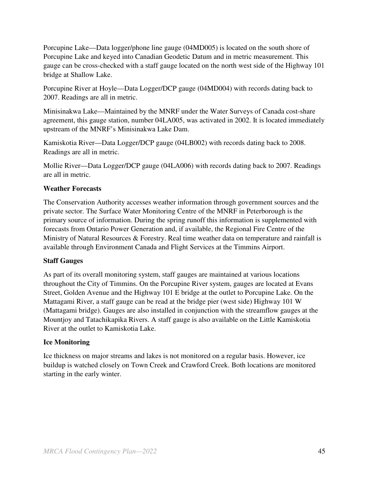Porcupine Lake—Data logger/phone line gauge (04MD005) is located on the south shore of Porcupine Lake and keyed into Canadian Geodetic Datum and in metric measurement. This gauge can be cross-checked with a staff gauge located on the north west side of the Highway 101 bridge at Shallow Lake.

Porcupine River at Hoyle—Data Logger/DCP gauge (04MD004) with records dating back to 2007. Readings are all in metric.

Minisinakwa Lake—Maintained by the MNRF under the Water Surveys of Canada cost-share agreement, this gauge station, number 04LA005, was activated in 2002. It is located immediately upstream of the MNRF's Minisinakwa Lake Dam.

Kamiskotia River—Data Logger/DCP gauge (04LB002) with records dating back to 2008. Readings are all in metric.

Mollie River—Data Logger/DCP gauge (04LA006) with records dating back to 2007. Readings are all in metric.

#### **Weather Forecasts**

The Conservation Authority accesses weather information through government sources and the private sector. The Surface Water Monitoring Centre of the MNRF in Peterborough is the primary source of information. During the spring runoff this information is supplemented with forecasts from Ontario Power Generation and, if available, the Regional Fire Centre of the Ministry of Natural Resources & Forestry. Real time weather data on temperature and rainfall is available through Environment Canada and Flight Services at the Timmins Airport.

#### **Staff Gauges**

As part of its overall monitoring system, staff gauges are maintained at various locations throughout the City of Timmins. On the Porcupine River system, gauges are located at Evans Street, Golden Avenue and the Highway 101 E bridge at the outlet to Porcupine Lake. On the Mattagami River, a staff gauge can be read at the bridge pier (west side) Highway 101 W (Mattagami bridge). Gauges are also installed in conjunction with the streamflow gauges at the Mountjoy and Tatachikapika Rivers. A staff gauge is also available on the Little Kamiskotia River at the outlet to Kamiskotia Lake.

#### **Ice Monitoring**

Ice thickness on major streams and lakes is not monitored on a regular basis. However, ice buildup is watched closely on Town Creek and Crawford Creek. Both locations are monitored starting in the early winter.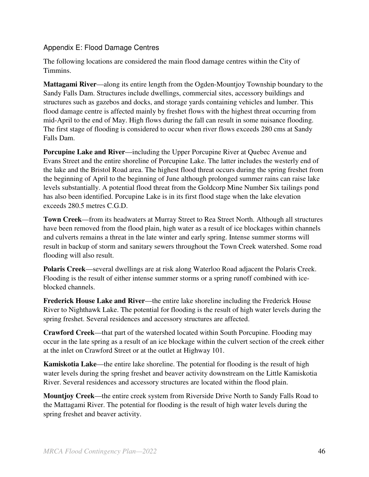### Appendix E: Flood Damage Centres

The following locations are considered the main flood damage centres within the City of Timmins.

**Mattagami River**—along its entire length from the Ogden-Mountjoy Township boundary to the Sandy Falls Dam. Structures include dwellings, commercial sites, accessory buildings and structures such as gazebos and docks, and storage yards containing vehicles and lumber. This flood damage centre is affected mainly by freshet flows with the highest threat occurring from mid-April to the end of May. High flows during the fall can result in some nuisance flooding. The first stage of flooding is considered to occur when river flows exceeds 280 cms at Sandy Falls Dam.

**Porcupine Lake and River—including the Upper Porcupine River at Quebec Avenue and** Evans Street and the entire shoreline of Porcupine Lake. The latter includes the westerly end of the lake and the Bristol Road area. The highest flood threat occurs during the spring freshet from the beginning of April to the beginning of June although prolonged summer rains can raise lake levels substantially. A potential flood threat from the Goldcorp Mine Number Six tailings pond has also been identified. Porcupine Lake is in its first flood stage when the lake elevation exceeds 280.5 metres C.G.D.

**Town Creek**—from its headwaters at Murray Street to Rea Street North. Although all structures have been removed from the flood plain, high water as a result of ice blockages within channels and culverts remains a threat in the late winter and early spring. Intense summer storms will result in backup of storm and sanitary sewers throughout the Town Creek watershed. Some road flooding will also result.

**Polaris Creek**—several dwellings are at risk along Waterloo Road adjacent the Polaris Creek. Flooding is the result of either intense summer storms or a spring runoff combined with iceblocked channels.

**Frederick House Lake and River**—the entire lake shoreline including the Frederick House River to Nighthawk Lake. The potential for flooding is the result of high water levels during the spring freshet. Several residences and accessory structures are affected.

**Crawford Creek**—that part of the watershed located within South Porcupine. Flooding may occur in the late spring as a result of an ice blockage within the culvert section of the creek either at the inlet on Crawford Street or at the outlet at Highway 101.

**Kamiskotia Lake**—the entire lake shoreline. The potential for flooding is the result of high water levels during the spring freshet and beaver activity downstream on the Little Kamiskotia River. Several residences and accessory structures are located within the flood plain.

**Mountjoy Creek**—the entire creek system from Riverside Drive North to Sandy Falls Road to the Mattagami River. The potential for flooding is the result of high water levels during the spring freshet and beaver activity.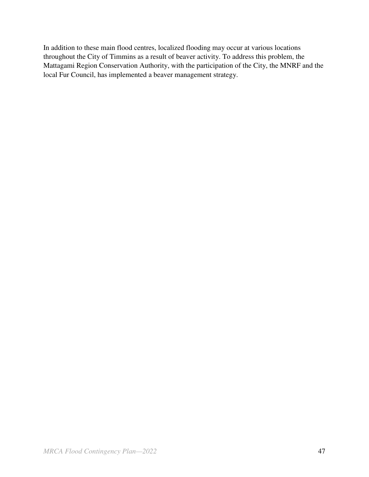In addition to these main flood centres, localized flooding may occur at various locations throughout the City of Timmins as a result of beaver activity. To address this problem, the Mattagami Region Conservation Authority, with the participation of the City, the MNRF and the local Fur Council, has implemented a beaver management strategy.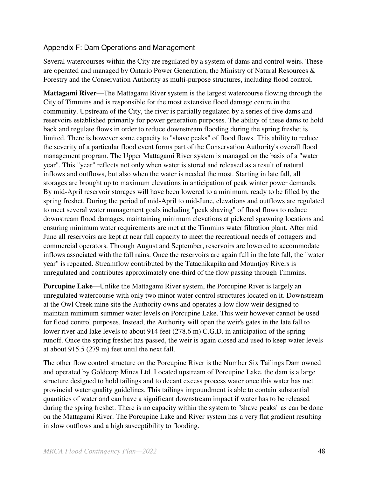## Appendix F: Dam Operations and Management

Several watercourses within the City are regulated by a system of dams and control weirs. These are operated and managed by Ontario Power Generation, the Ministry of Natural Resources & Forestry and the Conservation Authority as multi-purpose structures, including flood control.

**Mattagami River**—The Mattagami River system is the largest watercourse flowing through the City of Timmins and is responsible for the most extensive flood damage centre in the community. Upstream of the City, the river is partially regulated by a series of five dams and reservoirs established primarily for power generation purposes. The ability of these dams to hold back and regulate flows in order to reduce downstream flooding during the spring freshet is limited. There is however some capacity to "shave peaks" of flood flows. This ability to reduce the severity of a particular flood event forms part of the Conservation Authority's overall flood management program. The Upper Mattagami River system is managed on the basis of a "water year". This "year" reflects not only when water is stored and released as a result of natural inflows and outflows, but also when the water is needed the most. Starting in late fall, all storages are brought up to maximum elevations in anticipation of peak winter power demands. By mid-April reservoir storages will have been lowered to a minimum, ready to be filled by the spring freshet. During the period of mid-April to mid-June, elevations and outflows are regulated to meet several water management goals including "peak shaving" of flood flows to reduce downstream flood damages, maintaining minimum elevations at pickerel spawning locations and ensuring minimum water requirements are met at the Timmins water filtration plant. After mid June all reservoirs are kept at near full capacity to meet the recreational needs of cottagers and commercial operators. Through August and September, reservoirs are lowered to accommodate inflows associated with the fall rains. Once the reservoirs are again full in the late fall, the "water year" is repeated. Streamflow contributed by the Tatachikapika and Mountjoy Rivers is unregulated and contributes approximately one-third of the flow passing through Timmins.

**Porcupine Lake—Unlike the Mattagami River system, the Porcupine River is largely an** unregulated watercourse with only two minor water control structures located on it. Downstream at the Owl Creek mine site the Authority owns and operates a low flow weir designed to maintain minimum summer water levels on Porcupine Lake. This weir however cannot be used for flood control purposes. Instead, the Authority will open the weir's gates in the late fall to lower river and lake levels to about 914 feet (278.6 m) C.G.D. in anticipation of the spring runoff. Once the spring freshet has passed, the weir is again closed and used to keep water levels at about 915.5 (279 m) feet until the next fall.

The other flow control structure on the Porcupine River is the Number Six Tailings Dam owned and operated by Goldcorp Mines Ltd. Located upstream of Porcupine Lake, the dam is a large structure designed to hold tailings and to decant excess process water once this water has met provincial water quality guidelines. This tailings impoundment is able to contain substantial quantities of water and can have a significant downstream impact if water has to be released during the spring freshet. There is no capacity within the system to "shave peaks" as can be done on the Mattagami River. The Porcupine Lake and River system has a very flat gradient resulting in slow outflows and a high susceptibility to flooding.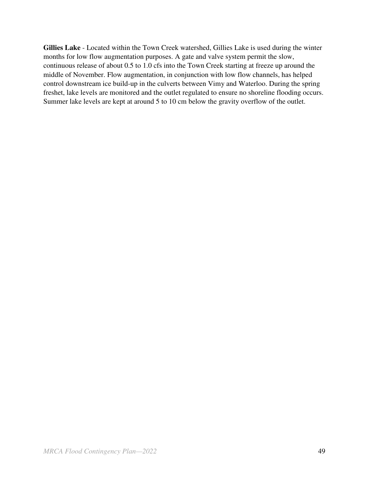**Gillies Lake** - Located within the Town Creek watershed, Gillies Lake is used during the winter months for low flow augmentation purposes. A gate and valve system permit the slow, continuous release of about 0.5 to 1.0 cfs into the Town Creek starting at freeze up around the middle of November. Flow augmentation, in conjunction with low flow channels, has helped control downstream ice build-up in the culverts between Vimy and Waterloo. During the spring freshet, lake levels are monitored and the outlet regulated to ensure no shoreline flooding occurs. Summer lake levels are kept at around 5 to 10 cm below the gravity overflow of the outlet.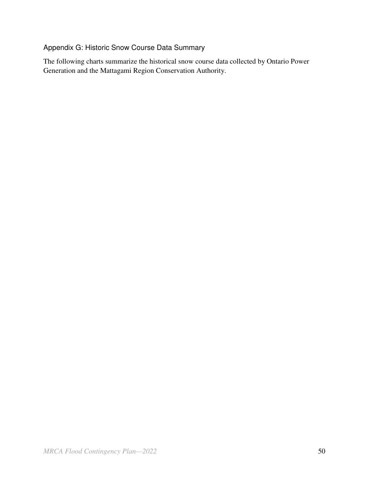# Appendix G: Historic Snow Course Data Summary

The following charts summarize the historical snow course data collected by Ontario Power Generation and the Mattagami Region Conservation Authority.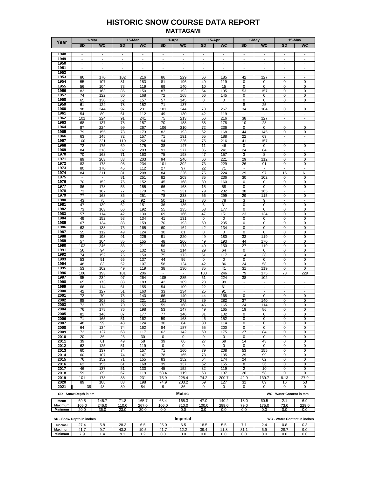#### **HISTORIC SNOW COURSE DATA REPORT MATTAGAMI**

| <b>SD</b><br><b>WC</b><br><b>WC</b><br><b>SD</b><br><b>WC</b><br><b>WC</b><br><b>SD</b><br><b>WC</b><br><b>SD</b><br><b>WC</b><br><b>SD</b><br><b>SD</b><br>1948<br>$\overline{\phantom{a}}$<br>$\overline{\phantom{a}}$<br>$\blacksquare$<br>÷.<br>$\overline{\phantom{a}}$<br>$\frac{1}{2}$<br>$\sim$<br>$\overline{\phantom{a}}$<br>$\blacksquare$<br>$\overline{\phantom{a}}$<br>$\sim$<br>1949<br>$\overline{\phantom{a}}$<br>$\overline{\phantom{a}}$<br>$\frac{1}{2}$<br>$\overline{\phantom{a}}$<br>$\overline{\phantom{a}}$<br>$\overline{\phantom{a}}$<br>$\frac{1}{2}$<br>$\ddot{\phantom{a}}$<br>$\overline{\phantom{a}}$<br>$\overline{a}$<br>$\overline{\phantom{a}}$<br>$\overline{\phantom{a}}$<br>1950<br>L.<br>$\Box$<br>$\overline{a}$<br>$\overline{\phantom{a}}$<br>$\frac{1}{2}$<br>$\mathbf{r}$<br>$\overline{\phantom{a}}$<br>$\overline{\phantom{a}}$<br>$\overline{\phantom{a}}$<br>$\overline{\phantom{a}}$<br>$\overline{\phantom{a}}$<br>÷,<br>1951<br>$\overline{\phantom{a}}$<br>$\overline{\phantom{a}}$<br>$\blacksquare$<br>$\overline{\phantom{a}}$<br>$\blacksquare$<br>ä,<br>$\overline{\phantom{a}}$<br>$\overline{\phantom{a}}$<br>÷.<br>$\frac{1}{2}$<br>$\overline{\phantom{a}}$<br>÷,<br>1952<br>$\overline{\phantom{a}}$<br>$\overline{a}$<br>$\overline{a}$<br>$\overline{\phantom{a}}$<br>$\overline{\phantom{a}}$<br>÷,<br>$\overline{a}$<br>÷,<br>L.<br>1953<br>229<br>86<br>170<br>102<br>216<br>86<br>185<br>42<br>127<br>66<br>$\overline{\phantom{a}}$<br>÷,<br>1954<br>107<br>81<br>183<br>55<br>81<br>196<br>49<br>119<br>0<br>0<br>0<br>0<br>1955<br>56<br>104<br>73<br>119<br>69<br>140<br>10<br>15<br>0<br>0<br>0<br>0<br>1956<br>83<br>163<br>86<br>150<br>87<br>193<br>54<br>135<br>53<br>157<br>0<br>0<br>1957<br>74<br>122<br>80<br>168<br>72<br>168<br>66<br>145<br>0<br>0<br>0<br>0<br>1958<br>65<br>157<br>57<br>0<br>130<br>62<br>145<br>0<br>0<br>0<br>0<br>0<br>1959<br>152<br>8<br>61<br>122<br>78<br>71<br>137<br>$\overline{\phantom{a}}$<br>$\overline{\phantom{a}}$<br>25<br>$\overline{\phantom{a}}$<br>1960<br>244<br>$\overline{0}$<br>$\overline{0}$<br>98<br>97<br>231<br>101<br>244<br>78<br>267<br>34<br>104<br>1961<br>89<br>61<br>130<br>54<br>112<br>49<br>42<br>119<br>$\blacksquare$<br>$\blacksquare$<br>$\overline{\phantom{a}}$<br>$\sim$<br>1962<br>75<br>38<br>101<br>224<br>241<br>213<br>56<br>216<br>127<br>91<br>$\overline{\phantom{a}}$<br>$\overline{\phantom{a}}$<br>1963<br>68<br>137<br>78<br>157<br>70<br>188<br>58<br>178<br>10<br>28<br>$\overline{\phantom{a}}$<br>1964<br>$\overline{0}$<br>224<br>0<br>87<br>99<br>267<br>106<br>310<br>72<br>236<br>0<br>0<br>1965<br>79<br>78<br>44<br>145<br>0<br>0<br>155<br>173<br>82<br>193<br>62<br>168<br>1966<br>22<br>63<br>145<br>72<br>157<br>71<br>191<br>65<br>188<br>69<br>$\overline{\phantom{a}}$<br>$\overline{\phantom{a}}$<br>1967<br>100<br>221<br>110<br>262<br>94<br>226<br>75<br>216<br>41<br>157<br>$\overline{\phantom{a}}$<br>1968<br>0<br>72<br>175<br>69<br>175<br>38<br>147<br>11<br>46<br>0<br>0<br>0<br>1969<br>84<br>218<br>82<br>203<br>91<br>277<br>85<br>241<br>24<br>84<br>$\overline{\phantom{a}}$<br>1970<br>0<br>70<br>163<br>71<br>163<br>75<br>198<br>47<br>157<br>3<br>8<br>0<br>1971<br>89<br>203<br>83<br>203<br>94<br>246<br>66<br>221<br>29<br>112<br>0<br>0<br>1972<br>83<br>178<br>98<br>234<br>101<br>302<br>229<br>26<br>91<br>0<br>0<br>73<br>1973<br>80<br>170<br>45<br>112<br>27<br>97<br>22<br>71<br>L,<br>$\overline{\phantom{a}}$<br>÷,<br>1974<br>84<br>211<br>81<br>208<br>75<br>224<br>29<br>97<br>15<br>61<br>84<br>226<br>1975<br>81<br>251<br>82<br>203<br>85<br>236<br>30<br>102<br>0<br>0<br>÷,<br>1976<br>70<br>152<br>75<br>39<br>0<br>152<br>45<br>168<br>160<br>0<br>0<br>0<br>1977<br>86<br>178<br>53<br>155<br>66<br>168<br>15<br>$\mathbf 0$<br>0<br>0<br>0<br>58<br>1978<br>73<br>167<br>38<br>165<br>77<br>179<br>79<br>231<br>79<br>232<br>$\blacksquare$<br>1979<br>0<br>77<br>168<br>86<br>251<br>78<br>233<br>299<br>29<br>115<br>0<br>66<br>1980<br>43<br>75<br>52<br>92<br>50<br>117<br>78<br>3<br>9<br>36<br>$\overline{\phantom{a}}$<br>1981<br>47<br>139<br>151<br>136<br>31<br>62<br>36<br>6<br>0<br>0<br>0<br>0<br>1982<br>73<br>192<br>55<br>177<br>0<br>0<br>0<br>163<br>66<br>135<br>53<br>0<br>1983<br>57<br>114<br>42<br>130<br>166<br>151<br>23<br>134<br>69<br>47<br>0<br>0<br>1984<br>53<br>49<br>152<br>134<br>41<br>131<br>$\pmb{0}$<br>$\mathbf 0$<br>0<br>0<br>0<br>0<br>1985<br>70<br>67<br>134<br>83<br>159<br>193<br>69<br>205<br>$\mathbf 0$<br>0<br>0<br>0<br>1986<br>63<br>138<br>75<br>165<br>60<br>164<br>42<br>134<br>0<br>0<br>0<br>0<br>1987<br>0<br>0<br>55<br>112<br>49<br>124<br>30<br>61<br>0<br>0<br>0<br>0<br>1988<br>193<br>91<br>49<br>180<br>33<br>119<br>0<br>0<br>88<br>226<br>91<br>220<br>1989<br>48<br>49<br>0<br>57<br>104<br>85<br>155<br>206<br>193<br>44<br>170<br>0<br>1990<br>119<br>102<br>246<br>83<br>211<br>56<br>173<br>49<br>150<br>27<br>0<br>0<br>1991<br>56<br>94<br>65<br>132<br>61<br>114<br>29<br>64<br>0<br>0<br>0<br>0<br>1992<br>74<br>152<br>75<br>150<br>75<br>173<br>51<br>117<br>14<br>38<br>0<br>0<br>1993<br>53<br>91<br>65<br>137<br>44<br>96<br>0<br>0<br>0<br>0<br>0<br>0<br>1994<br>48<br>83<br>52<br>107<br>58<br>124<br>42<br>86<br>24<br>58<br>0<br>0<br>1995<br>53<br>102<br>49<br>119<br>38<br>130<br>35<br>41<br>31<br>119<br>0<br>0<br>1996<br>73<br>106<br>193<br>101<br>206<br>$\overline{\phantom{a}}$<br>$\overline{\phantom{a}}$<br>100<br>246<br>79<br>175<br>229<br>1997<br>95<br>234<br>97<br>105<br>285<br>224<br>38<br>102<br>264<br>61<br>$\blacksquare$<br>$\overline{a}$<br>1998<br>65<br>173<br>83<br>183<br>42<br>109<br>23<br>99<br>$\overline{\phantom{a}}$<br>$\overline{\phantom{a}}$<br>÷,<br>$\overline{\phantom{a}}$<br>1999<br>66<br>109<br>22<br>$\overline{\phantom{a}}$<br>114<br>61<br>155<br>54<br>61<br>$\ddot{\phantom{a}}$<br>$\overline{\phantom{a}}$<br>$\overline{a}$<br>2000<br>42<br>127<br>51<br>160<br>33<br>134<br>25<br>91<br>$\overline{a}$<br>$\overline{\phantom{a}}$<br>÷,<br>2001<br>0<br>72<br>70<br>75<br>140<br>140<br>168<br>0<br>0<br>0<br>66<br>44<br>2002<br>203<br>221<br>272<br>37<br>140<br>98<br>92<br>101<br>89<br>282<br>0<br>0<br>2003<br>72<br>173<br>70<br>59<br>168<br>46<br>24<br>114<br>0<br>0<br>155<br>165<br>2004<br>76<br>178<br>198<br>53<br>147<br>49<br>165<br>19<br>0<br>0<br>76<br>86<br>2005<br>31<br>0<br>81<br>146<br>87<br>177<br>77<br>146<br>102<br>0<br>0<br>0<br>2006<br>71<br>165<br>51<br>162<br>59<br>163<br>46<br>152<br>0<br>0<br>0<br>0<br>2007<br>48<br>99<br>48<br>124<br>84<br>30<br>$\overline{0}$<br>0<br>30<br>114<br>0<br>0<br>2008<br>134<br>74<br>162<br>84<br>187<br>200<br>$\overline{0}$<br>64<br>55<br>$\mathbf 0$<br>0<br>0<br>2009<br>72<br>127<br>68<br>117<br>62<br>142<br>69<br>175<br>27<br>84<br>0<br>0<br>2010<br>20<br>36<br>23<br>30<br>0<br>0<br>0<br>0<br>0<br>0<br>0<br>0<br>2011<br>39<br>61<br>49<br>58<br>39<br>66<br>27<br>69<br>14<br>43<br>0<br>0<br>51<br>119<br>2012<br>62<br>125<br>0<br>0<br>0<br>0<br>0<br>0<br>0<br>0<br>2013<br>60<br>137<br>74<br>157<br>71<br>160<br>79<br>208<br>53<br>155<br>0<br>0<br>2014<br>60<br>107<br>74<br>147<br>78<br>165<br>73<br>29<br>0<br>135<br>99<br>0<br>2015<br>152<br>71<br>155<br>83<br>152<br>174<br>24<br>0<br>76<br>64<br>62<br>0<br>2016<br>62<br>155<br>61<br>168<br>39<br>137<br>62<br>155<br>36<br>0<br>8<br>0<br>2017<br>46<br>137<br>51<br>130<br>45<br>152<br>32<br>119<br>2<br>10<br>$\overline{0}$<br>0<br>2018<br>59<br>89<br>67<br>119<br>58.4<br>119<br>137<br>58<br>$\overline{0}$<br>0<br>63<br>26<br>2019<br>101<br>178<br>88<br>231<br>75.9<br>228.4<br>74.2<br>200.7<br>42.9<br>139.7<br>8.13<br>27.9<br>2020<br>89<br>188<br>83<br>198<br>74.9<br>203.2<br>59<br>127<br>31<br>89<br>16<br>53<br>2021<br>39<br>43<br>30<br>84<br>9<br>36<br>0<br>0<br>0<br>0<br>0<br>0<br>Metric<br>SD - Snow Depth in cm<br>WC - Water Content in mm<br>69.5<br>$63.\overline{4}$<br>165.3<br>47.0<br>140.2<br>2.1<br>Mean<br>146.7<br>71.8<br>165.7<br>18.0<br>60.5<br>6.9<br>110.0<br>100.0<br>Maximum<br>106.0<br>246.0<br>267.0<br>106.0<br>310.0<br>299.0<br>79.0<br>175.0<br>73.0<br>229.0<br>0.0<br>20.0<br>23.0<br>30.0<br>0.0<br>0.0<br>0.0<br>0.0<br>0.0<br>0.0<br>0.0<br>Minimum<br>36.0 | Year | 1-Mar | 15-Mar | 1-Apr | 15-Apr | 1-May | 15-May |
|---------------------------------------------------------------------------------------------------------------------------------------------------------------------------------------------------------------------------------------------------------------------------------------------------------------------------------------------------------------------------------------------------------------------------------------------------------------------------------------------------------------------------------------------------------------------------------------------------------------------------------------------------------------------------------------------------------------------------------------------------------------------------------------------------------------------------------------------------------------------------------------------------------------------------------------------------------------------------------------------------------------------------------------------------------------------------------------------------------------------------------------------------------------------------------------------------------------------------------------------------------------------------------------------------------------------------------------------------------------------------------------------------------------------------------------------------------------------------------------------------------------------------------------------------------------------------------------------------------------------------------------------------------------------------------------------------------------------------------------------------------------------------------------------------------------------------------------------------------------------------------------------------------------------------------------------------------------------------------------------------------------------------------------------------------------------------------------------------------------------------------------------------------------------------------------------------------------------------------------------------------------------------------------------------------------------------------------------------------------------------------------------------------------------------------------------------------------------------------------------------------------------------------------------------------------------------------------------------------------------------------------------------------------------------------------------------------------------------------------------------------------------------------------------------------------------------------------------------------------------------------------------------------------------------------------------------------------------------------------------------------------------------------------------------------------------------------------------------------------------------------------------------------------------------------------------------------------------------------------------------------------------------------------------------------------------------------------------------------------------------------------------------------------------------------------------------------------------------------------------------------------------------------------------------------------------------------------------------------------------------------------------------------------------------------------------------------------------------------------------------------------------------------------------------------------------------------------------------------------------------------------------------------------------------------------------------------------------------------------------------------------------------------------------------------------------------------------------------------------------------------------------------------------------------------------------------------------------------------------------------------------------------------------------------------------------------------------------------------------------------------------------------------------------------------------------------------------------------------------------------------------------------------------------------------------------------------------------------------------------------------------------------------------------------------------------------------------------------------------------------------------------------------------------------------------------------------------------------------------------------------------------------------------------------------------------------------------------------------------------------------------------------------------------------------------------------------------------------------------------------------------------------------------------------------------------------------------------------------------------------------------------------------------------------------------------------------------------------------------------------------------------------------------------------------------------------------------------------------------------------------------------------------------------------------------------------------------------------------------------------------------------------------------------------------------------------------------------------------------------------------------------------------------------------------------------------------------------------------------------------------------------------------------------------------------------------------------------------------------------------------------------------------------------------------------------------------------------------------------------------------------------------------------------------------------------------------------------------------------------------------------------------------------------------------------------------------------------------------------------------------------------------------------------------------------------------------------------------------------------------------------------------------------------------------------------------------------------------------------------------------------------------------------------------------------------------------------------------------------------------------------------------------------------------------------------------------------------------------------------------------------------------------------------------------------------------------------------------------------------------------------------------------------------------------------------------------------------------------------------------------------------------------------------------------------------------------------------------------------------------------------------------------------------------------------------------------------------------------------------------------------------------------------------------------------------------------------------------------------------------------------------------------------------------------------------------------------------------------------------------------------------------------------------------------------------------------------------------------------------------------------------------------------------------------------------------------------------------------------------------------------------------------------------------------------------------------------------------------------------------------------------------------------------------------------------------------------------------------------------------------------------------------------------------------------------------------------------------------------------------------------------------------------------------------------------------------------------------------------------------------------|------|-------|--------|-------|--------|-------|--------|
|                                                                                                                                                                                                                                                                                                                                                                                                                                                                                                                                                                                                                                                                                                                                                                                                                                                                                                                                                                                                                                                                                                                                                                                                                                                                                                                                                                                                                                                                                                                                                                                                                                                                                                                                                                                                                                                                                                                                                                                                                                                                                                                                                                                                                                                                                                                                                                                                                                                                                                                                                                                                                                                                                                                                                                                                                                                                                                                                                                                                                                                                                                                                                                                                                                                                                                                                                                                                                                                                                                                                                                                                                                                                                                                                                                                                                                                                                                                                                                                                                                                                                                                                                                                                                                                                                                                                                                                                                                                                                                                                                                                                                                                                                                                                                                                                                                                                                                                                                                                                                                                                                                                                                                                                                                                                                                                                                                                                                                                                                                                                                                                                                                                                                                                                                                                                                                                                                                                                                                                                                                                                                                                                                                                                                                                                                                                                                                                                                                                                                                                                                                                                                                                                                                                                                                                                                                                                                                                                                                                                                                                                                                                                                                                                                                                                                                                                                                                                                                                                                                                                                                                                                                                                                                                                                                                                                                                                                                                                                                                                                                                                                                                                                                                                                                                                                                                                                                                       |      |       |        |       |        |       |        |
|                                                                                                                                                                                                                                                                                                                                                                                                                                                                                                                                                                                                                                                                                                                                                                                                                                                                                                                                                                                                                                                                                                                                                                                                                                                                                                                                                                                                                                                                                                                                                                                                                                                                                                                                                                                                                                                                                                                                                                                                                                                                                                                                                                                                                                                                                                                                                                                                                                                                                                                                                                                                                                                                                                                                                                                                                                                                                                                                                                                                                                                                                                                                                                                                                                                                                                                                                                                                                                                                                                                                                                                                                                                                                                                                                                                                                                                                                                                                                                                                                                                                                                                                                                                                                                                                                                                                                                                                                                                                                                                                                                                                                                                                                                                                                                                                                                                                                                                                                                                                                                                                                                                                                                                                                                                                                                                                                                                                                                                                                                                                                                                                                                                                                                                                                                                                                                                                                                                                                                                                                                                                                                                                                                                                                                                                                                                                                                                                                                                                                                                                                                                                                                                                                                                                                                                                                                                                                                                                                                                                                                                                                                                                                                                                                                                                                                                                                                                                                                                                                                                                                                                                                                                                                                                                                                                                                                                                                                                                                                                                                                                                                                                                                                                                                                                                                                                                                                                       |      |       |        |       |        |       |        |
|                                                                                                                                                                                                                                                                                                                                                                                                                                                                                                                                                                                                                                                                                                                                                                                                                                                                                                                                                                                                                                                                                                                                                                                                                                                                                                                                                                                                                                                                                                                                                                                                                                                                                                                                                                                                                                                                                                                                                                                                                                                                                                                                                                                                                                                                                                                                                                                                                                                                                                                                                                                                                                                                                                                                                                                                                                                                                                                                                                                                                                                                                                                                                                                                                                                                                                                                                                                                                                                                                                                                                                                                                                                                                                                                                                                                                                                                                                                                                                                                                                                                                                                                                                                                                                                                                                                                                                                                                                                                                                                                                                                                                                                                                                                                                                                                                                                                                                                                                                                                                                                                                                                                                                                                                                                                                                                                                                                                                                                                                                                                                                                                                                                                                                                                                                                                                                                                                                                                                                                                                                                                                                                                                                                                                                                                                                                                                                                                                                                                                                                                                                                                                                                                                                                                                                                                                                                                                                                                                                                                                                                                                                                                                                                                                                                                                                                                                                                                                                                                                                                                                                                                                                                                                                                                                                                                                                                                                                                                                                                                                                                                                                                                                                                                                                                                                                                                                                                       |      |       |        |       |        |       |        |
|                                                                                                                                                                                                                                                                                                                                                                                                                                                                                                                                                                                                                                                                                                                                                                                                                                                                                                                                                                                                                                                                                                                                                                                                                                                                                                                                                                                                                                                                                                                                                                                                                                                                                                                                                                                                                                                                                                                                                                                                                                                                                                                                                                                                                                                                                                                                                                                                                                                                                                                                                                                                                                                                                                                                                                                                                                                                                                                                                                                                                                                                                                                                                                                                                                                                                                                                                                                                                                                                                                                                                                                                                                                                                                                                                                                                                                                                                                                                                                                                                                                                                                                                                                                                                                                                                                                                                                                                                                                                                                                                                                                                                                                                                                                                                                                                                                                                                                                                                                                                                                                                                                                                                                                                                                                                                                                                                                                                                                                                                                                                                                                                                                                                                                                                                                                                                                                                                                                                                                                                                                                                                                                                                                                                                                                                                                                                                                                                                                                                                                                                                                                                                                                                                                                                                                                                                                                                                                                                                                                                                                                                                                                                                                                                                                                                                                                                                                                                                                                                                                                                                                                                                                                                                                                                                                                                                                                                                                                                                                                                                                                                                                                                                                                                                                                                                                                                                                                       |      |       |        |       |        |       |        |
|                                                                                                                                                                                                                                                                                                                                                                                                                                                                                                                                                                                                                                                                                                                                                                                                                                                                                                                                                                                                                                                                                                                                                                                                                                                                                                                                                                                                                                                                                                                                                                                                                                                                                                                                                                                                                                                                                                                                                                                                                                                                                                                                                                                                                                                                                                                                                                                                                                                                                                                                                                                                                                                                                                                                                                                                                                                                                                                                                                                                                                                                                                                                                                                                                                                                                                                                                                                                                                                                                                                                                                                                                                                                                                                                                                                                                                                                                                                                                                                                                                                                                                                                                                                                                                                                                                                                                                                                                                                                                                                                                                                                                                                                                                                                                                                                                                                                                                                                                                                                                                                                                                                                                                                                                                                                                                                                                                                                                                                                                                                                                                                                                                                                                                                                                                                                                                                                                                                                                                                                                                                                                                                                                                                                                                                                                                                                                                                                                                                                                                                                                                                                                                                                                                                                                                                                                                                                                                                                                                                                                                                                                                                                                                                                                                                                                                                                                                                                                                                                                                                                                                                                                                                                                                                                                                                                                                                                                                                                                                                                                                                                                                                                                                                                                                                                                                                                                                                       |      |       |        |       |        |       |        |
|                                                                                                                                                                                                                                                                                                                                                                                                                                                                                                                                                                                                                                                                                                                                                                                                                                                                                                                                                                                                                                                                                                                                                                                                                                                                                                                                                                                                                                                                                                                                                                                                                                                                                                                                                                                                                                                                                                                                                                                                                                                                                                                                                                                                                                                                                                                                                                                                                                                                                                                                                                                                                                                                                                                                                                                                                                                                                                                                                                                                                                                                                                                                                                                                                                                                                                                                                                                                                                                                                                                                                                                                                                                                                                                                                                                                                                                                                                                                                                                                                                                                                                                                                                                                                                                                                                                                                                                                                                                                                                                                                                                                                                                                                                                                                                                                                                                                                                                                                                                                                                                                                                                                                                                                                                                                                                                                                                                                                                                                                                                                                                                                                                                                                                                                                                                                                                                                                                                                                                                                                                                                                                                                                                                                                                                                                                                                                                                                                                                                                                                                                                                                                                                                                                                                                                                                                                                                                                                                                                                                                                                                                                                                                                                                                                                                                                                                                                                                                                                                                                                                                                                                                                                                                                                                                                                                                                                                                                                                                                                                                                                                                                                                                                                                                                                                                                                                                                                       |      |       |        |       |        |       |        |
|                                                                                                                                                                                                                                                                                                                                                                                                                                                                                                                                                                                                                                                                                                                                                                                                                                                                                                                                                                                                                                                                                                                                                                                                                                                                                                                                                                                                                                                                                                                                                                                                                                                                                                                                                                                                                                                                                                                                                                                                                                                                                                                                                                                                                                                                                                                                                                                                                                                                                                                                                                                                                                                                                                                                                                                                                                                                                                                                                                                                                                                                                                                                                                                                                                                                                                                                                                                                                                                                                                                                                                                                                                                                                                                                                                                                                                                                                                                                                                                                                                                                                                                                                                                                                                                                                                                                                                                                                                                                                                                                                                                                                                                                                                                                                                                                                                                                                                                                                                                                                                                                                                                                                                                                                                                                                                                                                                                                                                                                                                                                                                                                                                                                                                                                                                                                                                                                                                                                                                                                                                                                                                                                                                                                                                                                                                                                                                                                                                                                                                                                                                                                                                                                                                                                                                                                                                                                                                                                                                                                                                                                                                                                                                                                                                                                                                                                                                                                                                                                                                                                                                                                                                                                                                                                                                                                                                                                                                                                                                                                                                                                                                                                                                                                                                                                                                                                                                                       |      |       |        |       |        |       |        |
|                                                                                                                                                                                                                                                                                                                                                                                                                                                                                                                                                                                                                                                                                                                                                                                                                                                                                                                                                                                                                                                                                                                                                                                                                                                                                                                                                                                                                                                                                                                                                                                                                                                                                                                                                                                                                                                                                                                                                                                                                                                                                                                                                                                                                                                                                                                                                                                                                                                                                                                                                                                                                                                                                                                                                                                                                                                                                                                                                                                                                                                                                                                                                                                                                                                                                                                                                                                                                                                                                                                                                                                                                                                                                                                                                                                                                                                                                                                                                                                                                                                                                                                                                                                                                                                                                                                                                                                                                                                                                                                                                                                                                                                                                                                                                                                                                                                                                                                                                                                                                                                                                                                                                                                                                                                                                                                                                                                                                                                                                                                                                                                                                                                                                                                                                                                                                                                                                                                                                                                                                                                                                                                                                                                                                                                                                                                                                                                                                                                                                                                                                                                                                                                                                                                                                                                                                                                                                                                                                                                                                                                                                                                                                                                                                                                                                                                                                                                                                                                                                                                                                                                                                                                                                                                                                                                                                                                                                                                                                                                                                                                                                                                                                                                                                                                                                                                                                                                       |      |       |        |       |        |       |        |
|                                                                                                                                                                                                                                                                                                                                                                                                                                                                                                                                                                                                                                                                                                                                                                                                                                                                                                                                                                                                                                                                                                                                                                                                                                                                                                                                                                                                                                                                                                                                                                                                                                                                                                                                                                                                                                                                                                                                                                                                                                                                                                                                                                                                                                                                                                                                                                                                                                                                                                                                                                                                                                                                                                                                                                                                                                                                                                                                                                                                                                                                                                                                                                                                                                                                                                                                                                                                                                                                                                                                                                                                                                                                                                                                                                                                                                                                                                                                                                                                                                                                                                                                                                                                                                                                                                                                                                                                                                                                                                                                                                                                                                                                                                                                                                                                                                                                                                                                                                                                                                                                                                                                                                                                                                                                                                                                                                                                                                                                                                                                                                                                                                                                                                                                                                                                                                                                                                                                                                                                                                                                                                                                                                                                                                                                                                                                                                                                                                                                                                                                                                                                                                                                                                                                                                                                                                                                                                                                                                                                                                                                                                                                                                                                                                                                                                                                                                                                                                                                                                                                                                                                                                                                                                                                                                                                                                                                                                                                                                                                                                                                                                                                                                                                                                                                                                                                                                                       |      |       |        |       |        |       |        |
|                                                                                                                                                                                                                                                                                                                                                                                                                                                                                                                                                                                                                                                                                                                                                                                                                                                                                                                                                                                                                                                                                                                                                                                                                                                                                                                                                                                                                                                                                                                                                                                                                                                                                                                                                                                                                                                                                                                                                                                                                                                                                                                                                                                                                                                                                                                                                                                                                                                                                                                                                                                                                                                                                                                                                                                                                                                                                                                                                                                                                                                                                                                                                                                                                                                                                                                                                                                                                                                                                                                                                                                                                                                                                                                                                                                                                                                                                                                                                                                                                                                                                                                                                                                                                                                                                                                                                                                                                                                                                                                                                                                                                                                                                                                                                                                                                                                                                                                                                                                                                                                                                                                                                                                                                                                                                                                                                                                                                                                                                                                                                                                                                                                                                                                                                                                                                                                                                                                                                                                                                                                                                                                                                                                                                                                                                                                                                                                                                                                                                                                                                                                                                                                                                                                                                                                                                                                                                                                                                                                                                                                                                                                                                                                                                                                                                                                                                                                                                                                                                                                                                                                                                                                                                                                                                                                                                                                                                                                                                                                                                                                                                                                                                                                                                                                                                                                                                                                       |      |       |        |       |        |       |        |
|                                                                                                                                                                                                                                                                                                                                                                                                                                                                                                                                                                                                                                                                                                                                                                                                                                                                                                                                                                                                                                                                                                                                                                                                                                                                                                                                                                                                                                                                                                                                                                                                                                                                                                                                                                                                                                                                                                                                                                                                                                                                                                                                                                                                                                                                                                                                                                                                                                                                                                                                                                                                                                                                                                                                                                                                                                                                                                                                                                                                                                                                                                                                                                                                                                                                                                                                                                                                                                                                                                                                                                                                                                                                                                                                                                                                                                                                                                                                                                                                                                                                                                                                                                                                                                                                                                                                                                                                                                                                                                                                                                                                                                                                                                                                                                                                                                                                                                                                                                                                                                                                                                                                                                                                                                                                                                                                                                                                                                                                                                                                                                                                                                                                                                                                                                                                                                                                                                                                                                                                                                                                                                                                                                                                                                                                                                                                                                                                                                                                                                                                                                                                                                                                                                                                                                                                                                                                                                                                                                                                                                                                                                                                                                                                                                                                                                                                                                                                                                                                                                                                                                                                                                                                                                                                                                                                                                                                                                                                                                                                                                                                                                                                                                                                                                                                                                                                                                                       |      |       |        |       |        |       |        |
|                                                                                                                                                                                                                                                                                                                                                                                                                                                                                                                                                                                                                                                                                                                                                                                                                                                                                                                                                                                                                                                                                                                                                                                                                                                                                                                                                                                                                                                                                                                                                                                                                                                                                                                                                                                                                                                                                                                                                                                                                                                                                                                                                                                                                                                                                                                                                                                                                                                                                                                                                                                                                                                                                                                                                                                                                                                                                                                                                                                                                                                                                                                                                                                                                                                                                                                                                                                                                                                                                                                                                                                                                                                                                                                                                                                                                                                                                                                                                                                                                                                                                                                                                                                                                                                                                                                                                                                                                                                                                                                                                                                                                                                                                                                                                                                                                                                                                                                                                                                                                                                                                                                                                                                                                                                                                                                                                                                                                                                                                                                                                                                                                                                                                                                                                                                                                                                                                                                                                                                                                                                                                                                                                                                                                                                                                                                                                                                                                                                                                                                                                                                                                                                                                                                                                                                                                                                                                                                                                                                                                                                                                                                                                                                                                                                                                                                                                                                                                                                                                                                                                                                                                                                                                                                                                                                                                                                                                                                                                                                                                                                                                                                                                                                                                                                                                                                                                                                       |      |       |        |       |        |       |        |
|                                                                                                                                                                                                                                                                                                                                                                                                                                                                                                                                                                                                                                                                                                                                                                                                                                                                                                                                                                                                                                                                                                                                                                                                                                                                                                                                                                                                                                                                                                                                                                                                                                                                                                                                                                                                                                                                                                                                                                                                                                                                                                                                                                                                                                                                                                                                                                                                                                                                                                                                                                                                                                                                                                                                                                                                                                                                                                                                                                                                                                                                                                                                                                                                                                                                                                                                                                                                                                                                                                                                                                                                                                                                                                                                                                                                                                                                                                                                                                                                                                                                                                                                                                                                                                                                                                                                                                                                                                                                                                                                                                                                                                                                                                                                                                                                                                                                                                                                                                                                                                                                                                                                                                                                                                                                                                                                                                                                                                                                                                                                                                                                                                                                                                                                                                                                                                                                                                                                                                                                                                                                                                                                                                                                                                                                                                                                                                                                                                                                                                                                                                                                                                                                                                                                                                                                                                                                                                                                                                                                                                                                                                                                                                                                                                                                                                                                                                                                                                                                                                                                                                                                                                                                                                                                                                                                                                                                                                                                                                                                                                                                                                                                                                                                                                                                                                                                                                                       |      |       |        |       |        |       |        |
|                                                                                                                                                                                                                                                                                                                                                                                                                                                                                                                                                                                                                                                                                                                                                                                                                                                                                                                                                                                                                                                                                                                                                                                                                                                                                                                                                                                                                                                                                                                                                                                                                                                                                                                                                                                                                                                                                                                                                                                                                                                                                                                                                                                                                                                                                                                                                                                                                                                                                                                                                                                                                                                                                                                                                                                                                                                                                                                                                                                                                                                                                                                                                                                                                                                                                                                                                                                                                                                                                                                                                                                                                                                                                                                                                                                                                                                                                                                                                                                                                                                                                                                                                                                                                                                                                                                                                                                                                                                                                                                                                                                                                                                                                                                                                                                                                                                                                                                                                                                                                                                                                                                                                                                                                                                                                                                                                                                                                                                                                                                                                                                                                                                                                                                                                                                                                                                                                                                                                                                                                                                                                                                                                                                                                                                                                                                                                                                                                                                                                                                                                                                                                                                                                                                                                                                                                                                                                                                                                                                                                                                                                                                                                                                                                                                                                                                                                                                                                                                                                                                                                                                                                                                                                                                                                                                                                                                                                                                                                                                                                                                                                                                                                                                                                                                                                                                                                                                       |      |       |        |       |        |       |        |
|                                                                                                                                                                                                                                                                                                                                                                                                                                                                                                                                                                                                                                                                                                                                                                                                                                                                                                                                                                                                                                                                                                                                                                                                                                                                                                                                                                                                                                                                                                                                                                                                                                                                                                                                                                                                                                                                                                                                                                                                                                                                                                                                                                                                                                                                                                                                                                                                                                                                                                                                                                                                                                                                                                                                                                                                                                                                                                                                                                                                                                                                                                                                                                                                                                                                                                                                                                                                                                                                                                                                                                                                                                                                                                                                                                                                                                                                                                                                                                                                                                                                                                                                                                                                                                                                                                                                                                                                                                                                                                                                                                                                                                                                                                                                                                                                                                                                                                                                                                                                                                                                                                                                                                                                                                                                                                                                                                                                                                                                                                                                                                                                                                                                                                                                                                                                                                                                                                                                                                                                                                                                                                                                                                                                                                                                                                                                                                                                                                                                                                                                                                                                                                                                                                                                                                                                                                                                                                                                                                                                                                                                                                                                                                                                                                                                                                                                                                                                                                                                                                                                                                                                                                                                                                                                                                                                                                                                                                                                                                                                                                                                                                                                                                                                                                                                                                                                                                                       |      |       |        |       |        |       |        |
|                                                                                                                                                                                                                                                                                                                                                                                                                                                                                                                                                                                                                                                                                                                                                                                                                                                                                                                                                                                                                                                                                                                                                                                                                                                                                                                                                                                                                                                                                                                                                                                                                                                                                                                                                                                                                                                                                                                                                                                                                                                                                                                                                                                                                                                                                                                                                                                                                                                                                                                                                                                                                                                                                                                                                                                                                                                                                                                                                                                                                                                                                                                                                                                                                                                                                                                                                                                                                                                                                                                                                                                                                                                                                                                                                                                                                                                                                                                                                                                                                                                                                                                                                                                                                                                                                                                                                                                                                                                                                                                                                                                                                                                                                                                                                                                                                                                                                                                                                                                                                                                                                                                                                                                                                                                                                                                                                                                                                                                                                                                                                                                                                                                                                                                                                                                                                                                                                                                                                                                                                                                                                                                                                                                                                                                                                                                                                                                                                                                                                                                                                                                                                                                                                                                                                                                                                                                                                                                                                                                                                                                                                                                                                                                                                                                                                                                                                                                                                                                                                                                                                                                                                                                                                                                                                                                                                                                                                                                                                                                                                                                                                                                                                                                                                                                                                                                                                                                       |      |       |        |       |        |       |        |
|                                                                                                                                                                                                                                                                                                                                                                                                                                                                                                                                                                                                                                                                                                                                                                                                                                                                                                                                                                                                                                                                                                                                                                                                                                                                                                                                                                                                                                                                                                                                                                                                                                                                                                                                                                                                                                                                                                                                                                                                                                                                                                                                                                                                                                                                                                                                                                                                                                                                                                                                                                                                                                                                                                                                                                                                                                                                                                                                                                                                                                                                                                                                                                                                                                                                                                                                                                                                                                                                                                                                                                                                                                                                                                                                                                                                                                                                                                                                                                                                                                                                                                                                                                                                                                                                                                                                                                                                                                                                                                                                                                                                                                                                                                                                                                                                                                                                                                                                                                                                                                                                                                                                                                                                                                                                                                                                                                                                                                                                                                                                                                                                                                                                                                                                                                                                                                                                                                                                                                                                                                                                                                                                                                                                                                                                                                                                                                                                                                                                                                                                                                                                                                                                                                                                                                                                                                                                                                                                                                                                                                                                                                                                                                                                                                                                                                                                                                                                                                                                                                                                                                                                                                                                                                                                                                                                                                                                                                                                                                                                                                                                                                                                                                                                                                                                                                                                                                                       |      |       |        |       |        |       |        |
|                                                                                                                                                                                                                                                                                                                                                                                                                                                                                                                                                                                                                                                                                                                                                                                                                                                                                                                                                                                                                                                                                                                                                                                                                                                                                                                                                                                                                                                                                                                                                                                                                                                                                                                                                                                                                                                                                                                                                                                                                                                                                                                                                                                                                                                                                                                                                                                                                                                                                                                                                                                                                                                                                                                                                                                                                                                                                                                                                                                                                                                                                                                                                                                                                                                                                                                                                                                                                                                                                                                                                                                                                                                                                                                                                                                                                                                                                                                                                                                                                                                                                                                                                                                                                                                                                                                                                                                                                                                                                                                                                                                                                                                                                                                                                                                                                                                                                                                                                                                                                                                                                                                                                                                                                                                                                                                                                                                                                                                                                                                                                                                                                                                                                                                                                                                                                                                                                                                                                                                                                                                                                                                                                                                                                                                                                                                                                                                                                                                                                                                                                                                                                                                                                                                                                                                                                                                                                                                                                                                                                                                                                                                                                                                                                                                                                                                                                                                                                                                                                                                                                                                                                                                                                                                                                                                                                                                                                                                                                                                                                                                                                                                                                                                                                                                                                                                                                                                       |      |       |        |       |        |       |        |
|                                                                                                                                                                                                                                                                                                                                                                                                                                                                                                                                                                                                                                                                                                                                                                                                                                                                                                                                                                                                                                                                                                                                                                                                                                                                                                                                                                                                                                                                                                                                                                                                                                                                                                                                                                                                                                                                                                                                                                                                                                                                                                                                                                                                                                                                                                                                                                                                                                                                                                                                                                                                                                                                                                                                                                                                                                                                                                                                                                                                                                                                                                                                                                                                                                                                                                                                                                                                                                                                                                                                                                                                                                                                                                                                                                                                                                                                                                                                                                                                                                                                                                                                                                                                                                                                                                                                                                                                                                                                                                                                                                                                                                                                                                                                                                                                                                                                                                                                                                                                                                                                                                                                                                                                                                                                                                                                                                                                                                                                                                                                                                                                                                                                                                                                                                                                                                                                                                                                                                                                                                                                                                                                                                                                                                                                                                                                                                                                                                                                                                                                                                                                                                                                                                                                                                                                                                                                                                                                                                                                                                                                                                                                                                                                                                                                                                                                                                                                                                                                                                                                                                                                                                                                                                                                                                                                                                                                                                                                                                                                                                                                                                                                                                                                                                                                                                                                                                                       |      |       |        |       |        |       |        |
|                                                                                                                                                                                                                                                                                                                                                                                                                                                                                                                                                                                                                                                                                                                                                                                                                                                                                                                                                                                                                                                                                                                                                                                                                                                                                                                                                                                                                                                                                                                                                                                                                                                                                                                                                                                                                                                                                                                                                                                                                                                                                                                                                                                                                                                                                                                                                                                                                                                                                                                                                                                                                                                                                                                                                                                                                                                                                                                                                                                                                                                                                                                                                                                                                                                                                                                                                                                                                                                                                                                                                                                                                                                                                                                                                                                                                                                                                                                                                                                                                                                                                                                                                                                                                                                                                                                                                                                                                                                                                                                                                                                                                                                                                                                                                                                                                                                                                                                                                                                                                                                                                                                                                                                                                                                                                                                                                                                                                                                                                                                                                                                                                                                                                                                                                                                                                                                                                                                                                                                                                                                                                                                                                                                                                                                                                                                                                                                                                                                                                                                                                                                                                                                                                                                                                                                                                                                                                                                                                                                                                                                                                                                                                                                                                                                                                                                                                                                                                                                                                                                                                                                                                                                                                                                                                                                                                                                                                                                                                                                                                                                                                                                                                                                                                                                                                                                                                                                       |      |       |        |       |        |       |        |
|                                                                                                                                                                                                                                                                                                                                                                                                                                                                                                                                                                                                                                                                                                                                                                                                                                                                                                                                                                                                                                                                                                                                                                                                                                                                                                                                                                                                                                                                                                                                                                                                                                                                                                                                                                                                                                                                                                                                                                                                                                                                                                                                                                                                                                                                                                                                                                                                                                                                                                                                                                                                                                                                                                                                                                                                                                                                                                                                                                                                                                                                                                                                                                                                                                                                                                                                                                                                                                                                                                                                                                                                                                                                                                                                                                                                                                                                                                                                                                                                                                                                                                                                                                                                                                                                                                                                                                                                                                                                                                                                                                                                                                                                                                                                                                                                                                                                                                                                                                                                                                                                                                                                                                                                                                                                                                                                                                                                                                                                                                                                                                                                                                                                                                                                                                                                                                                                                                                                                                                                                                                                                                                                                                                                                                                                                                                                                                                                                                                                                                                                                                                                                                                                                                                                                                                                                                                                                                                                                                                                                                                                                                                                                                                                                                                                                                                                                                                                                                                                                                                                                                                                                                                                                                                                                                                                                                                                                                                                                                                                                                                                                                                                                                                                                                                                                                                                                                                       |      |       |        |       |        |       |        |
|                                                                                                                                                                                                                                                                                                                                                                                                                                                                                                                                                                                                                                                                                                                                                                                                                                                                                                                                                                                                                                                                                                                                                                                                                                                                                                                                                                                                                                                                                                                                                                                                                                                                                                                                                                                                                                                                                                                                                                                                                                                                                                                                                                                                                                                                                                                                                                                                                                                                                                                                                                                                                                                                                                                                                                                                                                                                                                                                                                                                                                                                                                                                                                                                                                                                                                                                                                                                                                                                                                                                                                                                                                                                                                                                                                                                                                                                                                                                                                                                                                                                                                                                                                                                                                                                                                                                                                                                                                                                                                                                                                                                                                                                                                                                                                                                                                                                                                                                                                                                                                                                                                                                                                                                                                                                                                                                                                                                                                                                                                                                                                                                                                                                                                                                                                                                                                                                                                                                                                                                                                                                                                                                                                                                                                                                                                                                                                                                                                                                                                                                                                                                                                                                                                                                                                                                                                                                                                                                                                                                                                                                                                                                                                                                                                                                                                                                                                                                                                                                                                                                                                                                                                                                                                                                                                                                                                                                                                                                                                                                                                                                                                                                                                                                                                                                                                                                                                                       |      |       |        |       |        |       |        |
|                                                                                                                                                                                                                                                                                                                                                                                                                                                                                                                                                                                                                                                                                                                                                                                                                                                                                                                                                                                                                                                                                                                                                                                                                                                                                                                                                                                                                                                                                                                                                                                                                                                                                                                                                                                                                                                                                                                                                                                                                                                                                                                                                                                                                                                                                                                                                                                                                                                                                                                                                                                                                                                                                                                                                                                                                                                                                                                                                                                                                                                                                                                                                                                                                                                                                                                                                                                                                                                                                                                                                                                                                                                                                                                                                                                                                                                                                                                                                                                                                                                                                                                                                                                                                                                                                                                                                                                                                                                                                                                                                                                                                                                                                                                                                                                                                                                                                                                                                                                                                                                                                                                                                                                                                                                                                                                                                                                                                                                                                                                                                                                                                                                                                                                                                                                                                                                                                                                                                                                                                                                                                                                                                                                                                                                                                                                                                                                                                                                                                                                                                                                                                                                                                                                                                                                                                                                                                                                                                                                                                                                                                                                                                                                                                                                                                                                                                                                                                                                                                                                                                                                                                                                                                                                                                                                                                                                                                                                                                                                                                                                                                                                                                                                                                                                                                                                                                                                       |      |       |        |       |        |       |        |
|                                                                                                                                                                                                                                                                                                                                                                                                                                                                                                                                                                                                                                                                                                                                                                                                                                                                                                                                                                                                                                                                                                                                                                                                                                                                                                                                                                                                                                                                                                                                                                                                                                                                                                                                                                                                                                                                                                                                                                                                                                                                                                                                                                                                                                                                                                                                                                                                                                                                                                                                                                                                                                                                                                                                                                                                                                                                                                                                                                                                                                                                                                                                                                                                                                                                                                                                                                                                                                                                                                                                                                                                                                                                                                                                                                                                                                                                                                                                                                                                                                                                                                                                                                                                                                                                                                                                                                                                                                                                                                                                                                                                                                                                                                                                                                                                                                                                                                                                                                                                                                                                                                                                                                                                                                                                                                                                                                                                                                                                                                                                                                                                                                                                                                                                                                                                                                                                                                                                                                                                                                                                                                                                                                                                                                                                                                                                                                                                                                                                                                                                                                                                                                                                                                                                                                                                                                                                                                                                                                                                                                                                                                                                                                                                                                                                                                                                                                                                                                                                                                                                                                                                                                                                                                                                                                                                                                                                                                                                                                                                                                                                                                                                                                                                                                                                                                                                                                                       |      |       |        |       |        |       |        |
|                                                                                                                                                                                                                                                                                                                                                                                                                                                                                                                                                                                                                                                                                                                                                                                                                                                                                                                                                                                                                                                                                                                                                                                                                                                                                                                                                                                                                                                                                                                                                                                                                                                                                                                                                                                                                                                                                                                                                                                                                                                                                                                                                                                                                                                                                                                                                                                                                                                                                                                                                                                                                                                                                                                                                                                                                                                                                                                                                                                                                                                                                                                                                                                                                                                                                                                                                                                                                                                                                                                                                                                                                                                                                                                                                                                                                                                                                                                                                                                                                                                                                                                                                                                                                                                                                                                                                                                                                                                                                                                                                                                                                                                                                                                                                                                                                                                                                                                                                                                                                                                                                                                                                                                                                                                                                                                                                                                                                                                                                                                                                                                                                                                                                                                                                                                                                                                                                                                                                                                                                                                                                                                                                                                                                                                                                                                                                                                                                                                                                                                                                                                                                                                                                                                                                                                                                                                                                                                                                                                                                                                                                                                                                                                                                                                                                                                                                                                                                                                                                                                                                                                                                                                                                                                                                                                                                                                                                                                                                                                                                                                                                                                                                                                                                                                                                                                                                                                       |      |       |        |       |        |       |        |
|                                                                                                                                                                                                                                                                                                                                                                                                                                                                                                                                                                                                                                                                                                                                                                                                                                                                                                                                                                                                                                                                                                                                                                                                                                                                                                                                                                                                                                                                                                                                                                                                                                                                                                                                                                                                                                                                                                                                                                                                                                                                                                                                                                                                                                                                                                                                                                                                                                                                                                                                                                                                                                                                                                                                                                                                                                                                                                                                                                                                                                                                                                                                                                                                                                                                                                                                                                                                                                                                                                                                                                                                                                                                                                                                                                                                                                                                                                                                                                                                                                                                                                                                                                                                                                                                                                                                                                                                                                                                                                                                                                                                                                                                                                                                                                                                                                                                                                                                                                                                                                                                                                                                                                                                                                                                                                                                                                                                                                                                                                                                                                                                                                                                                                                                                                                                                                                                                                                                                                                                                                                                                                                                                                                                                                                                                                                                                                                                                                                                                                                                                                                                                                                                                                                                                                                                                                                                                                                                                                                                                                                                                                                                                                                                                                                                                                                                                                                                                                                                                                                                                                                                                                                                                                                                                                                                                                                                                                                                                                                                                                                                                                                                                                                                                                                                                                                                                                                       |      |       |        |       |        |       |        |
|                                                                                                                                                                                                                                                                                                                                                                                                                                                                                                                                                                                                                                                                                                                                                                                                                                                                                                                                                                                                                                                                                                                                                                                                                                                                                                                                                                                                                                                                                                                                                                                                                                                                                                                                                                                                                                                                                                                                                                                                                                                                                                                                                                                                                                                                                                                                                                                                                                                                                                                                                                                                                                                                                                                                                                                                                                                                                                                                                                                                                                                                                                                                                                                                                                                                                                                                                                                                                                                                                                                                                                                                                                                                                                                                                                                                                                                                                                                                                                                                                                                                                                                                                                                                                                                                                                                                                                                                                                                                                                                                                                                                                                                                                                                                                                                                                                                                                                                                                                                                                                                                                                                                                                                                                                                                                                                                                                                                                                                                                                                                                                                                                                                                                                                                                                                                                                                                                                                                                                                                                                                                                                                                                                                                                                                                                                                                                                                                                                                                                                                                                                                                                                                                                                                                                                                                                                                                                                                                                                                                                                                                                                                                                                                                                                                                                                                                                                                                                                                                                                                                                                                                                                                                                                                                                                                                                                                                                                                                                                                                                                                                                                                                                                                                                                                                                                                                                                                       |      |       |        |       |        |       |        |
|                                                                                                                                                                                                                                                                                                                                                                                                                                                                                                                                                                                                                                                                                                                                                                                                                                                                                                                                                                                                                                                                                                                                                                                                                                                                                                                                                                                                                                                                                                                                                                                                                                                                                                                                                                                                                                                                                                                                                                                                                                                                                                                                                                                                                                                                                                                                                                                                                                                                                                                                                                                                                                                                                                                                                                                                                                                                                                                                                                                                                                                                                                                                                                                                                                                                                                                                                                                                                                                                                                                                                                                                                                                                                                                                                                                                                                                                                                                                                                                                                                                                                                                                                                                                                                                                                                                                                                                                                                                                                                                                                                                                                                                                                                                                                                                                                                                                                                                                                                                                                                                                                                                                                                                                                                                                                                                                                                                                                                                                                                                                                                                                                                                                                                                                                                                                                                                                                                                                                                                                                                                                                                                                                                                                                                                                                                                                                                                                                                                                                                                                                                                                                                                                                                                                                                                                                                                                                                                                                                                                                                                                                                                                                                                                                                                                                                                                                                                                                                                                                                                                                                                                                                                                                                                                                                                                                                                                                                                                                                                                                                                                                                                                                                                                                                                                                                                                                                                       |      |       |        |       |        |       |        |
|                                                                                                                                                                                                                                                                                                                                                                                                                                                                                                                                                                                                                                                                                                                                                                                                                                                                                                                                                                                                                                                                                                                                                                                                                                                                                                                                                                                                                                                                                                                                                                                                                                                                                                                                                                                                                                                                                                                                                                                                                                                                                                                                                                                                                                                                                                                                                                                                                                                                                                                                                                                                                                                                                                                                                                                                                                                                                                                                                                                                                                                                                                                                                                                                                                                                                                                                                                                                                                                                                                                                                                                                                                                                                                                                                                                                                                                                                                                                                                                                                                                                                                                                                                                                                                                                                                                                                                                                                                                                                                                                                                                                                                                                                                                                                                                                                                                                                                                                                                                                                                                                                                                                                                                                                                                                                                                                                                                                                                                                                                                                                                                                                                                                                                                                                                                                                                                                                                                                                                                                                                                                                                                                                                                                                                                                                                                                                                                                                                                                                                                                                                                                                                                                                                                                                                                                                                                                                                                                                                                                                                                                                                                                                                                                                                                                                                                                                                                                                                                                                                                                                                                                                                                                                                                                                                                                                                                                                                                                                                                                                                                                                                                                                                                                                                                                                                                                                                                       |      |       |        |       |        |       |        |
|                                                                                                                                                                                                                                                                                                                                                                                                                                                                                                                                                                                                                                                                                                                                                                                                                                                                                                                                                                                                                                                                                                                                                                                                                                                                                                                                                                                                                                                                                                                                                                                                                                                                                                                                                                                                                                                                                                                                                                                                                                                                                                                                                                                                                                                                                                                                                                                                                                                                                                                                                                                                                                                                                                                                                                                                                                                                                                                                                                                                                                                                                                                                                                                                                                                                                                                                                                                                                                                                                                                                                                                                                                                                                                                                                                                                                                                                                                                                                                                                                                                                                                                                                                                                                                                                                                                                                                                                                                                                                                                                                                                                                                                                                                                                                                                                                                                                                                                                                                                                                                                                                                                                                                                                                                                                                                                                                                                                                                                                                                                                                                                                                                                                                                                                                                                                                                                                                                                                                                                                                                                                                                                                                                                                                                                                                                                                                                                                                                                                                                                                                                                                                                                                                                                                                                                                                                                                                                                                                                                                                                                                                                                                                                                                                                                                                                                                                                                                                                                                                                                                                                                                                                                                                                                                                                                                                                                                                                                                                                                                                                                                                                                                                                                                                                                                                                                                                                                       |      |       |        |       |        |       |        |
|                                                                                                                                                                                                                                                                                                                                                                                                                                                                                                                                                                                                                                                                                                                                                                                                                                                                                                                                                                                                                                                                                                                                                                                                                                                                                                                                                                                                                                                                                                                                                                                                                                                                                                                                                                                                                                                                                                                                                                                                                                                                                                                                                                                                                                                                                                                                                                                                                                                                                                                                                                                                                                                                                                                                                                                                                                                                                                                                                                                                                                                                                                                                                                                                                                                                                                                                                                                                                                                                                                                                                                                                                                                                                                                                                                                                                                                                                                                                                                                                                                                                                                                                                                                                                                                                                                                                                                                                                                                                                                                                                                                                                                                                                                                                                                                                                                                                                                                                                                                                                                                                                                                                                                                                                                                                                                                                                                                                                                                                                                                                                                                                                                                                                                                                                                                                                                                                                                                                                                                                                                                                                                                                                                                                                                                                                                                                                                                                                                                                                                                                                                                                                                                                                                                                                                                                                                                                                                                                                                                                                                                                                                                                                                                                                                                                                                                                                                                                                                                                                                                                                                                                                                                                                                                                                                                                                                                                                                                                                                                                                                                                                                                                                                                                                                                                                                                                                                                       |      |       |        |       |        |       |        |
|                                                                                                                                                                                                                                                                                                                                                                                                                                                                                                                                                                                                                                                                                                                                                                                                                                                                                                                                                                                                                                                                                                                                                                                                                                                                                                                                                                                                                                                                                                                                                                                                                                                                                                                                                                                                                                                                                                                                                                                                                                                                                                                                                                                                                                                                                                                                                                                                                                                                                                                                                                                                                                                                                                                                                                                                                                                                                                                                                                                                                                                                                                                                                                                                                                                                                                                                                                                                                                                                                                                                                                                                                                                                                                                                                                                                                                                                                                                                                                                                                                                                                                                                                                                                                                                                                                                                                                                                                                                                                                                                                                                                                                                                                                                                                                                                                                                                                                                                                                                                                                                                                                                                                                                                                                                                                                                                                                                                                                                                                                                                                                                                                                                                                                                                                                                                                                                                                                                                                                                                                                                                                                                                                                                                                                                                                                                                                                                                                                                                                                                                                                                                                                                                                                                                                                                                                                                                                                                                                                                                                                                                                                                                                                                                                                                                                                                                                                                                                                                                                                                                                                                                                                                                                                                                                                                                                                                                                                                                                                                                                                                                                                                                                                                                                                                                                                                                                                                       |      |       |        |       |        |       |        |
|                                                                                                                                                                                                                                                                                                                                                                                                                                                                                                                                                                                                                                                                                                                                                                                                                                                                                                                                                                                                                                                                                                                                                                                                                                                                                                                                                                                                                                                                                                                                                                                                                                                                                                                                                                                                                                                                                                                                                                                                                                                                                                                                                                                                                                                                                                                                                                                                                                                                                                                                                                                                                                                                                                                                                                                                                                                                                                                                                                                                                                                                                                                                                                                                                                                                                                                                                                                                                                                                                                                                                                                                                                                                                                                                                                                                                                                                                                                                                                                                                                                                                                                                                                                                                                                                                                                                                                                                                                                                                                                                                                                                                                                                                                                                                                                                                                                                                                                                                                                                                                                                                                                                                                                                                                                                                                                                                                                                                                                                                                                                                                                                                                                                                                                                                                                                                                                                                                                                                                                                                                                                                                                                                                                                                                                                                                                                                                                                                                                                                                                                                                                                                                                                                                                                                                                                                                                                                                                                                                                                                                                                                                                                                                                                                                                                                                                                                                                                                                                                                                                                                                                                                                                                                                                                                                                                                                                                                                                                                                                                                                                                                                                                                                                                                                                                                                                                                                                       |      |       |        |       |        |       |        |
|                                                                                                                                                                                                                                                                                                                                                                                                                                                                                                                                                                                                                                                                                                                                                                                                                                                                                                                                                                                                                                                                                                                                                                                                                                                                                                                                                                                                                                                                                                                                                                                                                                                                                                                                                                                                                                                                                                                                                                                                                                                                                                                                                                                                                                                                                                                                                                                                                                                                                                                                                                                                                                                                                                                                                                                                                                                                                                                                                                                                                                                                                                                                                                                                                                                                                                                                                                                                                                                                                                                                                                                                                                                                                                                                                                                                                                                                                                                                                                                                                                                                                                                                                                                                                                                                                                                                                                                                                                                                                                                                                                                                                                                                                                                                                                                                                                                                                                                                                                                                                                                                                                                                                                                                                                                                                                                                                                                                                                                                                                                                                                                                                                                                                                                                                                                                                                                                                                                                                                                                                                                                                                                                                                                                                                                                                                                                                                                                                                                                                                                                                                                                                                                                                                                                                                                                                                                                                                                                                                                                                                                                                                                                                                                                                                                                                                                                                                                                                                                                                                                                                                                                                                                                                                                                                                                                                                                                                                                                                                                                                                                                                                                                                                                                                                                                                                                                                                                       |      |       |        |       |        |       |        |
|                                                                                                                                                                                                                                                                                                                                                                                                                                                                                                                                                                                                                                                                                                                                                                                                                                                                                                                                                                                                                                                                                                                                                                                                                                                                                                                                                                                                                                                                                                                                                                                                                                                                                                                                                                                                                                                                                                                                                                                                                                                                                                                                                                                                                                                                                                                                                                                                                                                                                                                                                                                                                                                                                                                                                                                                                                                                                                                                                                                                                                                                                                                                                                                                                                                                                                                                                                                                                                                                                                                                                                                                                                                                                                                                                                                                                                                                                                                                                                                                                                                                                                                                                                                                                                                                                                                                                                                                                                                                                                                                                                                                                                                                                                                                                                                                                                                                                                                                                                                                                                                                                                                                                                                                                                                                                                                                                                                                                                                                                                                                                                                                                                                                                                                                                                                                                                                                                                                                                                                                                                                                                                                                                                                                                                                                                                                                                                                                                                                                                                                                                                                                                                                                                                                                                                                                                                                                                                                                                                                                                                                                                                                                                                                                                                                                                                                                                                                                                                                                                                                                                                                                                                                                                                                                                                                                                                                                                                                                                                                                                                                                                                                                                                                                                                                                                                                                                                                       |      |       |        |       |        |       |        |
|                                                                                                                                                                                                                                                                                                                                                                                                                                                                                                                                                                                                                                                                                                                                                                                                                                                                                                                                                                                                                                                                                                                                                                                                                                                                                                                                                                                                                                                                                                                                                                                                                                                                                                                                                                                                                                                                                                                                                                                                                                                                                                                                                                                                                                                                                                                                                                                                                                                                                                                                                                                                                                                                                                                                                                                                                                                                                                                                                                                                                                                                                                                                                                                                                                                                                                                                                                                                                                                                                                                                                                                                                                                                                                                                                                                                                                                                                                                                                                                                                                                                                                                                                                                                                                                                                                                                                                                                                                                                                                                                                                                                                                                                                                                                                                                                                                                                                                                                                                                                                                                                                                                                                                                                                                                                                                                                                                                                                                                                                                                                                                                                                                                                                                                                                                                                                                                                                                                                                                                                                                                                                                                                                                                                                                                                                                                                                                                                                                                                                                                                                                                                                                                                                                                                                                                                                                                                                                                                                                                                                                                                                                                                                                                                                                                                                                                                                                                                                                                                                                                                                                                                                                                                                                                                                                                                                                                                                                                                                                                                                                                                                                                                                                                                                                                                                                                                                                                       |      |       |        |       |        |       |        |
|                                                                                                                                                                                                                                                                                                                                                                                                                                                                                                                                                                                                                                                                                                                                                                                                                                                                                                                                                                                                                                                                                                                                                                                                                                                                                                                                                                                                                                                                                                                                                                                                                                                                                                                                                                                                                                                                                                                                                                                                                                                                                                                                                                                                                                                                                                                                                                                                                                                                                                                                                                                                                                                                                                                                                                                                                                                                                                                                                                                                                                                                                                                                                                                                                                                                                                                                                                                                                                                                                                                                                                                                                                                                                                                                                                                                                                                                                                                                                                                                                                                                                                                                                                                                                                                                                                                                                                                                                                                                                                                                                                                                                                                                                                                                                                                                                                                                                                                                                                                                                                                                                                                                                                                                                                                                                                                                                                                                                                                                                                                                                                                                                                                                                                                                                                                                                                                                                                                                                                                                                                                                                                                                                                                                                                                                                                                                                                                                                                                                                                                                                                                                                                                                                                                                                                                                                                                                                                                                                                                                                                                                                                                                                                                                                                                                                                                                                                                                                                                                                                                                                                                                                                                                                                                                                                                                                                                                                                                                                                                                                                                                                                                                                                                                                                                                                                                                                                                       |      |       |        |       |        |       |        |
|                                                                                                                                                                                                                                                                                                                                                                                                                                                                                                                                                                                                                                                                                                                                                                                                                                                                                                                                                                                                                                                                                                                                                                                                                                                                                                                                                                                                                                                                                                                                                                                                                                                                                                                                                                                                                                                                                                                                                                                                                                                                                                                                                                                                                                                                                                                                                                                                                                                                                                                                                                                                                                                                                                                                                                                                                                                                                                                                                                                                                                                                                                                                                                                                                                                                                                                                                                                                                                                                                                                                                                                                                                                                                                                                                                                                                                                                                                                                                                                                                                                                                                                                                                                                                                                                                                                                                                                                                                                                                                                                                                                                                                                                                                                                                                                                                                                                                                                                                                                                                                                                                                                                                                                                                                                                                                                                                                                                                                                                                                                                                                                                                                                                                                                                                                                                                                                                                                                                                                                                                                                                                                                                                                                                                                                                                                                                                                                                                                                                                                                                                                                                                                                                                                                                                                                                                                                                                                                                                                                                                                                                                                                                                                                                                                                                                                                                                                                                                                                                                                                                                                                                                                                                                                                                                                                                                                                                                                                                                                                                                                                                                                                                                                                                                                                                                                                                                                                       |      |       |        |       |        |       |        |
|                                                                                                                                                                                                                                                                                                                                                                                                                                                                                                                                                                                                                                                                                                                                                                                                                                                                                                                                                                                                                                                                                                                                                                                                                                                                                                                                                                                                                                                                                                                                                                                                                                                                                                                                                                                                                                                                                                                                                                                                                                                                                                                                                                                                                                                                                                                                                                                                                                                                                                                                                                                                                                                                                                                                                                                                                                                                                                                                                                                                                                                                                                                                                                                                                                                                                                                                                                                                                                                                                                                                                                                                                                                                                                                                                                                                                                                                                                                                                                                                                                                                                                                                                                                                                                                                                                                                                                                                                                                                                                                                                                                                                                                                                                                                                                                                                                                                                                                                                                                                                                                                                                                                                                                                                                                                                                                                                                                                                                                                                                                                                                                                                                                                                                                                                                                                                                                                                                                                                                                                                                                                                                                                                                                                                                                                                                                                                                                                                                                                                                                                                                                                                                                                                                                                                                                                                                                                                                                                                                                                                                                                                                                                                                                                                                                                                                                                                                                                                                                                                                                                                                                                                                                                                                                                                                                                                                                                                                                                                                                                                                                                                                                                                                                                                                                                                                                                                                                       |      |       |        |       |        |       |        |
|                                                                                                                                                                                                                                                                                                                                                                                                                                                                                                                                                                                                                                                                                                                                                                                                                                                                                                                                                                                                                                                                                                                                                                                                                                                                                                                                                                                                                                                                                                                                                                                                                                                                                                                                                                                                                                                                                                                                                                                                                                                                                                                                                                                                                                                                                                                                                                                                                                                                                                                                                                                                                                                                                                                                                                                                                                                                                                                                                                                                                                                                                                                                                                                                                                                                                                                                                                                                                                                                                                                                                                                                                                                                                                                                                                                                                                                                                                                                                                                                                                                                                                                                                                                                                                                                                                                                                                                                                                                                                                                                                                                                                                                                                                                                                                                                                                                                                                                                                                                                                                                                                                                                                                                                                                                                                                                                                                                                                                                                                                                                                                                                                                                                                                                                                                                                                                                                                                                                                                                                                                                                                                                                                                                                                                                                                                                                                                                                                                                                                                                                                                                                                                                                                                                                                                                                                                                                                                                                                                                                                                                                                                                                                                                                                                                                                                                                                                                                                                                                                                                                                                                                                                                                                                                                                                                                                                                                                                                                                                                                                                                                                                                                                                                                                                                                                                                                                                                       |      |       |        |       |        |       |        |
|                                                                                                                                                                                                                                                                                                                                                                                                                                                                                                                                                                                                                                                                                                                                                                                                                                                                                                                                                                                                                                                                                                                                                                                                                                                                                                                                                                                                                                                                                                                                                                                                                                                                                                                                                                                                                                                                                                                                                                                                                                                                                                                                                                                                                                                                                                                                                                                                                                                                                                                                                                                                                                                                                                                                                                                                                                                                                                                                                                                                                                                                                                                                                                                                                                                                                                                                                                                                                                                                                                                                                                                                                                                                                                                                                                                                                                                                                                                                                                                                                                                                                                                                                                                                                                                                                                                                                                                                                                                                                                                                                                                                                                                                                                                                                                                                                                                                                                                                                                                                                                                                                                                                                                                                                                                                                                                                                                                                                                                                                                                                                                                                                                                                                                                                                                                                                                                                                                                                                                                                                                                                                                                                                                                                                                                                                                                                                                                                                                                                                                                                                                                                                                                                                                                                                                                                                                                                                                                                                                                                                                                                                                                                                                                                                                                                                                                                                                                                                                                                                                                                                                                                                                                                                                                                                                                                                                                                                                                                                                                                                                                                                                                                                                                                                                                                                                                                                                                       |      |       |        |       |        |       |        |
|                                                                                                                                                                                                                                                                                                                                                                                                                                                                                                                                                                                                                                                                                                                                                                                                                                                                                                                                                                                                                                                                                                                                                                                                                                                                                                                                                                                                                                                                                                                                                                                                                                                                                                                                                                                                                                                                                                                                                                                                                                                                                                                                                                                                                                                                                                                                                                                                                                                                                                                                                                                                                                                                                                                                                                                                                                                                                                                                                                                                                                                                                                                                                                                                                                                                                                                                                                                                                                                                                                                                                                                                                                                                                                                                                                                                                                                                                                                                                                                                                                                                                                                                                                                                                                                                                                                                                                                                                                                                                                                                                                                                                                                                                                                                                                                                                                                                                                                                                                                                                                                                                                                                                                                                                                                                                                                                                                                                                                                                                                                                                                                                                                                                                                                                                                                                                                                                                                                                                                                                                                                                                                                                                                                                                                                                                                                                                                                                                                                                                                                                                                                                                                                                                                                                                                                                                                                                                                                                                                                                                                                                                                                                                                                                                                                                                                                                                                                                                                                                                                                                                                                                                                                                                                                                                                                                                                                                                                                                                                                                                                                                                                                                                                                                                                                                                                                                                                                       |      |       |        |       |        |       |        |
|                                                                                                                                                                                                                                                                                                                                                                                                                                                                                                                                                                                                                                                                                                                                                                                                                                                                                                                                                                                                                                                                                                                                                                                                                                                                                                                                                                                                                                                                                                                                                                                                                                                                                                                                                                                                                                                                                                                                                                                                                                                                                                                                                                                                                                                                                                                                                                                                                                                                                                                                                                                                                                                                                                                                                                                                                                                                                                                                                                                                                                                                                                                                                                                                                                                                                                                                                                                                                                                                                                                                                                                                                                                                                                                                                                                                                                                                                                                                                                                                                                                                                                                                                                                                                                                                                                                                                                                                                                                                                                                                                                                                                                                                                                                                                                                                                                                                                                                                                                                                                                                                                                                                                                                                                                                                                                                                                                                                                                                                                                                                                                                                                                                                                                                                                                                                                                                                                                                                                                                                                                                                                                                                                                                                                                                                                                                                                                                                                                                                                                                                                                                                                                                                                                                                                                                                                                                                                                                                                                                                                                                                                                                                                                                                                                                                                                                                                                                                                                                                                                                                                                                                                                                                                                                                                                                                                                                                                                                                                                                                                                                                                                                                                                                                                                                                                                                                                                                       |      |       |        |       |        |       |        |
|                                                                                                                                                                                                                                                                                                                                                                                                                                                                                                                                                                                                                                                                                                                                                                                                                                                                                                                                                                                                                                                                                                                                                                                                                                                                                                                                                                                                                                                                                                                                                                                                                                                                                                                                                                                                                                                                                                                                                                                                                                                                                                                                                                                                                                                                                                                                                                                                                                                                                                                                                                                                                                                                                                                                                                                                                                                                                                                                                                                                                                                                                                                                                                                                                                                                                                                                                                                                                                                                                                                                                                                                                                                                                                                                                                                                                                                                                                                                                                                                                                                                                                                                                                                                                                                                                                                                                                                                                                                                                                                                                                                                                                                                                                                                                                                                                                                                                                                                                                                                                                                                                                                                                                                                                                                                                                                                                                                                                                                                                                                                                                                                                                                                                                                                                                                                                                                                                                                                                                                                                                                                                                                                                                                                                                                                                                                                                                                                                                                                                                                                                                                                                                                                                                                                                                                                                                                                                                                                                                                                                                                                                                                                                                                                                                                                                                                                                                                                                                                                                                                                                                                                                                                                                                                                                                                                                                                                                                                                                                                                                                                                                                                                                                                                                                                                                                                                                                                       |      |       |        |       |        |       |        |
|                                                                                                                                                                                                                                                                                                                                                                                                                                                                                                                                                                                                                                                                                                                                                                                                                                                                                                                                                                                                                                                                                                                                                                                                                                                                                                                                                                                                                                                                                                                                                                                                                                                                                                                                                                                                                                                                                                                                                                                                                                                                                                                                                                                                                                                                                                                                                                                                                                                                                                                                                                                                                                                                                                                                                                                                                                                                                                                                                                                                                                                                                                                                                                                                                                                                                                                                                                                                                                                                                                                                                                                                                                                                                                                                                                                                                                                                                                                                                                                                                                                                                                                                                                                                                                                                                                                                                                                                                                                                                                                                                                                                                                                                                                                                                                                                                                                                                                                                                                                                                                                                                                                                                                                                                                                                                                                                                                                                                                                                                                                                                                                                                                                                                                                                                                                                                                                                                                                                                                                                                                                                                                                                                                                                                                                                                                                                                                                                                                                                                                                                                                                                                                                                                                                                                                                                                                                                                                                                                                                                                                                                                                                                                                                                                                                                                                                                                                                                                                                                                                                                                                                                                                                                                                                                                                                                                                                                                                                                                                                                                                                                                                                                                                                                                                                                                                                                                                                       |      |       |        |       |        |       |        |
|                                                                                                                                                                                                                                                                                                                                                                                                                                                                                                                                                                                                                                                                                                                                                                                                                                                                                                                                                                                                                                                                                                                                                                                                                                                                                                                                                                                                                                                                                                                                                                                                                                                                                                                                                                                                                                                                                                                                                                                                                                                                                                                                                                                                                                                                                                                                                                                                                                                                                                                                                                                                                                                                                                                                                                                                                                                                                                                                                                                                                                                                                                                                                                                                                                                                                                                                                                                                                                                                                                                                                                                                                                                                                                                                                                                                                                                                                                                                                                                                                                                                                                                                                                                                                                                                                                                                                                                                                                                                                                                                                                                                                                                                                                                                                                                                                                                                                                                                                                                                                                                                                                                                                                                                                                                                                                                                                                                                                                                                                                                                                                                                                                                                                                                                                                                                                                                                                                                                                                                                                                                                                                                                                                                                                                                                                                                                                                                                                                                                                                                                                                                                                                                                                                                                                                                                                                                                                                                                                                                                                                                                                                                                                                                                                                                                                                                                                                                                                                                                                                                                                                                                                                                                                                                                                                                                                                                                                                                                                                                                                                                                                                                                                                                                                                                                                                                                                                                       |      |       |        |       |        |       |        |
|                                                                                                                                                                                                                                                                                                                                                                                                                                                                                                                                                                                                                                                                                                                                                                                                                                                                                                                                                                                                                                                                                                                                                                                                                                                                                                                                                                                                                                                                                                                                                                                                                                                                                                                                                                                                                                                                                                                                                                                                                                                                                                                                                                                                                                                                                                                                                                                                                                                                                                                                                                                                                                                                                                                                                                                                                                                                                                                                                                                                                                                                                                                                                                                                                                                                                                                                                                                                                                                                                                                                                                                                                                                                                                                                                                                                                                                                                                                                                                                                                                                                                                                                                                                                                                                                                                                                                                                                                                                                                                                                                                                                                                                                                                                                                                                                                                                                                                                                                                                                                                                                                                                                                                                                                                                                                                                                                                                                                                                                                                                                                                                                                                                                                                                                                                                                                                                                                                                                                                                                                                                                                                                                                                                                                                                                                                                                                                                                                                                                                                                                                                                                                                                                                                                                                                                                                                                                                                                                                                                                                                                                                                                                                                                                                                                                                                                                                                                                                                                                                                                                                                                                                                                                                                                                                                                                                                                                                                                                                                                                                                                                                                                                                                                                                                                                                                                                                                                       |      |       |        |       |        |       |        |
|                                                                                                                                                                                                                                                                                                                                                                                                                                                                                                                                                                                                                                                                                                                                                                                                                                                                                                                                                                                                                                                                                                                                                                                                                                                                                                                                                                                                                                                                                                                                                                                                                                                                                                                                                                                                                                                                                                                                                                                                                                                                                                                                                                                                                                                                                                                                                                                                                                                                                                                                                                                                                                                                                                                                                                                                                                                                                                                                                                                                                                                                                                                                                                                                                                                                                                                                                                                                                                                                                                                                                                                                                                                                                                                                                                                                                                                                                                                                                                                                                                                                                                                                                                                                                                                                                                                                                                                                                                                                                                                                                                                                                                                                                                                                                                                                                                                                                                                                                                                                                                                                                                                                                                                                                                                                                                                                                                                                                                                                                                                                                                                                                                                                                                                                                                                                                                                                                                                                                                                                                                                                                                                                                                                                                                                                                                                                                                                                                                                                                                                                                                                                                                                                                                                                                                                                                                                                                                                                                                                                                                                                                                                                                                                                                                                                                                                                                                                                                                                                                                                                                                                                                                                                                                                                                                                                                                                                                                                                                                                                                                                                                                                                                                                                                                                                                                                                                                                       |      |       |        |       |        |       |        |
|                                                                                                                                                                                                                                                                                                                                                                                                                                                                                                                                                                                                                                                                                                                                                                                                                                                                                                                                                                                                                                                                                                                                                                                                                                                                                                                                                                                                                                                                                                                                                                                                                                                                                                                                                                                                                                                                                                                                                                                                                                                                                                                                                                                                                                                                                                                                                                                                                                                                                                                                                                                                                                                                                                                                                                                                                                                                                                                                                                                                                                                                                                                                                                                                                                                                                                                                                                                                                                                                                                                                                                                                                                                                                                                                                                                                                                                                                                                                                                                                                                                                                                                                                                                                                                                                                                                                                                                                                                                                                                                                                                                                                                                                                                                                                                                                                                                                                                                                                                                                                                                                                                                                                                                                                                                                                                                                                                                                                                                                                                                                                                                                                                                                                                                                                                                                                                                                                                                                                                                                                                                                                                                                                                                                                                                                                                                                                                                                                                                                                                                                                                                                                                                                                                                                                                                                                                                                                                                                                                                                                                                                                                                                                                                                                                                                                                                                                                                                                                                                                                                                                                                                                                                                                                                                                                                                                                                                                                                                                                                                                                                                                                                                                                                                                                                                                                                                                                                       |      |       |        |       |        |       |        |
|                                                                                                                                                                                                                                                                                                                                                                                                                                                                                                                                                                                                                                                                                                                                                                                                                                                                                                                                                                                                                                                                                                                                                                                                                                                                                                                                                                                                                                                                                                                                                                                                                                                                                                                                                                                                                                                                                                                                                                                                                                                                                                                                                                                                                                                                                                                                                                                                                                                                                                                                                                                                                                                                                                                                                                                                                                                                                                                                                                                                                                                                                                                                                                                                                                                                                                                                                                                                                                                                                                                                                                                                                                                                                                                                                                                                                                                                                                                                                                                                                                                                                                                                                                                                                                                                                                                                                                                                                                                                                                                                                                                                                                                                                                                                                                                                                                                                                                                                                                                                                                                                                                                                                                                                                                                                                                                                                                                                                                                                                                                                                                                                                                                                                                                                                                                                                                                                                                                                                                                                                                                                                                                                                                                                                                                                                                                                                                                                                                                                                                                                                                                                                                                                                                                                                                                                                                                                                                                                                                                                                                                                                                                                                                                                                                                                                                                                                                                                                                                                                                                                                                                                                                                                                                                                                                                                                                                                                                                                                                                                                                                                                                                                                                                                                                                                                                                                                                                       |      |       |        |       |        |       |        |
|                                                                                                                                                                                                                                                                                                                                                                                                                                                                                                                                                                                                                                                                                                                                                                                                                                                                                                                                                                                                                                                                                                                                                                                                                                                                                                                                                                                                                                                                                                                                                                                                                                                                                                                                                                                                                                                                                                                                                                                                                                                                                                                                                                                                                                                                                                                                                                                                                                                                                                                                                                                                                                                                                                                                                                                                                                                                                                                                                                                                                                                                                                                                                                                                                                                                                                                                                                                                                                                                                                                                                                                                                                                                                                                                                                                                                                                                                                                                                                                                                                                                                                                                                                                                                                                                                                                                                                                                                                                                                                                                                                                                                                                                                                                                                                                                                                                                                                                                                                                                                                                                                                                                                                                                                                                                                                                                                                                                                                                                                                                                                                                                                                                                                                                                                                                                                                                                                                                                                                                                                                                                                                                                                                                                                                                                                                                                                                                                                                                                                                                                                                                                                                                                                                                                                                                                                                                                                                                                                                                                                                                                                                                                                                                                                                                                                                                                                                                                                                                                                                                                                                                                                                                                                                                                                                                                                                                                                                                                                                                                                                                                                                                                                                                                                                                                                                                                                                                       |      |       |        |       |        |       |        |
|                                                                                                                                                                                                                                                                                                                                                                                                                                                                                                                                                                                                                                                                                                                                                                                                                                                                                                                                                                                                                                                                                                                                                                                                                                                                                                                                                                                                                                                                                                                                                                                                                                                                                                                                                                                                                                                                                                                                                                                                                                                                                                                                                                                                                                                                                                                                                                                                                                                                                                                                                                                                                                                                                                                                                                                                                                                                                                                                                                                                                                                                                                                                                                                                                                                                                                                                                                                                                                                                                                                                                                                                                                                                                                                                                                                                                                                                                                                                                                                                                                                                                                                                                                                                                                                                                                                                                                                                                                                                                                                                                                                                                                                                                                                                                                                                                                                                                                                                                                                                                                                                                                                                                                                                                                                                                                                                                                                                                                                                                                                                                                                                                                                                                                                                                                                                                                                                                                                                                                                                                                                                                                                                                                                                                                                                                                                                                                                                                                                                                                                                                                                                                                                                                                                                                                                                                                                                                                                                                                                                                                                                                                                                                                                                                                                                                                                                                                                                                                                                                                                                                                                                                                                                                                                                                                                                                                                                                                                                                                                                                                                                                                                                                                                                                                                                                                                                                                                       |      |       |        |       |        |       |        |
|                                                                                                                                                                                                                                                                                                                                                                                                                                                                                                                                                                                                                                                                                                                                                                                                                                                                                                                                                                                                                                                                                                                                                                                                                                                                                                                                                                                                                                                                                                                                                                                                                                                                                                                                                                                                                                                                                                                                                                                                                                                                                                                                                                                                                                                                                                                                                                                                                                                                                                                                                                                                                                                                                                                                                                                                                                                                                                                                                                                                                                                                                                                                                                                                                                                                                                                                                                                                                                                                                                                                                                                                                                                                                                                                                                                                                                                                                                                                                                                                                                                                                                                                                                                                                                                                                                                                                                                                                                                                                                                                                                                                                                                                                                                                                                                                                                                                                                                                                                                                                                                                                                                                                                                                                                                                                                                                                                                                                                                                                                                                                                                                                                                                                                                                                                                                                                                                                                                                                                                                                                                                                                                                                                                                                                                                                                                                                                                                                                                                                                                                                                                                                                                                                                                                                                                                                                                                                                                                                                                                                                                                                                                                                                                                                                                                                                                                                                                                                                                                                                                                                                                                                                                                                                                                                                                                                                                                                                                                                                                                                                                                                                                                                                                                                                                                                                                                                                                       |      |       |        |       |        |       |        |
|                                                                                                                                                                                                                                                                                                                                                                                                                                                                                                                                                                                                                                                                                                                                                                                                                                                                                                                                                                                                                                                                                                                                                                                                                                                                                                                                                                                                                                                                                                                                                                                                                                                                                                                                                                                                                                                                                                                                                                                                                                                                                                                                                                                                                                                                                                                                                                                                                                                                                                                                                                                                                                                                                                                                                                                                                                                                                                                                                                                                                                                                                                                                                                                                                                                                                                                                                                                                                                                                                                                                                                                                                                                                                                                                                                                                                                                                                                                                                                                                                                                                                                                                                                                                                                                                                                                                                                                                                                                                                                                                                                                                                                                                                                                                                                                                                                                                                                                                                                                                                                                                                                                                                                                                                                                                                                                                                                                                                                                                                                                                                                                                                                                                                                                                                                                                                                                                                                                                                                                                                                                                                                                                                                                                                                                                                                                                                                                                                                                                                                                                                                                                                                                                                                                                                                                                                                                                                                                                                                                                                                                                                                                                                                                                                                                                                                                                                                                                                                                                                                                                                                                                                                                                                                                                                                                                                                                                                                                                                                                                                                                                                                                                                                                                                                                                                                                                                                                       |      |       |        |       |        |       |        |
|                                                                                                                                                                                                                                                                                                                                                                                                                                                                                                                                                                                                                                                                                                                                                                                                                                                                                                                                                                                                                                                                                                                                                                                                                                                                                                                                                                                                                                                                                                                                                                                                                                                                                                                                                                                                                                                                                                                                                                                                                                                                                                                                                                                                                                                                                                                                                                                                                                                                                                                                                                                                                                                                                                                                                                                                                                                                                                                                                                                                                                                                                                                                                                                                                                                                                                                                                                                                                                                                                                                                                                                                                                                                                                                                                                                                                                                                                                                                                                                                                                                                                                                                                                                                                                                                                                                                                                                                                                                                                                                                                                                                                                                                                                                                                                                                                                                                                                                                                                                                                                                                                                                                                                                                                                                                                                                                                                                                                                                                                                                                                                                                                                                                                                                                                                                                                                                                                                                                                                                                                                                                                                                                                                                                                                                                                                                                                                                                                                                                                                                                                                                                                                                                                                                                                                                                                                                                                                                                                                                                                                                                                                                                                                                                                                                                                                                                                                                                                                                                                                                                                                                                                                                                                                                                                                                                                                                                                                                                                                                                                                                                                                                                                                                                                                                                                                                                                                                       |      |       |        |       |        |       |        |
|                                                                                                                                                                                                                                                                                                                                                                                                                                                                                                                                                                                                                                                                                                                                                                                                                                                                                                                                                                                                                                                                                                                                                                                                                                                                                                                                                                                                                                                                                                                                                                                                                                                                                                                                                                                                                                                                                                                                                                                                                                                                                                                                                                                                                                                                                                                                                                                                                                                                                                                                                                                                                                                                                                                                                                                                                                                                                                                                                                                                                                                                                                                                                                                                                                                                                                                                                                                                                                                                                                                                                                                                                                                                                                                                                                                                                                                                                                                                                                                                                                                                                                                                                                                                                                                                                                                                                                                                                                                                                                                                                                                                                                                                                                                                                                                                                                                                                                                                                                                                                                                                                                                                                                                                                                                                                                                                                                                                                                                                                                                                                                                                                                                                                                                                                                                                                                                                                                                                                                                                                                                                                                                                                                                                                                                                                                                                                                                                                                                                                                                                                                                                                                                                                                                                                                                                                                                                                                                                                                                                                                                                                                                                                                                                                                                                                                                                                                                                                                                                                                                                                                                                                                                                                                                                                                                                                                                                                                                                                                                                                                                                                                                                                                                                                                                                                                                                                                                       |      |       |        |       |        |       |        |
|                                                                                                                                                                                                                                                                                                                                                                                                                                                                                                                                                                                                                                                                                                                                                                                                                                                                                                                                                                                                                                                                                                                                                                                                                                                                                                                                                                                                                                                                                                                                                                                                                                                                                                                                                                                                                                                                                                                                                                                                                                                                                                                                                                                                                                                                                                                                                                                                                                                                                                                                                                                                                                                                                                                                                                                                                                                                                                                                                                                                                                                                                                                                                                                                                                                                                                                                                                                                                                                                                                                                                                                                                                                                                                                                                                                                                                                                                                                                                                                                                                                                                                                                                                                                                                                                                                                                                                                                                                                                                                                                                                                                                                                                                                                                                                                                                                                                                                                                                                                                                                                                                                                                                                                                                                                                                                                                                                                                                                                                                                                                                                                                                                                                                                                                                                                                                                                                                                                                                                                                                                                                                                                                                                                                                                                                                                                                                                                                                                                                                                                                                                                                                                                                                                                                                                                                                                                                                                                                                                                                                                                                                                                                                                                                                                                                                                                                                                                                                                                                                                                                                                                                                                                                                                                                                                                                                                                                                                                                                                                                                                                                                                                                                                                                                                                                                                                                                                                       |      |       |        |       |        |       |        |
|                                                                                                                                                                                                                                                                                                                                                                                                                                                                                                                                                                                                                                                                                                                                                                                                                                                                                                                                                                                                                                                                                                                                                                                                                                                                                                                                                                                                                                                                                                                                                                                                                                                                                                                                                                                                                                                                                                                                                                                                                                                                                                                                                                                                                                                                                                                                                                                                                                                                                                                                                                                                                                                                                                                                                                                                                                                                                                                                                                                                                                                                                                                                                                                                                                                                                                                                                                                                                                                                                                                                                                                                                                                                                                                                                                                                                                                                                                                                                                                                                                                                                                                                                                                                                                                                                                                                                                                                                                                                                                                                                                                                                                                                                                                                                                                                                                                                                                                                                                                                                                                                                                                                                                                                                                                                                                                                                                                                                                                                                                                                                                                                                                                                                                                                                                                                                                                                                                                                                                                                                                                                                                                                                                                                                                                                                                                                                                                                                                                                                                                                                                                                                                                                                                                                                                                                                                                                                                                                                                                                                                                                                                                                                                                                                                                                                                                                                                                                                                                                                                                                                                                                                                                                                                                                                                                                                                                                                                                                                                                                                                                                                                                                                                                                                                                                                                                                                                                       |      |       |        |       |        |       |        |
|                                                                                                                                                                                                                                                                                                                                                                                                                                                                                                                                                                                                                                                                                                                                                                                                                                                                                                                                                                                                                                                                                                                                                                                                                                                                                                                                                                                                                                                                                                                                                                                                                                                                                                                                                                                                                                                                                                                                                                                                                                                                                                                                                                                                                                                                                                                                                                                                                                                                                                                                                                                                                                                                                                                                                                                                                                                                                                                                                                                                                                                                                                                                                                                                                                                                                                                                                                                                                                                                                                                                                                                                                                                                                                                                                                                                                                                                                                                                                                                                                                                                                                                                                                                                                                                                                                                                                                                                                                                                                                                                                                                                                                                                                                                                                                                                                                                                                                                                                                                                                                                                                                                                                                                                                                                                                                                                                                                                                                                                                                                                                                                                                                                                                                                                                                                                                                                                                                                                                                                                                                                                                                                                                                                                                                                                                                                                                                                                                                                                                                                                                                                                                                                                                                                                                                                                                                                                                                                                                                                                                                                                                                                                                                                                                                                                                                                                                                                                                                                                                                                                                                                                                                                                                                                                                                                                                                                                                                                                                                                                                                                                                                                                                                                                                                                                                                                                                                                       |      |       |        |       |        |       |        |
|                                                                                                                                                                                                                                                                                                                                                                                                                                                                                                                                                                                                                                                                                                                                                                                                                                                                                                                                                                                                                                                                                                                                                                                                                                                                                                                                                                                                                                                                                                                                                                                                                                                                                                                                                                                                                                                                                                                                                                                                                                                                                                                                                                                                                                                                                                                                                                                                                                                                                                                                                                                                                                                                                                                                                                                                                                                                                                                                                                                                                                                                                                                                                                                                                                                                                                                                                                                                                                                                                                                                                                                                                                                                                                                                                                                                                                                                                                                                                                                                                                                                                                                                                                                                                                                                                                                                                                                                                                                                                                                                                                                                                                                                                                                                                                                                                                                                                                                                                                                                                                                                                                                                                                                                                                                                                                                                                                                                                                                                                                                                                                                                                                                                                                                                                                                                                                                                                                                                                                                                                                                                                                                                                                                                                                                                                                                                                                                                                                                                                                                                                                                                                                                                                                                                                                                                                                                                                                                                                                                                                                                                                                                                                                                                                                                                                                                                                                                                                                                                                                                                                                                                                                                                                                                                                                                                                                                                                                                                                                                                                                                                                                                                                                                                                                                                                                                                                                                       |      |       |        |       |        |       |        |
|                                                                                                                                                                                                                                                                                                                                                                                                                                                                                                                                                                                                                                                                                                                                                                                                                                                                                                                                                                                                                                                                                                                                                                                                                                                                                                                                                                                                                                                                                                                                                                                                                                                                                                                                                                                                                                                                                                                                                                                                                                                                                                                                                                                                                                                                                                                                                                                                                                                                                                                                                                                                                                                                                                                                                                                                                                                                                                                                                                                                                                                                                                                                                                                                                                                                                                                                                                                                                                                                                                                                                                                                                                                                                                                                                                                                                                                                                                                                                                                                                                                                                                                                                                                                                                                                                                                                                                                                                                                                                                                                                                                                                                                                                                                                                                                                                                                                                                                                                                                                                                                                                                                                                                                                                                                                                                                                                                                                                                                                                                                                                                                                                                                                                                                                                                                                                                                                                                                                                                                                                                                                                                                                                                                                                                                                                                                                                                                                                                                                                                                                                                                                                                                                                                                                                                                                                                                                                                                                                                                                                                                                                                                                                                                                                                                                                                                                                                                                                                                                                                                                                                                                                                                                                                                                                                                                                                                                                                                                                                                                                                                                                                                                                                                                                                                                                                                                                                                       |      |       |        |       |        |       |        |
|                                                                                                                                                                                                                                                                                                                                                                                                                                                                                                                                                                                                                                                                                                                                                                                                                                                                                                                                                                                                                                                                                                                                                                                                                                                                                                                                                                                                                                                                                                                                                                                                                                                                                                                                                                                                                                                                                                                                                                                                                                                                                                                                                                                                                                                                                                                                                                                                                                                                                                                                                                                                                                                                                                                                                                                                                                                                                                                                                                                                                                                                                                                                                                                                                                                                                                                                                                                                                                                                                                                                                                                                                                                                                                                                                                                                                                                                                                                                                                                                                                                                                                                                                                                                                                                                                                                                                                                                                                                                                                                                                                                                                                                                                                                                                                                                                                                                                                                                                                                                                                                                                                                                                                                                                                                                                                                                                                                                                                                                                                                                                                                                                                                                                                                                                                                                                                                                                                                                                                                                                                                                                                                                                                                                                                                                                                                                                                                                                                                                                                                                                                                                                                                                                                                                                                                                                                                                                                                                                                                                                                                                                                                                                                                                                                                                                                                                                                                                                                                                                                                                                                                                                                                                                                                                                                                                                                                                                                                                                                                                                                                                                                                                                                                                                                                                                                                                                                                       |      |       |        |       |        |       |        |
|                                                                                                                                                                                                                                                                                                                                                                                                                                                                                                                                                                                                                                                                                                                                                                                                                                                                                                                                                                                                                                                                                                                                                                                                                                                                                                                                                                                                                                                                                                                                                                                                                                                                                                                                                                                                                                                                                                                                                                                                                                                                                                                                                                                                                                                                                                                                                                                                                                                                                                                                                                                                                                                                                                                                                                                                                                                                                                                                                                                                                                                                                                                                                                                                                                                                                                                                                                                                                                                                                                                                                                                                                                                                                                                                                                                                                                                                                                                                                                                                                                                                                                                                                                                                                                                                                                                                                                                                                                                                                                                                                                                                                                                                                                                                                                                                                                                                                                                                                                                                                                                                                                                                                                                                                                                                                                                                                                                                                                                                                                                                                                                                                                                                                                                                                                                                                                                                                                                                                                                                                                                                                                                                                                                                                                                                                                                                                                                                                                                                                                                                                                                                                                                                                                                                                                                                                                                                                                                                                                                                                                                                                                                                                                                                                                                                                                                                                                                                                                                                                                                                                                                                                                                                                                                                                                                                                                                                                                                                                                                                                                                                                                                                                                                                                                                                                                                                                                                       |      |       |        |       |        |       |        |
|                                                                                                                                                                                                                                                                                                                                                                                                                                                                                                                                                                                                                                                                                                                                                                                                                                                                                                                                                                                                                                                                                                                                                                                                                                                                                                                                                                                                                                                                                                                                                                                                                                                                                                                                                                                                                                                                                                                                                                                                                                                                                                                                                                                                                                                                                                                                                                                                                                                                                                                                                                                                                                                                                                                                                                                                                                                                                                                                                                                                                                                                                                                                                                                                                                                                                                                                                                                                                                                                                                                                                                                                                                                                                                                                                                                                                                                                                                                                                                                                                                                                                                                                                                                                                                                                                                                                                                                                                                                                                                                                                                                                                                                                                                                                                                                                                                                                                                                                                                                                                                                                                                                                                                                                                                                                                                                                                                                                                                                                                                                                                                                                                                                                                                                                                                                                                                                                                                                                                                                                                                                                                                                                                                                                                                                                                                                                                                                                                                                                                                                                                                                                                                                                                                                                                                                                                                                                                                                                                                                                                                                                                                                                                                                                                                                                                                                                                                                                                                                                                                                                                                                                                                                                                                                                                                                                                                                                                                                                                                                                                                                                                                                                                                                                                                                                                                                                                                                       |      |       |        |       |        |       |        |
|                                                                                                                                                                                                                                                                                                                                                                                                                                                                                                                                                                                                                                                                                                                                                                                                                                                                                                                                                                                                                                                                                                                                                                                                                                                                                                                                                                                                                                                                                                                                                                                                                                                                                                                                                                                                                                                                                                                                                                                                                                                                                                                                                                                                                                                                                                                                                                                                                                                                                                                                                                                                                                                                                                                                                                                                                                                                                                                                                                                                                                                                                                                                                                                                                                                                                                                                                                                                                                                                                                                                                                                                                                                                                                                                                                                                                                                                                                                                                                                                                                                                                                                                                                                                                                                                                                                                                                                                                                                                                                                                                                                                                                                                                                                                                                                                                                                                                                                                                                                                                                                                                                                                                                                                                                                                                                                                                                                                                                                                                                                                                                                                                                                                                                                                                                                                                                                                                                                                                                                                                                                                                                                                                                                                                                                                                                                                                                                                                                                                                                                                                                                                                                                                                                                                                                                                                                                                                                                                                                                                                                                                                                                                                                                                                                                                                                                                                                                                                                                                                                                                                                                                                                                                                                                                                                                                                                                                                                                                                                                                                                                                                                                                                                                                                                                                                                                                                                                       |      |       |        |       |        |       |        |
|                                                                                                                                                                                                                                                                                                                                                                                                                                                                                                                                                                                                                                                                                                                                                                                                                                                                                                                                                                                                                                                                                                                                                                                                                                                                                                                                                                                                                                                                                                                                                                                                                                                                                                                                                                                                                                                                                                                                                                                                                                                                                                                                                                                                                                                                                                                                                                                                                                                                                                                                                                                                                                                                                                                                                                                                                                                                                                                                                                                                                                                                                                                                                                                                                                                                                                                                                                                                                                                                                                                                                                                                                                                                                                                                                                                                                                                                                                                                                                                                                                                                                                                                                                                                                                                                                                                                                                                                                                                                                                                                                                                                                                                                                                                                                                                                                                                                                                                                                                                                                                                                                                                                                                                                                                                                                                                                                                                                                                                                                                                                                                                                                                                                                                                                                                                                                                                                                                                                                                                                                                                                                                                                                                                                                                                                                                                                                                                                                                                                                                                                                                                                                                                                                                                                                                                                                                                                                                                                                                                                                                                                                                                                                                                                                                                                                                                                                                                                                                                                                                                                                                                                                                                                                                                                                                                                                                                                                                                                                                                                                                                                                                                                                                                                                                                                                                                                                                                       |      |       |        |       |        |       |        |
|                                                                                                                                                                                                                                                                                                                                                                                                                                                                                                                                                                                                                                                                                                                                                                                                                                                                                                                                                                                                                                                                                                                                                                                                                                                                                                                                                                                                                                                                                                                                                                                                                                                                                                                                                                                                                                                                                                                                                                                                                                                                                                                                                                                                                                                                                                                                                                                                                                                                                                                                                                                                                                                                                                                                                                                                                                                                                                                                                                                                                                                                                                                                                                                                                                                                                                                                                                                                                                                                                                                                                                                                                                                                                                                                                                                                                                                                                                                                                                                                                                                                                                                                                                                                                                                                                                                                                                                                                                                                                                                                                                                                                                                                                                                                                                                                                                                                                                                                                                                                                                                                                                                                                                                                                                                                                                                                                                                                                                                                                                                                                                                                                                                                                                                                                                                                                                                                                                                                                                                                                                                                                                                                                                                                                                                                                                                                                                                                                                                                                                                                                                                                                                                                                                                                                                                                                                                                                                                                                                                                                                                                                                                                                                                                                                                                                                                                                                                                                                                                                                                                                                                                                                                                                                                                                                                                                                                                                                                                                                                                                                                                                                                                                                                                                                                                                                                                                                                       |      |       |        |       |        |       |        |
|                                                                                                                                                                                                                                                                                                                                                                                                                                                                                                                                                                                                                                                                                                                                                                                                                                                                                                                                                                                                                                                                                                                                                                                                                                                                                                                                                                                                                                                                                                                                                                                                                                                                                                                                                                                                                                                                                                                                                                                                                                                                                                                                                                                                                                                                                                                                                                                                                                                                                                                                                                                                                                                                                                                                                                                                                                                                                                                                                                                                                                                                                                                                                                                                                                                                                                                                                                                                                                                                                                                                                                                                                                                                                                                                                                                                                                                                                                                                                                                                                                                                                                                                                                                                                                                                                                                                                                                                                                                                                                                                                                                                                                                                                                                                                                                                                                                                                                                                                                                                                                                                                                                                                                                                                                                                                                                                                                                                                                                                                                                                                                                                                                                                                                                                                                                                                                                                                                                                                                                                                                                                                                                                                                                                                                                                                                                                                                                                                                                                                                                                                                                                                                                                                                                                                                                                                                                                                                                                                                                                                                                                                                                                                                                                                                                                                                                                                                                                                                                                                                                                                                                                                                                                                                                                                                                                                                                                                                                                                                                                                                                                                                                                                                                                                                                                                                                                                                                       |      |       |        |       |        |       |        |

|                | SD - Snow Depth in inches |          |         |      |      | <b>Imperial</b>      |      |     |                  |       | <b>WC - Water Content in inches</b> |     |
|----------------|---------------------------|----------|---------|------|------|----------------------|------|-----|------------------|-------|-------------------------------------|-----|
| Normal         | $\sim$<br>-. ، 2          | J.U      | 28.3    | 6.5  | 25.0 | $\sim$ $\sim$<br>6.5 | 18.5 | ບ.ບ |                  | ∽<br> | 0.8                                 | 0.3 |
| <b>Maximum</b> | 41. .                     | a<br>J., | د.43    | 10.5 | 41.  | $\sim$<br>ے ۔ ا      | 39.4 | .   | $\sim$<br>ا ۱۰ ب | 6.9   | 28.                                 | 9.0 |
| <b>Minimum</b> | л.<br>ه.                  |          | u<br>ັ. | ے.   | 0.0  | 0.0                  | 0.0  | 0.0 | U.U              | 0.C   | 0.0                                 | 0.0 |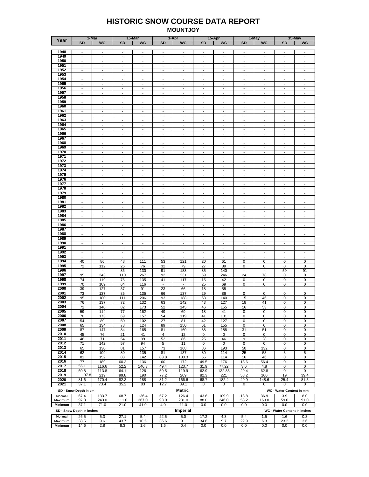#### **HISTORIC SNOW COURSE DATA REPORT MOUNTJOY**

|                |                           | 1-Mar                    |                          | 15-Mar                   |                          | 1-Apr                    |                          | 15-Apr                   |                          | 1-May                    |                              | 15-May                   |
|----------------|---------------------------|--------------------------|--------------------------|--------------------------|--------------------------|--------------------------|--------------------------|--------------------------|--------------------------|--------------------------|------------------------------|--------------------------|
| Year           | <b>SD</b>                 | <b>WC</b>                | SD                       | <b>WC</b>                | <b>SD</b>                | <b>WC</b>                | <b>SD</b>                | <b>WC</b>                | <b>SD</b>                | <b>WC</b>                | <b>SD</b>                    | <b>WC</b>                |
|                |                           |                          |                          |                          |                          |                          |                          |                          |                          |                          |                              |                          |
|                |                           |                          |                          |                          |                          |                          |                          |                          |                          |                          |                              |                          |
| 1948           | $\overline{\phantom{a}}$  | $\overline{\phantom{a}}$ | $\sim$                   | $\overline{\phantom{a}}$ | $\sim$                   | $\sim$                   | $\sim$                   | $\overline{\phantom{a}}$ | $\sim$                   | $\sim$                   | $\overline{\phantom{a}}$     | $\overline{\phantom{a}}$ |
| 1949           | $\overline{\phantom{a}}$  | $\overline{\phantom{a}}$ | $\overline{\phantom{a}}$ | $\overline{\phantom{a}}$ | $\overline{\phantom{a}}$ | $\overline{\phantom{a}}$ | $\overline{\phantom{a}}$ | $\blacksquare$           | $\overline{\phantom{a}}$ | $\overline{\phantom{a}}$ | $\overline{\phantom{a}}$     | $\overline{\phantom{a}}$ |
| 1950           | $\overline{\phantom{a}}$  | $\overline{\phantom{a}}$ | $\sim$                   | $\overline{\phantom{a}}$ | $\sim$                   | $\sim$                   | $\mathbf{r}$             | $\overline{\phantom{a}}$ | $\sim$                   | $\sim$                   | $\overline{\phantom{a}}$     | $\sim$                   |
|                |                           |                          |                          |                          |                          |                          |                          |                          |                          |                          |                              |                          |
| 1951           | $\overline{\phantom{a}}$  | $\overline{\phantom{a}}$ | $\blacksquare$           | $\overline{\phantom{a}}$ | $\overline{\phantom{a}}$ | $\overline{\phantom{a}}$ | $\overline{\phantom{a}}$ | $\overline{\phantom{a}}$ | $\overline{\phantom{a}}$ | $\blacksquare$           | $\overline{\phantom{a}}$     | $\overline{\phantom{a}}$ |
| 1952           | $\blacksquare$            | $\blacksquare$           | $\overline{\phantom{a}}$ | $\overline{\phantom{a}}$ | $\overline{\phantom{a}}$ | $\overline{\phantom{a}}$ | $\blacksquare$           | $\blacksquare$           | $\overline{\phantom{a}}$ | $\sim$                   | $\overline{\phantom{a}}$     | $\sim$                   |
| 1953           |                           | $\overline{\phantom{a}}$ | $\overline{\phantom{a}}$ | $\overline{\phantom{a}}$ | $\overline{\phantom{a}}$ | $\overline{\phantom{a}}$ |                          |                          | $\overline{\phantom{a}}$ |                          | $\overline{\phantom{a}}$     | $\overline{\phantom{a}}$ |
|                | $\blacksquare$            |                          |                          |                          |                          |                          | $\blacksquare$           | $\blacksquare$           |                          | $\overline{\phantom{a}}$ |                              |                          |
| 1954           | $\sim$                    | $\blacksquare$           | $\overline{a}$           | $\blacksquare$           | $\sim$                   | $\overline{\phantom{a}}$ | $\blacksquare$           | $\sim$                   | $\sim$                   | $\overline{\phantom{a}}$ | $\sim$                       | $\overline{\phantom{a}}$ |
| 1955           | $\overline{\phantom{a}}$  | $\overline{\phantom{a}}$ | $\overline{\phantom{a}}$ | $\overline{\phantom{a}}$ | $\overline{\phantom{a}}$ | $\overline{\phantom{a}}$ | $\overline{\phantom{a}}$ | $\overline{\phantom{a}}$ | $\overline{\phantom{a}}$ | $\overline{\phantom{a}}$ | $\overline{\phantom{a}}$     | $\overline{\phantom{a}}$ |
|                |                           |                          |                          |                          |                          |                          |                          |                          |                          |                          |                              |                          |
| 1956           | $\overline{\phantom{a}}$  | $\overline{a}$           | $\overline{\phantom{a}}$ | $\overline{a}$           | $\overline{\phantom{a}}$ | $\overline{a}$           | $\sim$                   | $\overline{\phantom{a}}$ | $\sim$                   | $\overline{a}$           | $\blacksquare$               | $\sim$                   |
| 1957           | $\blacksquare$            | $\overline{\phantom{a}}$ | $\overline{\phantom{a}}$ | $\overline{\phantom{a}}$ | $\overline{\phantom{a}}$ | $\overline{\phantom{a}}$ | $\overline{\phantom{a}}$ | $\blacksquare$           | $\overline{\phantom{a}}$ | $\overline{\phantom{a}}$ | $\overline{\phantom{a}}$     | $\overline{\phantom{a}}$ |
| 1958           | $\sim$                    | $\blacksquare$           | $\overline{\phantom{a}}$ | $\blacksquare$           | $\blacksquare$           | $\overline{a}$           | $\blacksquare$           | $\sim$                   | $\blacksquare$           | $\blacksquare$           | $\blacksquare$               | $\overline{\phantom{a}}$ |
|                |                           |                          |                          |                          |                          |                          |                          |                          |                          |                          |                              |                          |
| 1959           | $\overline{\phantom{a}}$  | $\overline{\phantom{a}}$ | $\overline{\phantom{a}}$ | $\overline{\phantom{a}}$ | $\overline{\phantom{a}}$ | $\overline{\phantom{a}}$ | $\overline{\phantom{a}}$ | $\overline{\phantom{a}}$ | $\overline{\phantom{a}}$ | $\blacksquare$           | $\overline{\phantom{a}}$     | $\overline{\phantom{a}}$ |
| 1960           | $\overline{\phantom{a}}$  | ÷,                       | ÷,                       | $\frac{1}{2}$            | $\overline{a}$           | $\overline{\phantom{a}}$ | $\overline{\phantom{a}}$ | $\blacksquare$           | ÷,                       | $\overline{\phantom{a}}$ | $\overline{\phantom{a}}$     | $\blacksquare$           |
|                |                           |                          |                          |                          |                          |                          |                          |                          |                          |                          |                              |                          |
| 1961           | $\overline{\phantom{a}}$  | $\overline{\phantom{a}}$ | $\overline{\phantom{a}}$ | $\overline{\phantom{a}}$ | $\overline{\phantom{a}}$ | $\overline{\phantom{a}}$ | $\overline{\phantom{a}}$ | $\overline{\phantom{a}}$ | $\overline{\phantom{a}}$ | $\overline{\phantom{a}}$ | $\overline{\phantom{a}}$     | $\overline{\phantom{a}}$ |
| 1962           | $\sim$                    | $\overline{a}$           | $\overline{\phantom{a}}$ | $\frac{1}{2}$            | $\overline{\phantom{a}}$ | Ĭ.                       | $\blacksquare$           | $\overline{\phantom{a}}$ | $\overline{\phantom{a}}$ | $\sim$                   | $\overline{\phantom{a}}$     | $\sim$                   |
| 1963           |                           |                          |                          | $\overline{\phantom{a}}$ |                          |                          |                          |                          |                          |                          |                              | $\sim$                   |
|                | $\overline{\phantom{a}}$  | $\blacksquare$           | $\overline{\phantom{a}}$ |                          | $\overline{\phantom{a}}$ | $\overline{\phantom{a}}$ | $\overline{\phantom{a}}$ | $\overline{\phantom{a}}$ | $\overline{\phantom{a}}$ | $\blacksquare$           | $\overline{\phantom{a}}$     |                          |
| 1964           | $\blacksquare$            | $\blacksquare$           | ÷,                       | $\blacksquare$           | $\frac{1}{2}$            | $\overline{\phantom{a}}$ | $\overline{\phantom{a}}$ | $\blacksquare$           | $\overline{\phantom{a}}$ | $\overline{\phantom{a}}$ | $\overline{\phantom{a}}$     | $\overline{\phantom{a}}$ |
| 1965           | $\sim$                    | $\overline{\phantom{a}}$ | $\sim$                   | $\sim$                   | $\sim$                   | $\overline{\phantom{a}}$ | $\blacksquare$           | $\blacksquare$           | $\blacksquare$           | $\overline{\phantom{a}}$ | $\blacksquare$               | $\overline{\phantom{a}}$ |
|                |                           |                          |                          |                          |                          |                          |                          |                          |                          |                          |                              |                          |
| 1966           | $\overline{\phantom{a}}$  | $\overline{\phantom{a}}$ | $\overline{\phantom{a}}$ | $\overline{\phantom{a}}$ | $\overline{\phantom{a}}$ | $\overline{\phantom{a}}$ | $\overline{\phantom{a}}$ | $\overline{\phantom{a}}$ | $\overline{\phantom{a}}$ | $\overline{\phantom{a}}$ | $\overline{\phantom{a}}$     | $\overline{\phantom{a}}$ |
| 1967           | $\blacksquare$            | $\overline{\phantom{a}}$ | $\blacksquare$           | $\overline{\phantom{a}}$ | $\overline{\phantom{a}}$ | $\overline{\phantom{a}}$ | $\overline{\phantom{a}}$ | $\overline{\phantom{a}}$ | $\overline{\phantom{a}}$ | $\overline{\phantom{a}}$ | $\overline{\phantom{a}}$     | $\overline{\phantom{a}}$ |
| 1968           |                           |                          |                          |                          |                          |                          |                          |                          |                          |                          |                              |                          |
|                | $\blacksquare$            | $\overline{\phantom{a}}$ | $\overline{\phantom{a}}$ | $\overline{\phantom{a}}$ | $\overline{\phantom{a}}$ | $\overline{\phantom{a}}$ | $\blacksquare$           | $\blacksquare$           | $\overline{\phantom{a}}$ | $\overline{\phantom{a}}$ | $\overline{\phantom{a}}$     | $\overline{\phantom{a}}$ |
| 1969           | $\sim$                    | $\overline{\phantom{a}}$ | $\blacksquare$           | $\overline{\phantom{a}}$ | $\overline{\phantom{a}}$ | $\overline{\phantom{a}}$ | $\blacksquare$           | $\blacksquare$           | $\overline{\phantom{a}}$ | $\overline{\phantom{a}}$ | $\overline{\phantom{a}}$     | $\overline{\phantom{a}}$ |
| 1970           | $\overline{\phantom{a}}$  | $\overline{\phantom{a}}$ | $\overline{\phantom{a}}$ | $\overline{\phantom{a}}$ | $\overline{\phantom{a}}$ | $\overline{\phantom{a}}$ | $\overline{\phantom{a}}$ | $\blacksquare$           | $\overline{\phantom{a}}$ | $\overline{\phantom{a}}$ | $\overline{\phantom{a}}$     | $\overline{\phantom{a}}$ |
|                |                           |                          |                          |                          |                          |                          |                          |                          |                          |                          |                              |                          |
| 1971           | $\overline{\phantom{a}}$  | $\blacksquare$           | $\sim$                   | $\overline{\phantom{a}}$ | $\overline{\phantom{a}}$ | $\overline{\phantom{a}}$ | $\mathbf{r}$             | $\blacksquare$           | $\overline{\phantom{a}}$ | $\sim$                   | $\overline{\phantom{a}}$     | $\sim$                   |
| 1972           | $\overline{\phantom{a}}$  | $\overline{\phantom{a}}$ | $\overline{\phantom{a}}$ | $\overline{\phantom{a}}$ | $\overline{\phantom{a}}$ | $\overline{\phantom{a}}$ | $\overline{\phantom{a}}$ | $\blacksquare$           | $\overline{\phantom{a}}$ | $\blacksquare$           | $\overline{\phantom{a}}$     | $\overline{\phantom{a}}$ |
| 1973           | $\overline{\phantom{a}}$  | $\overline{\phantom{a}}$ | $\overline{\phantom{a}}$ | $\overline{\phantom{a}}$ | $\overline{\phantom{a}}$ | $\sim$                   | $\overline{\phantom{a}}$ | $\blacksquare$           | $\overline{\phantom{a}}$ | $\sim$                   | $\overline{\phantom{a}}$     | $\overline{\phantom{a}}$ |
|                |                           |                          |                          |                          |                          |                          |                          |                          |                          |                          |                              |                          |
| 1974           | $\overline{\phantom{a}}$  | $\overline{\phantom{a}}$ | $\overline{\phantom{a}}$ | $\overline{\phantom{a}}$ | $\overline{\phantom{a}}$ | $\overline{\phantom{a}}$ | $\overline{\phantom{a}}$ | $\overline{\phantom{a}}$ | $\overline{\phantom{a}}$ | $\blacksquare$           | $\overline{\phantom{a}}$     | $\overline{\phantom{a}}$ |
| 1975           | $\blacksquare$            | $\overline{\phantom{a}}$ | $\overline{\phantom{a}}$ | $\overline{\phantom{a}}$ | $\overline{\phantom{a}}$ | $\overline{\phantom{a}}$ | $\blacksquare$           | $\blacksquare$           | $\blacksquare$           | $\sim$                   | $\blacksquare$               | $\sim$                   |
|                |                           |                          |                          |                          |                          |                          |                          |                          |                          |                          |                              |                          |
| 1976           | $\overline{\phantom{a}}$  | $\overline{\phantom{a}}$ | $\blacksquare$           | $\overline{\phantom{a}}$ | $\overline{\phantom{a}}$ | $\overline{\phantom{a}}$ | $\blacksquare$           | $\blacksquare$           | $\overline{\phantom{a}}$ | $\overline{\phantom{a}}$ | $\overline{\phantom{a}}$     | $\overline{\phantom{a}}$ |
| 1977           | $\sim$                    | $\overline{a}$           | $\overline{\phantom{a}}$ | $\blacksquare$           | $\blacksquare$           | $\overline{\phantom{a}}$ | $\blacksquare$           | $\sim$                   | $\blacksquare$           | $\overline{\phantom{a}}$ | $\blacksquare$               | $\overline{\phantom{a}}$ |
| 1978           | $\overline{\phantom{a}}$  | $\overline{\phantom{a}}$ | $\overline{\phantom{a}}$ | $\overline{\phantom{a}}$ | $\overline{\phantom{a}}$ | $\overline{\phantom{a}}$ | $\overline{\phantom{a}}$ | $\overline{\phantom{a}}$ | $\overline{\phantom{a}}$ | $\overline{\phantom{a}}$ | $\overline{\phantom{a}}$     | $\overline{\phantom{a}}$ |
|                |                           |                          |                          |                          |                          |                          |                          |                          |                          |                          |                              |                          |
| 1979           | $\mathbf{r}$              | $\overline{\phantom{a}}$ | $\overline{a}$           | $\overline{\phantom{a}}$ | $\overline{\phantom{a}}$ | $\overline{a}$           | $\sim$                   | $\overline{\phantom{a}}$ | $\sim$                   | $\overline{\phantom{a}}$ | $\sim$                       | $\sim$                   |
| 1980           | $\blacksquare$            | $\overline{\phantom{a}}$ | $\overline{\phantom{a}}$ | $\overline{\phantom{a}}$ | $\overline{\phantom{a}}$ | $\overline{\phantom{a}}$ | $\blacksquare$           | $\blacksquare$           | $\overline{\phantom{a}}$ | $\overline{\phantom{a}}$ | $\overline{\phantom{a}}$     | $\overline{\phantom{a}}$ |
|                | $\sim$                    | $\overline{a}$           | $\overline{\phantom{a}}$ | $\blacksquare$           | $\blacksquare$           | $\overline{\phantom{a}}$ | $\blacksquare$           |                          | $\blacksquare$           | $\overline{\phantom{a}}$ | $\blacksquare$               | $\overline{\phantom{a}}$ |
| 1981           |                           |                          |                          |                          |                          |                          |                          | $\overline{\phantom{a}}$ |                          |                          |                              |                          |
| 1982           | $\overline{\phantom{a}}$  | $\overline{\phantom{a}}$ | $\blacksquare$           | $\overline{\phantom{a}}$ | $\blacksquare$           | $\overline{a}$           | $\overline{\phantom{a}}$ | $\overline{\phantom{a}}$ | $\overline{\phantom{a}}$ | $\overline{\phantom{a}}$ | $\blacksquare$               | $\overline{\phantom{a}}$ |
| 1983           | $\overline{\phantom{a}}$  | $\overline{a}$           | $\overline{a}$           | $\overline{a}$           | $\overline{a}$           | Ĭ.                       | $\overline{\phantom{a}}$ | $\frac{1}{2}$            | $\overline{\phantom{a}}$ | $\overline{\phantom{a}}$ | $\overline{a}$               | ÷,                       |
|                |                           |                          |                          |                          |                          |                          |                          |                          |                          |                          |                              |                          |
| 1984           | $\overline{\phantom{a}}$  | $\overline{\phantom{a}}$ | $\overline{\phantom{a}}$ | $\overline{\phantom{a}}$ | $\overline{\phantom{a}}$ | $\overline{\phantom{a}}$ | $\overline{\phantom{a}}$ | $\overline{\phantom{a}}$ | $\overline{\phantom{a}}$ | $\overline{\phantom{a}}$ | $\overline{\phantom{a}}$     | $\overline{\phantom{a}}$ |
| 1985           | $\sim$                    | $\overline{a}$           | $\overline{\phantom{a}}$ | $\overline{a}$           | $\overline{\phantom{a}}$ | Ĭ.                       | $\blacksquare$           | $\frac{1}{2}$            | ÷,                       | $\overline{\phantom{a}}$ | $\overline{\phantom{a}}$     | $\sim$                   |
| 1986           |                           |                          |                          |                          |                          |                          | $\overline{\phantom{a}}$ |                          |                          |                          |                              | $\sim$                   |
|                | $\overline{\phantom{a}}$  | $\blacksquare$           | $\overline{\phantom{a}}$ | $\overline{\phantom{a}}$ | $\overline{\phantom{a}}$ | $\overline{\phantom{a}}$ |                          | $\overline{\phantom{a}}$ | $\overline{\phantom{a}}$ | $\blacksquare$           | $\overline{\phantom{a}}$     |                          |
| 1987           | $\overline{\phantom{a}}$  | $\overline{\phantom{a}}$ | ÷,                       | $\overline{\phantom{a}}$ | $\overline{a}$           | $\frac{1}{2}$            | $\overline{\phantom{a}}$ | $\blacksquare$           | $\overline{\phantom{a}}$ | $\overline{\phantom{a}}$ | $\overline{\phantom{a}}$     | $\overline{\phantom{a}}$ |
| 1988           | $\overline{\phantom{a}}$  | $\overline{\phantom{a}}$ | $\overline{\phantom{a}}$ | $\overline{\phantom{a}}$ | $\overline{\phantom{a}}$ | $\overline{\phantom{a}}$ | $\overline{\phantom{a}}$ | $\overline{\phantom{a}}$ | $\overline{\phantom{a}}$ | $\overline{\phantom{a}}$ | $\overline{\phantom{a}}$     | $\overline{\phantom{a}}$ |
|                |                           |                          |                          |                          |                          |                          |                          |                          |                          |                          |                              |                          |
| 1989           | $\overline{\phantom{a}}$  | $\blacksquare$           | $\overline{\phantom{a}}$ | $\overline{\phantom{a}}$ | $\overline{\phantom{a}}$ | $\overline{\phantom{a}}$ | $\overline{\phantom{a}}$ | $\blacksquare$           | $\overline{\phantom{a}}$ | $\overline{\phantom{a}}$ | $\overline{\phantom{a}}$     | $\overline{\phantom{a}}$ |
| 1990           | $\blacksquare$            | $\overline{\phantom{a}}$ | $\blacksquare$           | $\sim$                   | $\blacksquare$           | $\overline{\phantom{a}}$ | $\blacksquare$           | $\overline{\phantom{a}}$ | $\overline{\phantom{a}}$ | $\blacksquare$           | $\blacksquare$               | $\overline{\phantom{a}}$ |
| 1991           |                           |                          |                          |                          |                          |                          |                          |                          |                          |                          |                              |                          |
|                | $\blacksquare$            | $\overline{\phantom{a}}$ | $\overline{\phantom{a}}$ | $\overline{\phantom{a}}$ | $\overline{\phantom{a}}$ | $\overline{\phantom{a}}$ | $\blacksquare$           | $\overline{\phantom{a}}$ | $\overline{\phantom{a}}$ | $\overline{\phantom{a}}$ | $\overline{\phantom{a}}$     | $\blacksquare$           |
| 1992           | $\sim$                    | $\overline{\phantom{a}}$ | $\blacksquare$           | $\blacksquare$           | $\blacksquare$           | $\overline{\phantom{a}}$ | $\overline{\phantom{a}}$ | $\blacksquare$           | $\overline{\phantom{a}}$ | $\overline{\phantom{a}}$ | $\blacksquare$               | $\overline{\phantom{a}}$ |
| 1993           | $\overline{\phantom{a}}$  | $\overline{\phantom{a}}$ | $\overline{\phantom{a}}$ | $\overline{\phantom{a}}$ | $\blacksquare$           | $\overline{\phantom{a}}$ | $\blacksquare$           | $\overline{\phantom{a}}$ | $\overline{\phantom{a}}$ | $\overline{\phantom{a}}$ | $\overline{\phantom{a}}$     | $\overline{\phantom{a}}$ |
|                |                           |                          |                          |                          |                          |                          |                          |                          |                          |                          |                              |                          |
| 1994           | 40                        | 86                       | 48                       | 111                      | 53                       | 121                      | 20                       | 61                       | 0                        | 0                        | 0                            | 0                        |
| 1995           | 72                        | 112                      | 26                       | 76                       | 32                       | 79                       | 27                       | 89                       | 0                        | 0                        | 0                            | 0                        |
| 1996           | $\overline{\phantom{a}}$  | $\overline{\phantom{a}}$ | 86                       | 130                      | 91                       | 183                      | 85                       | 140                      | $\overline{\phantom{a}}$ | $\sim$                   | 59                           | 91                       |
|                |                           |                          |                          |                          |                          |                          |                          |                          |                          |                          |                              |                          |
| 1997           | 95                        | 243                      | 110                      | 267                      | 92                       | 231                      | 59                       | 246                      | 24                       | 78                       | 0                            | 0                        |
| 1998           | 74                        | 119                      | 75                       | 135                      | 41                       | 117                      | 15                       | 42                       | 0                        | 0                        | 0                            | 0                        |
| 1999           |                           |                          |                          |                          |                          |                          |                          |                          |                          |                          |                              |                          |
|                | 70                        | 109                      | 64                       | 116                      | $\blacksquare$           | $\overline{\phantom{a}}$ | 25                       | 69                       | 0                        | 0                        | 0                            | 0                        |
| 2000           | 39                        | 127                      | 37                       | 91                       | 23                       | 66                       | 18                       | 55                       | $\overline{\phantom{a}}$ | $\overline{\phantom{a}}$ | $\overline{\phantom{a}}$     | $\overline{\phantom{a}}$ |
| 2001           | 73                        | 137                      | 85                       | 135                      | 66                       | 137                      | 29                       | 86                       | 0                        | 0                        | 0                            | 0                        |
|                |                           |                          |                          |                          |                          |                          |                          |                          |                          |                          |                              |                          |
| 2002           | 95                        | 180                      | 111                      | 206                      | 93                       | 188                      | 63                       | 140                      | 15                       | 46                       | 0                            | 0                        |
| 2003           | 76                        | 137                      | 72                       | 132                      | 63                       | 142                      | 43                       | 127                      | 18                       | 41                       | 0                            | 0                        |
| 2004           | 72                        | 140                      | 82                       | 173                      | 52                       | 145                      | 46                       | 155                      | 16                       | 53                       | 0                            | U                        |
|                |                           |                          |                          |                          |                          |                          |                          |                          |                          |                          |                              |                          |
| 2005           | 59                        | 114                      | 77                       | 162                      | 49                       | 69                       | 18                       | 41                       | 0                        | 0                        | 0                            | 0                        |
| 2006           | 70                        | 173                      | 69                       | 157                      | 54                       | 119                      | 41                       | 101                      | 0                        | 0                        | 0                            | 0                        |
| 2007           | 54                        | 89                       | 50                       | 102                      | 27                       | 81                       | 42                       | 127                      | 0                        | 0                        | 0                            | 0                        |
|                |                           |                          |                          |                          |                          |                          |                          |                          |                          |                          |                              |                          |
| 2008           | 65                        | 134                      | 78                       | 124                      | 89                       | 150                      | 61                       | 155                      | 0                        | 0                        | 0                            | 0                        |
| 2009           | 87                        | 147                      | 84                       | 165                      | 81                       | 160                      | 88                       | 188                      | 31                       | 51                       | 0                            | 0                        |
| 2010           | 45                        | 76                       | 21                       | 41                       | 4                        | 12                       | 0                        | 0                        | $\mathbf 0$              | 0                        | 0                            | 0                        |
|                |                           |                          |                          |                          |                          |                          |                          |                          |                          |                          |                              |                          |
| 2011           | 46                        | 71                       | 54                       | 99                       | 52                       | 86                       | 25                       | 46                       | 9                        | 28                       | 0                            | 0                        |
| 2012           | 71                        | 142                      | 57                       | 94                       | 5                        | 11                       | 0                        | $\mathbf 0$              | 0                        | $\mathbf 0$              | 0                            | 0                        |
| 2013           |                           |                          |                          |                          |                          |                          |                          |                          |                          |                          |                              |                          |
|                | 65                        | 130                      | 81                       | 157                      | 73                       | 168                      | 86                       | 193                      | 50                       | 132                      | 0                            | 0                        |
| 2014           | 62                        | 109                      | 80                       | 135                      | 81                       | 137                      | 80                       | 114                      | 25                       | 53                       | 3                            | 5                        |
| 2015           | 81                        | 152                      | 83                       | 142                      | 83.8                     | 180.3                    | 55                       | 114                      | 16                       | 46                       | 0                            | 0                        |
|                |                           |                          |                          |                          |                          |                          |                          |                          |                          |                          |                              |                          |
| 2016           | 77                        | 189                      | 60.3                     | 136                      | 60                       | 172                      | 49.5                     | 176                      | 13.6                     | 56.4                     | 0                            | 0                        |
| 2017           | 55.1                      | 116.6                    | 52.2                     | 146.3                    | 49.4                     | 123.7                    | 31.9                     | 77.22                    | 3.6                      | 4.8                      | 0                            | 0                        |
| 2018           |                           |                          |                          |                          |                          |                          |                          |                          |                          |                          | 0                            | 0                        |
|                | 60.8                      | 113.8                    | 64.1                     | 126                      | 59.5                     | 119.9                    | 62.9                     | 132.85                   | 29.4                     | 62.8                     |                              |                          |
| 2019           | 97.8                      | 219                      | 99.8                     | 190                      | 77.2                     | 209                      | 82.3                     | 221                      | 58.2                     | 160                      | 19                           | 39.4                     |
| 2020           | 81.6                      | 170.4                    | 82.3                     | 188                      | 81.2                     | 166.6                    | 68.7                     | 182.4                    | 49.9                     | 148.6                    | 25.4                         | 81.5                     |
|                |                           |                          |                          |                          |                          |                          |                          |                          |                          |                          |                              |                          |
| 2021           | 37.1                      | 73.4                     | 35.2                     | 83                       | 12.7                     | 39.1                     | 0                        | 0                        | 0                        | 0                        | 0                            | 0                        |
|                |                           |                          |                          |                          |                          | <b>Metric</b>            |                          |                          |                          |                          |                              |                          |
|                | SD - Snow Depth in cm     |                          |                          |                          |                          |                          |                          |                          |                          |                          | WC - Water Content in mm     |                          |
| Normal         | 67.4                      | <u>133.7</u>             | 68.7                     | 136.4                    | 57.2                     | 126.4                    | 43.6                     | <u>109.9</u>             | 13.8                     | 36.9                     | 3.9                          | 8.0                      |
| Maximum        | 97.8                      | 243.0                    | 111.0                    | 267.0                    | 93.0                     | 231.0                    | 88.0                     | 246.0                    | 58.2                     | 160.0                    | 59.0                         | 91.0                     |
|                |                           |                          |                          |                          |                          |                          |                          |                          |                          |                          |                              |                          |
| <b>Minimum</b> | 37.1                      | 71.0                     | 21.0                     | 41.0                     | 4.0                      | 11.0                     | 0.0                      | 0.0                      | 0.0                      | 0.0                      | 0.0                          | 0.0                      |
|                |                           |                          |                          |                          |                          |                          |                          |                          |                          |                          |                              |                          |
|                | SD - Snow Depth in inches |                          |                          |                          |                          | Imperial                 |                          |                          |                          |                          | WC - Water Content in inches |                          |
| Normal         | 26.5                      | 5.3                      | 27.1                     | 5.4                      | 22.5                     | 5.0                      | 17.2                     | 4.3                      | 5.4                      | 1.5                      | 1.6                          | 0.3                      |
|                |                           |                          |                          |                          |                          |                          |                          |                          |                          |                          |                              |                          |
| Maximum        | 38.5                      | 9.6                      | 43.7                     | 10.5                     | 36.6                     | 9.1                      | 34.6                     | 9.7                      | 22.9                     | 6.3                      | 23.2                         | 3.6                      |
| Minimum        | 14.6                      | 2.8                      | 8.3                      | 1.6                      | 1.6                      | 0.4                      | 0.0                      | 0.0                      | 0.0                      | 0.0                      | 0.0                          | 0.0                      |
|                |                           |                          |                          |                          |                          |                          |                          |                          |                          |                          |                              |                          |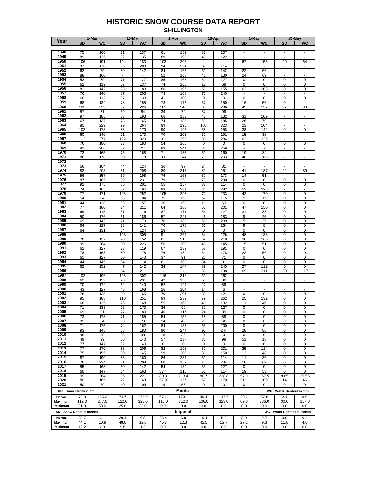#### **HISTORIC SNOW COURSE DATA REPORT SHILLINGTON**

|                |                           | 1-Mar                    |                          | 15-Mar                   |              | 1-Apr           |                | 15-Apr                   |                          | 1-May                    |                              | 15-May                   |
|----------------|---------------------------|--------------------------|--------------------------|--------------------------|--------------|-----------------|----------------|--------------------------|--------------------------|--------------------------|------------------------------|--------------------------|
| Year           | <b>SD</b>                 | <b>WC</b>                | <b>SD</b>                | <b>WC</b>                | <b>SD</b>    | WC              | <b>SD</b>      | <b>WC</b>                | <b>SD</b>                | <b>WC</b>                | <b>SD</b>                    | <b>WC</b>                |
|                |                           |                          |                          |                          |              |                 |                |                          |                          |                          |                              |                          |
| 1948           | 75                        | 160                      | 71                       | 137                      | 61           | 152             | 32             | 107                      |                          |                          | $\overline{\phantom{a}}$     |                          |
|                |                           |                          |                          |                          |              |                 |                |                          |                          |                          |                              |                          |
| 1949           | 89                        | 135                      | 82                       | 135                      | 89           | 193             | 49             | 122                      | $\overline{\phantom{a}}$ | $\overline{\phantom{a}}$ | $\blacksquare$               | $\sim$                   |
| 1950           | 106                       | 191                      | 104                      | 183                      | 103          | 206             |                | $\overline{\phantom{a}}$ | 67                       | 155                      | 20                           | 64                       |
| 1951           | 97                        | 178                      | 96                       | 208                      | 94           | 224             | 37             | 114                      | $\sim$                   | $\overline{\phantom{a}}$ | $\overline{\phantom{a}}$     | ÷,                       |
| 1952           | 62                        | 79                       | 80                       | 142                      | 84           | 163             | 61             | 142                      | 22                       | 66                       | $\Box$                       | $\overline{\phantom{a}}$ |
| 1953           |                           |                          | $\overline{\phantom{a}}$ | $\sim$                   |              |                 |                |                          |                          |                          | $\overline{\phantom{a}}$     |                          |
|                | 88                        | 160                      |                          |                          | 52           | 168             | 41             | 130                      | 24                       | 69                       |                              |                          |
| 1954           | 53                        | 89                       | 71                       | 127                      | 85           | 165             | 51             | 127                      | 0                        | 0                        | 0                            | 0                        |
| 1955           | 62                        | 119                      | 67                       | 137                      | 74           | 165             | 18             | 69                       | 0                        | 0                        | 0                            | 0                        |
| 1956           | 81                        | 142                      | 93                       | 180                      | 86           | 196             | 56             | 155                      | 62                       | 203                      | 0                            | 0                        |
| 1957           | 76                        | 140                      |                          | 203                      | 73           |                 |                | 140                      |                          | $\blacksquare$           |                              |                          |
|                |                           |                          | 87                       |                          |              | 168             | 71             |                          |                          |                          |                              |                          |
| 1958           | 66                        | 112                      | 57                       | 130                      | 41           | 109             | 0              | 0                        | 0                        | $\pmb{0}$                | 0                            | 0                        |
| 1959           | 68                        | 132                      | 78                       | 155                      | 78           | 173             | 57             | 150                      | 16                       | 56                       | 0                            | $\overline{\phantom{a}}$ |
| 1960           | 102                       | 239                      | 97                       | 226                      | 101          | 246             | 83             | 236                      | 45                       | 157                      | $\overline{27}$              | 99                       |
| 1961           | 57                        | 81                       | 59                       | 84                       | 39           | 79              | 37             | 99                       |                          | $\sim$                   | $\overline{\phantom{a}}$     |                          |
| 1962           |                           |                          |                          |                          |              |                 |                |                          |                          |                          |                              |                          |
|                | 97                        | 185                      | 83                       | 193                      | 66           | 183             | 48             | 132                      | 31                       | 109                      | $\overline{\phantom{a}}$     | $\overline{\phantom{a}}$ |
| 1963           | 67                        | 137                      | 78                       | 165                      | 74           | 185             | 69             | 185                      | 26                       | 79                       | $\blacksquare$               |                          |
| 1964           | 85                        | 229                      | 99                       | 264                      | 99           | 195             | 108            | 323                      | 23                       | 104                      | $\overline{\phantom{a}}$     | $\frac{1}{2}$            |
| 1965           | 102                       | 173                      | 88                       | 170                      | 90           | 196             | 68             | 158                      | 38                       | 142                      | 0                            | 0                        |
| 1966           |                           |                          |                          |                          |              |                 |                |                          |                          |                          |                              |                          |
|                | 60                        | 140                      | 71                       | 173                      | 70           | 201             | 62             | 191                      | 15                       | 36                       | $\overline{\phantom{a}}$     | $\overline{\phantom{a}}$ |
| 1967           | 112                       | 277                      | 122                      | 320                      | 101          | 295             | 80             | 284                      | 63                       | 236                      |                              |                          |
| 1968           | 76                        | 180                      | 73                       | 180                      | 54           | 160             | 0              | 0                        | 0                        | 0                        | 0                            | 0                        |
| 1969           | 82                        | 206                      | 82                       | 211                      | 89           | 244             | 86             | 259                      |                          |                          |                              |                          |
| 1970           | 72                        | 165                      | 75                       | 168                      | 71           | 188             | 59             | 160                      | 19                       | 84                       | $\overline{\phantom{a}}$     | $\frac{1}{2}$            |
|                |                           |                          |                          |                          |              |                 |                |                          |                          |                          | $\overline{\phantom{a}}$     | $\overline{a}$           |
| 1971           | 86                        | 178                      | 80                       | 178                      | 100          | 244             | 70             | 203                      | 40                       | 168                      |                              |                          |
| 1972           | $\overline{a}$            | $\mathbf{r}$             | $\overline{\phantom{a}}$ | $\overline{\phantom{a}}$ | $\mathbf{r}$ | $\blacksquare$  | $\blacksquare$ | $\overline{\phantom{a}}$ | $\mathbf{r}$             | $\mathbf{r}$             | $\overline{\phantom{a}}$     | $\overline{\phantom{a}}$ |
| 1973           | 56                        | 104                      | 44                       | 124                      | 36           | 97              | 24             | 81                       |                          | $\overline{\phantom{a}}$ | $\overline{\phantom{a}}$     | ÷,                       |
| 1974           | 82                        | 208                      | 81                       | 208                      | 80           | 218             | 89             | 251                      | 41                       | 137                      | 22                           | 89                       |
| 1975           |                           |                          |                          |                          |              |                 |                |                          |                          |                          | ÷,                           |                          |
|                | 56                        | 157                      | 69                       | 198                      | 76           | 168             | 57             | 173                      | 14                       | 51                       |                              |                          |
| 1976           | 87                        | 185                      | 99                       | 231                      | 79           | 259             | 73             | 290                      | 0                        | 0                        | 0                            | $\overline{0}$           |
| 1977           | 92                        | 175                      | 85                       | 201                      | 55           | 157             | 38             | 114                      | 0                        | 0                        | 0                            | 0                        |
| 1978           | 74                        | 165                      | 82                       | 194                      | 93           | 231             | 81             | 282                      | 52                       | 226                      | $\overline{\phantom{a}}$     |                          |
| 1979           | 77                        | 171                      | 103                      | 252                      | 105          | 298             | 72             | 233                      | 42                       | 170                      | 0                            | 0                        |
|                |                           |                          |                          |                          |              |                 |                |                          |                          |                          |                              |                          |
| 1980           | 54                        | 84                       | 58                       | 104                      | 75           | 150             | 57             | 115                      | 5                        | 15                       | 0                            | 0                        |
| 1981           | 44                        | 138                      | 53                       | 157                      | 36           | 152             | 13             | 63                       | 0                        | 0                        | 0                            | 0                        |
| 1982           | 77                        | 180                      | 74                       | 211                      | 64           | 168             | 65             | 201                      | 47                       | 150                      | 0                            | 0                        |
| 1983           | 69                        | 115                      | 51                       | 116                      | 87           | 171             | 54             | 127                      | 31                       | 88                       | 0                            | 0                        |
| 1984           |                           |                          |                          |                          |              |                 |                |                          |                          |                          |                              |                          |
|                | 50                        | 176                      | 61                       | 186                      | 57           | 221             | 46             | 183                      | 9                        | 25                       | 0                            | 0                        |
| 1985           | 69                        | 142                      | 71                       | 170                      | 76           | 188             | 69             | 209                      | 5                        | 25                       | 0                            | 0                        |
| 1986           | 64                        | 127                      | 73                       | 141                      | 70           | 178             | 51             | 164                      | 9                        | 8                        | 0                            | 0                        |
| 1987           | 64                        | 131                      | 54                       | 124                      | 28           | 88              | 0              | 0                        | 0                        | 0                        | 0                            | 0                        |
| 1988           |                           | $\overline{\phantom{a}}$ | 103                      | 305                      | 91           | 264             | 54             | 226                      | 48                       | 188                      | 0                            | 0                        |
|                |                           |                          |                          |                          |              |                 |                |                          |                          |                          |                              |                          |
| 1989           | 70                        | 137                      | 78                       | 152                      | 61           | 213             | 62             | 218                      | 36                       | 160                      | 0                            | 0                        |
| 1990           | 99                        | 264                      | 80                       | 226                      | 56           | 203             | 48             | 145                      | 15                       | 51                       | 0                            | 0                        |
| 1991           | 62                        | 127                      | 73                       | 119                      | 67           | 132             | 58             | 191                      | 0                        | 0                        | 0                            | 0                        |
| 1992           | 78                        | 168                      | 80                       | 178                      | 76           | 180             |                | 178                      | 22                       | 56                       | 0                            | 0                        |
|                |                           |                          |                          |                          |              |                 | 61             |                          |                          |                          |                              |                          |
| 1993           | 61                        | 127                      | 60                       | 140                      | 37           | 91              | 26             | 71                       | 0                        | 0                        | 0                            | 0                        |
| 1994           | 44                        | 145                      | 54                       | 114                      | 61           | 190             | 34             | 81                       | 0                        | 0                        | 0                            | 0                        |
| 1995           | 62                        | 152                      | 47                       | 142                      | 34           | 147             | 39             | 145                      | 27                       | 112                      | 0                            | 0                        |
| 1996           |                           | $\sim$                   | 94                       | 211                      |              |                 | 83             | 198                      | 69                       | 211                      | 30                           | 117                      |
| 1997           | 102                       | 196                      | 103                      |                          |              |                 |                |                          | $\overline{\phantom{a}}$ | $\overline{\phantom{a}}$ | $\overline{\phantom{a}}$     | ÷,                       |
|                |                           |                          |                          | 302                      | 116          | 312             | 61             | 262                      |                          |                          |                              |                          |
| 1998           | 62                        | 152                      | 78                       | 231                      | 42           | 158             | 7              | 38                       | $\mathbf{r}$             | $\overline{\phantom{a}}$ | $\overline{\phantom{a}}$     | $\frac{1}{2}$            |
| 1999           | 70                        | 172                      | 62                       | 140                      | 52           | 124             | 27             | 89                       | $\overline{\phantom{a}}$ | $\overline{\phantom{a}}$ | $\overline{\phantom{a}}$     | $\overline{\phantom{a}}$ |
| 2000           | 43                        | 127                      | 45                       | 168                      | 26           | 104             | 14             | 6                        |                          | $\blacksquare$           | ÷.                           |                          |
| 2001           | 78                        | 135                      | 90                       | 165                      | 70           | 201             | 35             | 124                      | 0                        | 0                        | 0                            | 0                        |
| 2002           |                           |                          |                          |                          |              |                 |                |                          |                          |                          |                              |                          |
|                | 95                        | 188                      | 110                      | 251                      | 99           | 239             | 79             | 262                      | 25                       | 132                      | 0                            | 0                        |
| 2003           | 66                        | 135                      | 75                       | 168                      | 55           | 168             | 40             | 132                      | 11                       | 46                       | 0                            | 0                        |
| 2004           | 71                        | 183                      | 76                       | 173                      | 36           | 99              | 37             | 127                      | 0                        |                          |                              |                          |
| 2005           | 69                        | 91                       | 77                       | 180                      | 46           | 117             | 24             | 89                       | 0                        | 0                        | 0                            | 0                        |
| 2006           | 73                        | 178                      | 71                       | 155                      | 54           | 152             | 18             | 89                       | 0                        | 0                        | 0                            | 0                        |
| 2007           | 31                        | 64                       | 33                       | 79                       | 14           | 46              | 21             | 66                       | 0                        | 0                        | 0                            | 0                        |
|                |                           |                          |                          |                          |              |                 |                |                          |                          |                          |                              |                          |
| 2008           | 71                        | 175                      | 74                       | 162                      | 84           | 187             | 55             | 200                      | 0                        | 0                        | 0                            | 0                        |
| 2009           | 93                        | 145                      | 88                       | 180                      | 90           | 244             | 90             | 244                      | 28                       | 86                       | 0                            | 0                        |
| 2010           | 46                        | 58                       | 25                       | 33                       | 18           | 36              | 0              | 0                        | 0                        | 0                        | 0                            | 0                        |
| 2011           | 49                        | 99                       | 60                       | 140                      | 57           | 137             | 31             | 99                       | 51                       | 18                       | 0                            | 0                        |
| 2012           | 77                        | 147                      | 62                       | 140                      | 0            | 0               | 0              | 0                        | 0                        | 0                        | 0                            | 0                        |
|                |                           |                          |                          |                          |              |                 |                |                          |                          |                          |                              |                          |
| 2013           | 77                        | 170                      | 83                       | 206                      | 82           | 196             | 81             | 231                      | 25                       | 114                      | 0                            | 0                        |
| 2014           | 75                        | 155                      | 80                       | 145                      | 99           | 203             | 81             | 150                      | 13                       | 48                       | 0                            | 0                        |
| 2015           | 87                        | 190                      | 83                       | 160                      | 86           | 234             | 51             | 114                      | 11                       | 36                       | 0                            | 0                        |
| 2016           | 76                        | 234                      | 61                       | 208                      | 60           | 152             | 76             | 234                      | 18                       | 69                       | 0                            | 0                        |
| 2017           | 55                        | 163                      |                          | 142                      |              |                 |                |                          | 0                        | 0                        | 0                            | 0                        |
|                |                           |                          | 50                       |                          | 54           | 180             | 33             | 127                      |                          |                          |                              |                          |
| 2018           | 60                        | 147                      | 64                       | 163                      | 57.4         | 116             | 61             | 114                      | 19                       | 53                       | 0                            | 0                        |
| 2019           | 99                        | 264                      | 96                       | 221                      | 80.8         | 213.4           | 80.7           | 238.8                    | 57.9                     | 157.5                    | 9.65                         | 35.56                    |
| 2020           | 80                        | 165                      | 72                       | 163                      | 57.9         | 127             | 57             | 170                      | 31.1                     | 109                      | 14                           | 46                       |
| 2021           | 50                        | 79                       | 40                       | 109                      | 19           | 58              | 0              | $\mathbf 0$              | 0                        | $\mathbf 0$              | 0                            | 0                        |
|                |                           |                          |                          |                          |              |                 |                |                          |                          |                          |                              |                          |
|                | SD - Snow Depth in cm     |                          |                          |                          |              | Metric          |                |                          |                          |                          | WC - Water Content in mm     |                          |
|                |                           |                          |                          |                          |              |                 |                |                          |                          |                          |                              | 9.0                      |
| Normal         | 72.8                      | 155.2                    | 74.7                     | 173.0                    | 67.1         | 173.1           | 49.4           | 147.7                    | 20.2                     | 67.8                     | 2.4                          |                          |
| Maximum        | 112.0                     | 277.0                    | 122.0                    | 320.0                    | 116.0        | 312.0           | 108.0          | 323.0                    | 69.0                     | 236.0                    | 30.0                         | 117.0                    |
| Minimum        | 31.0                      | 58.0                     | 25.0                     | 33.0                     | 0.0          | 0.0             | 0.0            | 0.0                      | 0.0                      | 0.0                      | 0.0                          | 0.0                      |
|                |                           |                          |                          |                          |              | <b>Imperial</b> |                |                          |                          |                          |                              |                          |
|                | SD - Snow Depth in inches |                          |                          |                          |              |                 |                |                          |                          |                          | WC - Water Content in inches |                          |
| Normal         | 28.7                      | 6.1                      | 29.4                     | 6.8                      | 26.4         | 6.8             | 19.4           | 5.8                      | 8.0                      | 2.7                      | 0.9                          | 0.4                      |
| Maximum        | 44.1                      | 10.9                     | 48.0                     | 12.6                     | 45.7         | 12.3            | 42.5           | 12.7                     | 27.2                     | 9.3                      | 11.8                         | 4.6                      |
|                |                           |                          |                          |                          |              |                 |                |                          |                          |                          |                              |                          |
| <b>Minimum</b> | 12.2                      | 2.3                      | 9.8                      | 1.3                      | 0.0          | 0.0             | 0.0            | 0.0                      | 0.0                      | 0.0                      | 0.0                          | 0.0                      |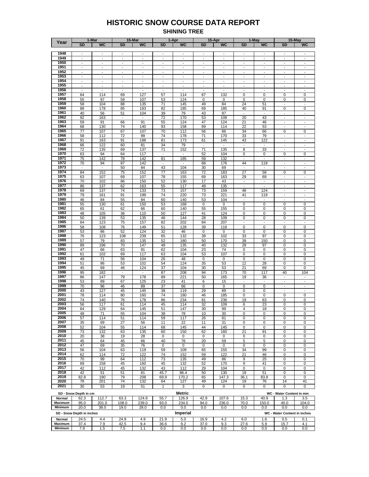#### **HISTORIC SNOW COURSE DATA REPORT SHINING TREE**

|                   |                                            | 1-Mar                                                |                                                      | 15-Mar                                               |                                                      | 1-Apr                                                |                                                      | 15-Apr                                               |                                                      | 1-May                                      |                                                      | 15-May                   |
|-------------------|--------------------------------------------|------------------------------------------------------|------------------------------------------------------|------------------------------------------------------|------------------------------------------------------|------------------------------------------------------|------------------------------------------------------|------------------------------------------------------|------------------------------------------------------|--------------------------------------------|------------------------------------------------------|--------------------------|
| Year              | <b>SD</b>                                  | <b>WC</b>                                            | <b>SD</b>                                            | <b>WC</b>                                            | <b>SD</b>                                            | <b>WC</b>                                            | <b>SD</b>                                            | <b>WC</b>                                            | <b>SD</b>                                            | <b>WC</b>                                  | <b>SD</b>                                            | WC                       |
|                   |                                            |                                                      |                                                      |                                                      |                                                      |                                                      |                                                      |                                                      |                                                      |                                            |                                                      |                          |
| 1948              | $\overline{\phantom{a}}$                   | $\blacksquare$                                       | $\overline{\phantom{a}}$                             | $\blacksquare$                                       | $\frac{1}{2}$                                        | $\blacksquare$                                       | $\overline{\phantom{a}}$                             | $\overline{\phantom{a}}$                             | $\overline{\phantom{a}}$                             | $\overline{a}$                             | $\overline{\phantom{a}}$                             | $\blacksquare$           |
| 1949              | $\overline{\phantom{a}}$                   | $\overline{a}$                                       | $\overline{a}$                                       | $\overline{a}$                                       | ÷,                                                   |                                                      | ÷,                                                   | $\overline{\phantom{a}}$                             | $\overline{\phantom{a}}$                             |                                            | $\overline{a}$                                       | $\sim$                   |
| 1950              | $\blacksquare$                             | $\overline{\phantom{a}}$                             | $\overline{\phantom{a}}$                             | $\overline{\phantom{a}}$                             | $\overline{a}$                                       | $\overline{\phantom{a}}$                             | $\overline{\phantom{a}}$                             | $\blacksquare$                                       | $\overline{\phantom{a}}$                             | $\frac{1}{2}$                              | $\blacksquare$                                       | $\mathbf{r}$             |
| 1951              | $\sim$                                     | $\sim$                                               |                                                      | $\overline{a}$                                       | $\overline{a}$                                       |                                                      |                                                      | ÷,                                                   | $\overline{a}$                                       |                                            | $\overline{a}$                                       | $\sim$                   |
| 1952              | $\overline{\phantom{a}}$                   | $\overline{\phantom{a}}$                             | $\overline{\phantom{a}}$                             | $\overline{\phantom{a}}$                             | ÷,                                                   | $\overline{\phantom{a}}$                             | ÷,                                                   | $\overline{\phantom{a}}$                             | $\overline{\phantom{m}}$                             | $\overline{a}$                             | $\blacksquare$                                       | $\sim$                   |
| 1953<br>1954      | $\overline{\phantom{a}}$<br>$\blacksquare$ | $\overline{\phantom{a}}$<br>$\overline{\phantom{a}}$ | $\overline{\phantom{a}}$<br>$\overline{\phantom{a}}$ | $\overline{\phantom{a}}$<br>$\overline{\phantom{a}}$ | $\overline{\phantom{a}}$<br>$\overline{\phantom{a}}$ | $\overline{\phantom{a}}$<br>$\overline{\phantom{a}}$ | $\overline{\phantom{a}}$<br>$\overline{\phantom{a}}$ | $\overline{\phantom{a}}$<br>$\overline{\phantom{a}}$ | $\overline{\phantom{a}}$<br>$\overline{\phantom{a}}$ | $\overline{\phantom{a}}$<br>$\blacksquare$ | $\overline{\phantom{a}}$<br>$\overline{\phantom{a}}$ | $\blacksquare$<br>$\sim$ |
| 1955              | $\overline{\phantom{a}}$                   | $\overline{\phantom{a}}$                             | $\overline{\phantom{a}}$                             | $\overline{\phantom{a}}$                             | $\overline{\phantom{a}}$                             | $\overline{\phantom{a}}$                             | $\overline{\phantom{a}}$                             | $\overline{\phantom{a}}$                             | $\overline{\phantom{a}}$                             | $\overline{\phantom{a}}$                   | $\overline{\phantom{a}}$                             |                          |
| 1956              | $\blacksquare$                             | $\blacksquare$                                       | $\overline{\phantom{a}}$                             | $\blacksquare$                                       | $\overline{\phantom{a}}$                             | $\overline{\phantom{a}}$                             | $\overline{\phantom{a}}$                             | $\overline{\phantom{a}}$                             | $\overline{\phantom{a}}$                             | $\overline{\phantom{a}}$                   | $\blacksquare$                                       | $\overline{\phantom{a}}$ |
| 1957              | 64                                         | 114                                                  | 69                                                   | 127                                                  | 57                                                   | 114                                                  | 67                                                   | 132                                                  | 0                                                    | 0                                          | 0                                                    | 0                        |
| 1958              | 55                                         | 97                                                   | 59                                                   | 107                                                  | 53                                                   | 124                                                  | 0                                                    | 0                                                    | 0                                                    | 0                                          | 0                                                    | 0                        |
| 1959              | 58                                         | 104                                                  | 88                                                   | 135                                                  | 71                                                   | 145                                                  | 49                                                   | 84                                                   | 24                                                   | 51                                         | $\overline{\phantom{a}}$                             |                          |
| 1960              | 88                                         | 178                                                  | 85                                                   | 183                                                  | 82                                                   | 185                                                  | 69                                                   | 185                                                  | 40                                                   | 91                                         | 0                                                    | 0                        |
| 1961              | 40                                         | 56                                                   | 51                                                   | 104                                                  | 39                                                   | 79                                                   | 43                                                   | 97                                                   | $\overline{\phantom{a}}$                             | $\blacksquare$                             | $\overline{\phantom{a}}$                             | $\overline{\phantom{a}}$ |
| 1962              | 92                                         | 163                                                  | $\sim$                                               | $\overline{\phantom{a}}$                             | 72                                                   | 170                                                  | 53                                                   | 109                                                  | 20                                                   | 43                                         | $\overline{\phantom{a}}$                             |                          |
| 1963              | 59                                         | 91                                                   | 66                                                   | 91                                                   | 55                                                   | 124                                                  | 47                                                   | 124                                                  | 21                                                   | 46                                         | $\overline{\phantom{a}}$                             | $\overline{\phantom{a}}$ |
| 1964              | 68                                         | 130                                                  | 74                                                   | 140                                                  | 93                                                   | 158                                                  | 69                                                   | 114                                                  | 22                                                   | 53                                         | $\overline{\phantom{a}}$                             | $\sim$                   |
| 1965              | 77                                         | 107                                                  | 67                                                   | 107                                                  | 70                                                   | 112                                                  | 56                                                   | 86                                                   | 34                                                   | 66                                         | 0                                                    | 0                        |
| 1966              | 58                                         | 112                                                  | 72                                                   | 99                                                   | 74                                                   | 178                                                  | 71                                                   | 170                                                  | 33                                                   | 79                                         |                                                      |                          |
| 1967              | 91                                         | 163                                                  | 91                                                   | 188                                                  | 81                                                   | 173                                                  | 61                                                   | 145                                                  | 43                                                   | 122                                        | $\overline{\phantom{a}}$                             | $\overline{\phantom{a}}$ |
| 1968              | 66                                         | 122                                                  | 60                                                   | 81                                                   | 34                                                   | 79                                                   |                                                      | $\blacksquare$                                       |                                                      |                                            |                                                      |                          |
| 1969<br>1970      | 72                                         | 135                                                  | 69                                                   | 137                                                  | 71                                                   | 152                                                  | 71                                                   | 135                                                  | 8                                                    | 33                                         | $\overline{\phantom{a}}$                             | $\overline{\phantom{a}}$ |
| 1971              | 63<br>75                                   | 94                                                   | 64                                                   | 117<br>142                                           |                                                      |                                                      | 52                                                   | 104                                                  | 0<br>$\overline{\phantom{a}}$                        | 0<br>$\frac{1}{2}$                         | 0<br>$\overline{\phantom{a}}$                        | 0<br>÷,                  |
| 1972              | 70                                         | 142                                                  | 78<br>87                                             | 142                                                  | 81<br>$\frac{1}{2}$                                  | 185                                                  | 59<br>68                                             | 132<br>176                                           | 44                                                   | 119                                        | $\overline{\phantom{a}}$                             | $\overline{\phantom{a}}$ |
| 1973              | $\overline{\phantom{a}}$                   | 94<br>$\blacksquare$                                 | 50                                                   | 84                                                   | 43                                                   | 104                                                  | 30                                                   | 69                                                   | $\overline{\phantom{a}}$                             | $\sim$                                     | $\overline{\phantom{a}}$                             | $\overline{\phantom{a}}$ |
| 1974              | 84                                         | 152                                                  | 75                                                   | 152                                                  | 77                                                   | 163                                                  | 72                                                   | 183                                                  | 27                                                   | 58                                         | 0                                                    | $\pmb{0}$                |
| 1975              | 63                                         | 107                                                  | 69                                                   | 107                                                  | 78                                                   | 155                                                  | 69                                                   | 163                                                  | 29                                                   | 69                                         | $\blacksquare$                                       | $\sim$                   |
| 1976              | 70                                         | 102                                                  | 86                                                   | 150                                                  | 52                                                   | 130                                                  | 17                                                   | 43                                                   | $\overline{\phantom{a}}$                             | $\frac{1}{2}$                              | ÷.                                                   | $\overline{\phantom{a}}$ |
| 1977              | 86                                         | 137                                                  | 62                                                   | 163                                                  | 55                                                   | 117                                                  | 49                                                   | 135                                                  | $\blacksquare$                                       | $\overline{\phantom{a}}$                   | $\blacksquare$                                       | $\blacksquare$           |
| 1978              | 69                                         | 137                                                  | 74                                                   | 133                                                  | 73                                                   | 157                                                  | 73                                                   | 159                                                  | 48                                                   | 124                                        | $\overline{\phantom{a}}$                             |                          |
| 1979              | 79                                         | 161                                                  | 91                                                   | 199                                                  | 74                                                   | 220                                                  | 73                                                   | 221                                                  | 41                                                   | 119                                        | $\blacksquare$                                       | $\overline{\phantom{a}}$ |
| 1980              | 46                                         | 84                                                   | 55                                                   | 84                                                   | 60                                                   | 140                                                  | 53                                                   | 104                                                  | $\overline{\phantom{a}}$                             | $\overline{\phantom{a}}$                   | $\overline{\phantom{a}}$                             | $\overline{\phantom{a}}$ |
| 1981              | 55                                         | 130                                                  | 61                                                   | 150                                                  | 53                                                   | 168                                                  | 0                                                    | 0                                                    | 0                                                    | 0                                          | 0                                                    | 0                        |
| 1982              | 65                                         | 61                                                   | 62                                                   | 66                                                   | 60                                                   | 140                                                  | 55                                                   | 155                                                  | 0                                                    | 0                                          | 0                                                    | 0                        |
| 1983              | 48                                         | 105                                                  | 36                                                   | 110                                                  | 50                                                   | 127                                                  | 41                                                   | 124                                                  | 0                                                    | 0                                          | 0                                                    | $\pmb{0}$                |
| 1984              | 50                                         | 139                                                  | 53                                                   | 135                                                  | 46                                                   | 144                                                  | 28                                                   | 109                                                  | 0                                                    | 0                                          | 0                                                    | 0                        |
| 1985              | 64                                         | 123                                                  | 75                                                   | 157                                                  | 82                                                   | 202                                                  | 84                                                   | 207                                                  | $\sim$                                               | $\overline{\phantom{a}}$                   | $\overline{\phantom{a}}$                             |                          |
| 1986<br>1987      | 58                                         | 108                                                  | 76                                                   | 149                                                  | 51                                                   | 128                                                  | 39                                                   | 118                                                  | 0                                                    | $\mathbf 0$                                | 0                                                    | $\overline{0}$           |
| 1988              | 53<br>76                                   | 86<br>123                                            | 52<br>108                                            | 124<br>239                                           | 32<br>65                                             | 46<br>132                                            | 0<br>39                                              | 0<br>102                                             | 0<br>33                                              | 0<br>97                                    | 0<br>0                                               | 0<br>0                   |
| 1989              | 57                                         | 79                                                   | 83                                                   | 135                                                  | 52                                                   | 180                                                  | 50                                                   | 170                                                  | 39                                                   | 150                                        | 0                                                    | 0                        |
| 1990              | 89                                         | 196                                                  | 70                                                   | 147                                                  | 48                                                   | 135                                                  | 40                                                   | 132                                                  | 28                                                   | 97                                         | 0                                                    | 0                        |
| 1991              | 47                                         | 66                                                   | 63                                                   | 91                                                   | 62                                                   | 104                                                  | 23                                                   | 74                                                   | 0                                                    | 0                                          | 0                                                    | 0                        |
| 1992              | 61                                         | 102                                                  | 69                                                   | 117                                                  | 63                                                   | 104                                                  | 53                                                   | 107                                                  | 0                                                    | 0                                          | 0                                                    | 0                        |
| 1993              | 49                                         | 71                                                   | 56                                                   | 104                                                  | 26                                                   | 48                                                   | 0                                                    | 0                                                    | 0                                                    | 0                                          | 0                                                    | 0                        |
| 1994              | 51                                         | 86                                                   | 53                                                   | 102                                                  | 54                                                   | 124                                                  | 35                                                   | 53                                                   | 12                                                   | 28                                         | 0                                                    | 0                        |
| 1995              | 45                                         | 69                                                   | 46                                                   | 124                                                  | 37                                                   | 104                                                  | 30                                                   | 53                                                   | 21                                                   | 69                                         | 0                                                    | 0                        |
| 1996              | 95                                         | 182                                                  | $\overline{\phantom{a}}$                             | $\sim$                                               | 87                                                   | 208                                                  | 94                                                   | 173                                                  | 70                                                   | 117                                        | 40                                                   | 104                      |
| 1997              | 86                                         | 147                                                  | 79                                                   | 178                                                  | 89                                                   | 221                                                  | 50                                                   | 165                                                  | 19                                                   | 36                                         | $\overline{a}$                                       |                          |
| 1998              | 53                                         | 89                                                   | 67                                                   | 125                                                  | 23                                                   | 41                                                   | 6                                                    | 15                                                   | $\overline{\phantom{a}}$                             | $\blacksquare$                             | $\overline{\phantom{a}}$                             | $\sim$                   |
| 1999              | 70                                         | 96                                                   | 46                                                   | 89                                                   | 37                                                   | 66                                                   | 0                                                    | 0                                                    | $\mathbf 0$                                          | $\mathbf 0$                                | $\overline{\phantom{a}}$                             | $\overline{\phantom{a}}$ |
| 2000<br>2001      | 43                                         | 127                                                  | 45                                                   | 145                                                  | 38                                                   | 119                                                  | 29                                                   | 89                                                   | 0                                                    | 0                                          | $\overline{\phantom{a}}$                             | $\overline{\phantom{a}}$ |
| 2002              | 78                                         | 114                                                  | 80                                                   | 160                                                  | 74                                                   | 180                                                  | 46                                                   | 185                                                  | 0                                                    | 0                                          | 0                                                    | $\pmb{0}$                |
| 2003              | 74<br>56                                   | 140<br>117                                           | 76<br>61                                             | 178<br>114                                           | 86<br>45                                             | 234<br>114                                           | 81<br>32                                             | 236<br>109                                           | 19<br>6                                              | 63<br>23                                   | 0<br>0                                               | 0<br>0                   |
| 2004              | 64                                         | 129                                                  | 64                                                   | 145                                                  | 51                                                   | 147                                                  | 30                                                   | 99                                                   | 4                                                    | 18                                         | 0                                                    | 0                        |
| 2005              | 48                                         | 71                                                   | 55                                                   | 104                                                  | 38                                                   | 78                                                   | 10                                                   | 30                                                   | 0                                                    | 0                                          | 0                                                    | 0                        |
| 2006              | 57                                         | 114                                                  | 51                                                   | 114                                                  | 59                                                   | 117                                                  | 26                                                   | 81                                                   | 0                                                    | 0                                          | 0                                                    | 0                        |
| 2007              | 35                                         | 69                                                   | 27                                                   | 56                                                   | 11                                                   | 22                                                   | 11                                                   | 31                                                   | 0                                                    | 0                                          | 0                                                    | 0                        |
| 2008              | 52                                         | 104                                                  | 55                                                   | 114                                                  | 68                                                   | 145                                                  | 44                                                   | 145                                                  | $\mathbf 0$                                          | $\mathbf 0$                                | 0                                                    | 0                        |
| 2009              | 73                                         | 132                                                  | 63                                                   | 135                                                  | 60                                                   | 150                                                  | 62                                                   | 160                                                  | 21                                                   | 91                                         | 0                                                    | 0                        |
| 2010              | 20                                         | 38                                                   | 19                                                   | 28                                                   | 0                                                    | 0                                                    | 0                                                    | 0                                                    | 0                                                    | 0                                          | 0                                                    | 0                        |
| 2011              | 45                                         | 64                                                   | 45                                                   | 66                                                   | 40                                                   | 76                                                   | 20                                                   | 59                                                   | 5                                                    | 5                                          | 0                                                    | 0                        |
| 2012              | 47                                         | 69                                                   | 35                                                   | 76                                                   | 0                                                    | 0                                                    | 0                                                    | $\mathbf 0$                                          | $\mathbf 0$                                          | $\mathbf 0$                                | 0                                                    | 0                        |
| 2013<br>2014      | 56                                         | 104                                                  | 63                                                   | 119                                                  | 59                                                   | 109                                                  | 65                                                   | 155                                                  | 34                                                   | 99                                         | 0                                                    | 0                        |
| 2015              | 62<br>70                                   | 114<br>99                                            | 72<br>64                                             | 122<br>112                                           | 74<br>73                                             | 152<br>135                                           | 59<br>49                                             | 122<br>86                                            | 21<br>9                                              | 46<br>25                                   | 0<br>0                                               | 0<br>0                   |
| 2016              | 69                                         | 158                                                  | 45                                                   | 160                                                  | 45                                                   | 132                                                  | 52                                                   | 170                                                  | 9                                                    | 41                                         | 0                                                    | 0                        |
| 2017              | 42                                         | 112                                                  | 45                                                   | 132                                                  | 43                                                   | 112                                                  | 29                                                   | 104                                                  | 0                                                    | 0                                          | 0                                                    | 0                        |
| 2018              | 42                                         | 51                                                   | 51                                                   | 81                                                   | 45.7                                                 | 86.4                                                 | 50                                                   | 130                                                  | 19                                                   | 51                                         | 0                                                    | 0                        |
| 2019              | 82.8                                       | 190                                                  | 79                                                   | 208                                                  | 69.9                                                 | 170.2                                                | 65                                                   | 147.3                                                | 36.1                                                 | 83.8                                       | 0                                                    | 0                        |
| 2020              | 78                                         | 201                                                  | 74                                                   | 132                                                  | 64                                                   | 127                                                  | 49                                                   | 124                                                  | 19                                                   | 76                                         | 14                                                   | 41                       |
| 2021              | 30                                         | 53                                                   | 19                                                   | 51                                                   | 1                                                    | 3                                                    | $\mathbf 0$                                          | 0                                                    | 0                                                    | $\mathbf 0$                                | 0                                                    | 0                        |
|                   |                                            |                                                      |                                                      |                                                      |                                                      | Metric                                               |                                                      |                                                      |                                                      |                                            |                                                      |                          |
|                   | SD - Snow Depth in cm                      |                                                      |                                                      |                                                      |                                                      |                                                      |                                                      |                                                      |                                                      |                                            | WC - Water Content in mm                             |                          |
| Normal<br>Maximum | 62.3<br>95.0                               | 112.7<br>201.0                                       | 63.3                                                 | 124.9                                                | 55.7<br>93.0                                         | 126.9<br>234.0                                       | 42.9<br>94.0                                         | 107.6                                                | 15.3<br>70.0                                         | 40.9                                       | 1.3<br>40.0                                          | 3.5<br>104.0             |
| Minimum           | 20.0                                       | 38.0                                                 | 108.0<br>19.0                                        | 239.0<br>28.0                                        | 0.0                                                  | $0.0\,$                                              | 0.0                                                  | 236.0<br>0.0                                         | 0.0                                                  | 150.0<br>0.0                               | 0.0                                                  | 0.0                      |
|                   |                                            |                                                      |                                                      |                                                      |                                                      |                                                      |                                                      |                                                      |                                                      |                                            |                                                      |                          |
|                   | SD - Snow Depth in inches                  |                                                      |                                                      |                                                      |                                                      | <b>Imperial</b>                                      |                                                      |                                                      |                                                      |                                            | WC - Water Content in inches                         |                          |
| Normal            | 24.5                                       | 4.4                                                  | 24.9                                                 | 4.9                                                  | 21.9                                                 | 5.0                                                  | 16.9                                                 | 4.2                                                  | 6.0                                                  | 1.6                                        | 0.5                                                  | 0.1                      |
| Maximum           | 37.4                                       | 7.9                                                  | 42.5                                                 | 9.4                                                  | 36.6                                                 | 9.2                                                  | 37.0                                                 | 9.3                                                  | 27.6                                                 | 5.9                                        | 15.7                                                 | 4.1                      |
| Minimum           | 7.9                                        | 1.5                                                  | 7.5                                                  | 1.1                                                  | 0.0                                                  | 0.0                                                  | 0.0                                                  | 0.0                                                  | 0.0                                                  | 0.0                                        | 0.0                                                  | 0.0                      |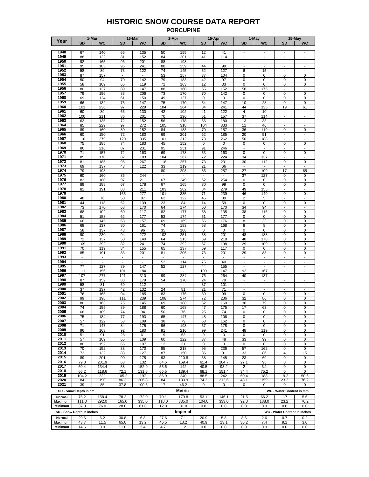#### **HISTORIC SNOW COURSE DATA REPORT PORCUPINE**

|                | 1-Mar<br>15-Mar           |                          |                          |                          |                          | 1-Apr           |                          | 15-Apr                   |                          | 1-May                    |                              | 15-May                   |
|----------------|---------------------------|--------------------------|--------------------------|--------------------------|--------------------------|-----------------|--------------------------|--------------------------|--------------------------|--------------------------|------------------------------|--------------------------|
| Year           | <b>SD</b>                 | <b>WC</b>                | <b>SD</b>                | <b>WC</b>                | <b>SD</b>                | <b>WC</b>       | <b>SD</b>                | <b>WC</b>                | <b>SD</b>                | <b>WC</b>                | <b>SD</b>                    | <b>WC</b>                |
|                |                           |                          |                          |                          |                          |                 |                          |                          |                          |                          |                              |                          |
| 1948           | 67                        | 140                      | 65                       | 135                      | 50                       | 155             | 12                       | 41                       | $\mathbf{r}$             |                          | $\sim$                       |                          |
| 1949           | 88                        | 122                      | 81                       | 152                      | 84                       | 201             | 41                       | 114                      | $\overline{\phantom{a}}$ | $\blacksquare$           | $\overline{\phantom{a}}$     | $\overline{\phantom{a}}$ |
| 1950           | 92                        | 165                      | 96                       | 201                      | 88                       | 198             |                          | $\overline{\phantom{a}}$ | $\mathbf{r}$             | ÷,                       | $\sim$                       | $\mathbf{r}$             |
| 1951           | 95                        | 185                      | 96                       | 241                      | 88                       | 259             | 44                       | 99                       | $\overline{\phantom{a}}$ | $\blacksquare$           | $\blacksquare$               | $\overline{\phantom{a}}$ |
| 1952           | 58                        | 89                       | 73                       | 122                      | 74                       | 145             | 52                       | 127                      | 6                        | 15                       | $\sim$                       |                          |
| 1953           |                           |                          |                          |                          |                          |                 |                          |                          |                          |                          |                              |                          |
|                | 87                        | 157                      | $\blacksquare$           | $\blacksquare$           | 53                       | 157             | 37                       | 104                      | 0                        | 0                        | 0                            | 0                        |
| 1954           | 50                        | 94                       | 70                       | 142                      | 79                       | 183             | 42                       | 97                       | 0                        | 0                        | 0                            | 0                        |
| 1955           | 58                        | 109                      | 65                       | 119                      | 71                       | 163             | 12                       | 33                       | 0                        | 0                        | 0                            | 0                        |
| 1956           | 80                        | 137                      | 89                       | 147                      | 88                       | 160             | 55                       | 152                      | 58                       | 175                      | ÷,                           |                          |
| 1957           | 79                        | 196                      | 83                       | 206                      | 73                       | 170             | 70                       | 142                      | 0                        | 0                        | 0                            | 0                        |
| 1958           | 69                        | 124                      | 61                       | 150                      | 49                       | 127             | 0                        | 0                        | 0                        | 0                        | 0                            | 0                        |
| 1959           | 66                        | 132                      | 75                       | 147                      | 75                       | 170             | 54                       | 147                      | 10                       | 28                       | 0                            | 0                        |
| 1960           | 101                       | 236                      | 97                       | 229                      | 104                      | 264             | 84                       | 241                      | 44                       | 135                      | 19                           | 61                       |
| 1961           | 60                        | 89                       | 66                       | 130                      | 42                       | 102             | 41                       | 122                      | $\overline{4}$           | 10                       | $\overline{\phantom{a}}$     | $\mathbf{r}$             |
| 1962           | 100                       | 211                      | 86                       | 201                      | 70                       | 196             | 51                       | 157                      | 37                       | 114                      | ÷.                           | $\frac{1}{2}$            |
| 1963           | 63                        | 135                      | 72                       | 152                      | 56                       | 178             | 65                       | 180                      | 13                       | 33                       | $\overline{\phantom{a}}$     | $\sim$                   |
| 1964           | 85                        | 229                      | 97                       | 272                      | 105                      | 318             | 104                      | 333                      | 11                       | 46                       | ÷,                           | $\frac{1}{2}$            |
| 1965           | 89                        | 160                      | 80                       | 152                      | 84                       | 183             | 70                       | 157                      | 36                       | 119                      | 0                            | 0                        |
| 1966           |                           |                          |                          |                          |                          |                 |                          |                          |                          |                          |                              |                          |
|                | 60                        | 150                      | 72                       | 180                      | 69                       | 201             | 62                       | 185                      | 20                       | 51                       | $\overline{\phantom{a}}$     |                          |
| 1967           | 110                       | 279                      | 120                      | 335                      | 101                      | 312             | 73                       | 262                      | 50                       | 188                      | $\overline{\phantom{a}}$     | $\overline{\phantom{a}}$ |
| 1968           | 75                        | 185                      | 74                       | 183                      | 45                       | 152             | 0                        | 0                        | 0                        | 0                        | 0                            | 0                        |
| 1969           | 86                        | 216                      | 87                       | 231                      | 95                       | 251             | 91                       | 246                      | $\overline{\phantom{a}}$ | $\overline{\phantom{a}}$ | $\blacksquare$               |                          |
| 1970           | 71                        | 157                      | 72                       | 163                      | 69                       | 173             | 53                       | 163                      | 0                        | 0                        | 0                            | 0                        |
| 1971           | 85                        | 170                      | 82                       | 183                      | 104                      | 267             | 72                       | 224                      | 34                       | 137                      | $\blacksquare$               | $\overline{\phantom{a}}$ |
| 1972           | 81                        | 185                      | 95                       | 267                      | 118                      | 257             | 73                       | 231                      | 30                       | 112                      | 0                            | 0                        |
| 1973           | 69                        | 137                      | 43                       | 122                      | 33                       | 119             | 21                       | 66                       | $\blacksquare$           | $\overline{\phantom{a}}$ | $\sim$                       |                          |
| 1974           | 79                        | 198                      | $\overline{\phantom{a}}$ |                          | 80                       | 208             | 86                       | 257                      | 27                       | 109                      | 17                           | 65                       |
| 1975           | 60                        | 160                      | 86                       | 244                      | $\sim$                   | $\sim$          | $\overline{\phantom{a}}$ | $\blacksquare$           | 37                       | 127                      | 0                            | 0                        |
| 1976           | 82                        | 180                      | 97                       | 211                      | 67                       | 249             | 62                       | 254                      | 0                        | 0                        | 0                            | 0                        |
| 1977           | 89                        | 188                      | 67                       | 178                      | 67                       | 165             | 30                       | 99                       | 0                        | 0                        | 0                            | 0                        |
| 1978           | 81                        | 191                      | 88                       | 211                      | 103                      | 282             | 84                       | 279                      | 49                       | 155                      | $\overline{\phantom{a}}$     | $\overline{\phantom{a}}$ |
| 1979           |                           | $\overline{\phantom{a}}$ | 165                      | 277                      | 101                      | 335             | 71                       | 239                      | 46                       | 149                      | 0                            | 0                        |
| 1980           | 48                        | 76                       | 50                       | 87                       | 62                       | 122             | 45                       | 89                       | 2                        | 5                        | $\overline{\phantom{a}}$     | $\overline{\phantom{a}}$ |
| 1981           | 44                        | 118                      | 52                       | 139                      | 23                       | 84              | 14                       | 59                       | 0                        | 0                        | 0                            | 0                        |
| 1982           | 73                        |                          |                          | 170                      | 64                       | 174             |                          |                          | 34                       | 94                       | $\overline{\phantom{a}}$     | $\overline{a}$           |
| 1983           |                           | 170                      | 68                       |                          |                          |                 | 50                       | 170                      |                          |                          |                              |                          |
|                | 68                        | 102                      | 60                       | 117                      | 82                       | 177             | 58                       | 135                      | 38                       | 116                      | 0                            | 0                        |
| 1984           | 51                        | 158                      | 62                       | 177                      | 53                       | 174             | 51                       | 177                      | 0                        | 0                        | 0                            | 0                        |
| 1985           | 66                        | 145                      | 68                       | 157                      | 69                       | 169             | 66                       | 176                      | 8                        | 33                       | 0                            | 0                        |
| 1986           | 68                        | 137                      | 80                       | 161                      | 74                       | 183             | 58                       | 168                      | 8                        | 8                        | 0                            | 0                        |
| 1987           | 58                        | 137                      | 43                       | 96                       | 35                       | 108             | 0                        | 0                        | 0                        | $\mathbf 0$              | 0                            | 0                        |
| 1988           | 90                        | 230                      | 94                       | 272                      | 102                      | 251             | 58                       | 201                      | 48                       | 188                      | 0                            | 0                        |
| 1989           | 72                        | 137                      | 50                       | 140                      | 64                       | 213             | 69                       | 218                      | 48                       | 178                      | 0                            | 0                        |
| 1990           | 109                       | 292                      | 82                       | 241                      | 74                       | 292             | 57                       | 198                      | 29                       | 109                      | 0                            | 0                        |
| 1991           | 70                        | 119                      | 84                       | 155                      | 65                       | 137             | 59                       | 117                      | 0                        | 0                        | 0                            | 0                        |
| 1992           | 85                        | 191                      | 83                       | 201                      | 81                       | 206             | 73                       | 201                      | 29                       | 83                       | 0                            | 0                        |
| 1993           | $\overline{\phantom{a}}$  | $\overline{\phantom{a}}$ | ٠                        | $\overline{\phantom{a}}$ | $\blacksquare$           |                 |                          | $\blacksquare$           | $\overline{\phantom{a}}$ | $\overline{\phantom{a}}$ | $\overline{\phantom{a}}$     |                          |
| 1994           | $\blacksquare$            | $\sim$                   | $\sim$                   | $\sim$                   | 52                       | 114             | 75                       | 40                       | $\blacksquare$           | $\blacksquare$           | $\overline{\phantom{a}}$     | $\blacksquare$           |
| 1995           | 77                        | 127                      | 89                       | 147                      | 52                       | 127             | 44                       | 155                      | $\overline{\phantom{a}}$ | $\overline{\phantom{a}}$ | $\overline{\phantom{a}}$     | ۰                        |
| 1996           | 111                       | 156                      | 101                      | 184                      | $\sim$                   | $\sim$          | 100                      | 147                      | 92                       | 167                      | $\sim$                       | $\mathbf{r}$             |
| 1997           | 107                       | 277                      | 121                      | 310                      | 99                       | 284             | 76                       | 264                      | 40                       | 137                      | $\blacksquare$               | $\overline{\phantom{a}}$ |
| 1998           | 87                        | 152                      | 88                       | 179                      | 54                       | 170             | 24                       | 79                       | $\overline{\phantom{a}}$ | $\sim$                   | $\sim$                       | $\mathbf{r}$             |
| 1999           | 58                        | 81                       | 69                       | 112                      | $\overline{\phantom{a}}$ | $\blacksquare$  | 37                       | 101                      | $\overline{\phantom{a}}$ | $\overline{\phantom{a}}$ | $\overline{\phantom{a}}$     | $\overline{\phantom{a}}$ |
| 2000           | 37                        | 137                      | 42                       | 132                      | 24                       | 81              | 21                       | 71                       | $\sim$                   | ÷,                       | ÷,                           |                          |
| 2001           | 76                        | 165                      | 94                       | 185                      | 83                       | 175             | 39                       | 99                       | 0                        | 0                        | 0                            | 0                        |
| 2002           |                           |                          |                          |                          |                          |                 |                          |                          |                          |                          |                              |                          |
|                | 99                        | 198                      | 111                      | 239                      | 108                      | 274             | 72                       | 236                      | 32                       | 86                       | 0                            | 0                        |
| 2003           | 80                        | 163                      | 75                       | 145                      | 69                       | 188             | 52                       | 160                      | 30                       | 79                       | 0                            | 0                        |
| 2004           | 74                        | 155                      | 89                       | 188                      | 60                       | 168             | 47                       | 175                      | 17                       | 63                       | 0                            | 0                        |
| 2005           | 66                        | 109                      | 74                       | 94                       | 50                       | 76              | 25                       | 74                       | 0                        | 0                        | 0                            | 0                        |
| 2006           | 75                        | 184                      | 77                       | 193                      | 65                       | 147             | 48                       | 106                      | 0                        | 0                        | 0                            | 0                        |
| 2007           | 57                        | 122                      | 53                       | 109                      | 38                       | 79              | 53                       | 162                      | 0                        | 0                        | 0                            | 0                        |
| 2008           | 71                        | 147                      | 84                       | 175                      | 96                       | 193             | 67                       | 178                      | 0                        | 0                        | $\mathbf 0$                  | 0                        |
| 2009           | 96                        | 163                      | 92                       | 180                      | 91                       | 216             | 99                       | 241                      | 48                       | 119                      | 0                            | 0                        |
| 2010           | 51                        | 91                       | 28                       | 61                       | 19                       | 53              | 0                        | 0                        | 0                        | 0                        | 0                            | 0                        |
| 2011           | 57                        | 109                      | 65                       | 109                      | 60                       | 122             | 37                       | 48                       | 33                       | 99                       | 0                            | 0                        |
| 2012           | 80                        | 152                      | 65                       | 107                      | 12                       | 31              | 0                        | $\mathbf 0$              | 0                        | 0                        | 0                            | 0                        |
| 2013           | 70                        | 152                      | 88                       | 170                      | 85                       | 218             | 95                       | 236                      | 57                       | 162                      | 0                            | 0                        |
| 2014           | 72                        | 132                      | 83                       | 127                      | 87                       | 150             | 86                       | 91                       | 33                       | 86                       | 4                            | 15                       |
| 2015           | 89                        | 201                      | 90                       | 175                      | 93                       | 210.8           | 68                       | 145                      | 23                       | 69                       | 0                            | 0                        |
| 2016           | 79.8                      | 201.9                    | 63                       | 132                      | 64.5                     | 169.4           | 61.4                     | 204.7                    | 27.1                     | 95                       | 0                            | 0                        |
| 2017           | 60.4                      | 134.4                    | 58                       | 152.9                    | 55.6                     | 142             | 40.5                     | 93.2                     | 2                        | 3.1                      | 0                            | 0                        |
| 2018           | 66.2                      | 118.6                    | 72.1                     | 131.6                    | 66.5                     | 139.4           | 68.1                     | 151.4                    | 34.4                     | 75.2                     | 0                            | 0                        |
| 2019           | 104.2                     | 222                      | 105.2                    | 197                      | 86.9                     | 240             | 88.5                     | 242                      | 60.4                     | 188                      | 19.2                         | 50.6                     |
| 2020           | 84                        | 190                      | 86.3                     | 206.8                    | 84                       | 180.9           | 74.3                     | 212.6                    | 48.1                     | 159                      | 23.2                         | 76.2                     |
| 2021           | 39                        | 85                       | 37.8                     | 100.6                    | 17                       | 46.2            | 0                        | 0                        | 0                        | $\mathbf 0$              | 0                            | 0                        |
|                |                           |                          |                          |                          |                          |                 |                          |                          |                          |                          |                              |                          |
|                | SD - Snow Depth in cm     |                          |                          |                          |                          | Metric          |                          |                          |                          |                          | WC - Water Content in mm     |                          |
| Normal         | 75.2                      | 158.4                    | 78.2                     | 172.0                    | 70.1                     | 179.8           | 53.1                     | 146.1                    | 21.5                     | 66.2                     | 1.7                          | 5.6                      |
| <b>Maximum</b> | 111.0                     | 292.0                    | 165.0                    | 335.0                    | 118.0                    | 335.0           | 104.0                    | 333.0                    | 92.0                     | 188.0                    | 23.2                         | 76.2                     |
| Minimum        | 37.0                      | 76.0                     | 28.0                     | 61.0                     | 12.0                     | 31.0            | 0.0                      | 0.0                      | 0.0                      | 0.0                      | 0.0                          | 0.0                      |
|                |                           |                          |                          |                          |                          |                 |                          |                          |                          |                          |                              |                          |
|                | SD - Snow Depth in inches |                          |                          |                          |                          | <b>Imperial</b> |                          |                          |                          |                          | WC - Water Content in inches |                          |
| Normal         | 29.6                      | 6.2                      | 30.8                     | 6.8                      | 27.6                     | 7.1             | 20.9                     | 5.8                      | 8.5                      | 2.6                      | 0.7                          | 0.2                      |
| Maximum        | 43.7                      | 11.5                     | 65.0                     | 13.2                     | 46.5                     | 13.2            | 40.9                     | 13.1                     | 36.2                     | 7.4                      | 9.1                          | 3.0                      |
| <b>Minimum</b> | 14.6                      | 3.0                      | 11.0                     | 2.4                      | 4.7                      | 1.2             | 0.0                      | 0.0                      | 0.0                      | 0.0                      | 0.0                          | 0.0                      |
|                |                           |                          |                          |                          |                          |                 |                          |                          |                          |                          |                              |                          |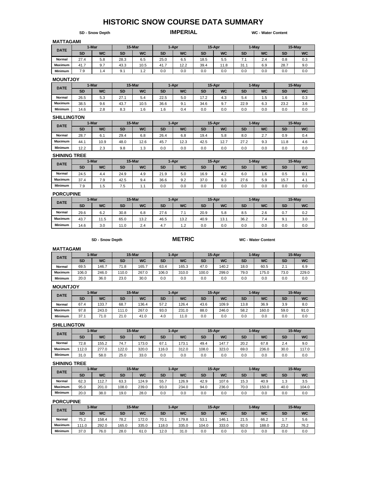# **HISTORIC SNOW COURSE DATA SUMMARY**

**SD - Snow Depth IMPERIAL WC - Water Content** 

#### **MATTAGAMI**

| <b>DATE</b>    |           | 1-Mar     |      | 15-Mar    |           | 1-Apr     |           | 15-Apr    |           | 1-May     |      | 15-May    |  |  |
|----------------|-----------|-----------|------|-----------|-----------|-----------|-----------|-----------|-----------|-----------|------|-----------|--|--|
|                | <b>SD</b> | <b>WC</b> | SD   | <b>WC</b> | <b>SD</b> | <b>WC</b> | <b>SD</b> | <b>WC</b> | <b>SD</b> | <b>WC</b> | SD   | <b>WC</b> |  |  |
| Normal         | 27.4      | 5.8       | 28.3 | 6.5       | 25.0      | 6.5       | 18.5      | 5.5       | $\cdot$ . | 2.4       | 0.8  | 0.3       |  |  |
| <b>Maximum</b> | 41.7      | 9.7       | 43.3 | 10.5      | 41.7      | 12.2      | 39.4      | 11.8      | 31.1      | 6.9       | 28.7 | 9.0       |  |  |
| <b>Minimum</b> | 7.9       | 1.4       | 9.1  | 1.2       | 0.0       | 0.0       | 0.0       | 0.0       | 0.0       | 0.0       | 0.0  | 0.0       |  |  |

#### **MOUNTJOY**

| <b>DATE</b>    |           | 1-Mar     |      | 15-Mar    |           | 1-Apr     |           | 15-Apr    |           | 1-May     |           | 15-May    |
|----------------|-----------|-----------|------|-----------|-----------|-----------|-----------|-----------|-----------|-----------|-----------|-----------|
|                | <b>SD</b> | <b>WC</b> | SD   | <b>WC</b> | <b>SD</b> | <b>WC</b> | <b>SD</b> | <b>WC</b> | <b>SD</b> | <b>WC</b> | <b>SD</b> | <b>WC</b> |
| Normal         | 26.5      | 5.3       | 27.1 | 5.4       | 22.5      | 5.0       | 17.2      | 4.3       | 5.4       | ں.ו       | 1.6       | 0.3       |
| <b>Maximum</b> | 38.5      | 9.6       | 43.7 | 10.5      | 36.6      | 9.1       | 34.6      | 9.7       | 22.9      | 6.3       | 23.2      | 3.6       |
| <b>Minimum</b> | 14.6      | 2.8       | 8.3  | 1.6       | 1.6       | 0.4       | 0.0       | 0.0       | 0.0       | 0.0       | 0.0       | 0.0       |

#### **SHILLINGTON**

| <b>DATE</b>    |           | 1-Mar     |      | 15-Mar    |           | 1-Apr     |           | 15-Apr    |           | 1-May            |           | 15-May    |
|----------------|-----------|-----------|------|-----------|-----------|-----------|-----------|-----------|-----------|------------------|-----------|-----------|
|                | <b>SD</b> | <b>WC</b> | SD   | <b>WC</b> | <b>SD</b> | <b>WC</b> | <b>SD</b> | <b>WC</b> | <b>SD</b> | <b>WC</b>        | <b>SD</b> | <b>WC</b> |
| Normal         | 28.7      | 6.1       | 29.4 | 6.8       | 26.4      | 6.8       | 19.4      | 5.8       | 8.0       | $\sim$ $-$<br>۷. | 0.9       | 0.4       |
| <b>Maximum</b> | 44.1      | 10.9      | 48.0 | 12.6      | 45.7      | 12.3      | 42.5      | 12.7      | 27.2      | 9.3              | 1.8       | 4.6       |
| <b>Minimum</b> | 12.2      | 2.3       | 9.8  | 1.3       | 0.0       | 0.0       | 0.0       | 0.0       | 0.0       | 0.0              | 0.0       | 0.0       |

#### **SHINING TREE**

| <b>DATE</b>    |           | 1-Mar     |           | 15-Mar    |           | 1-Apr     |           | 15-Apr    |           | 1-May     |           | 15-May    |
|----------------|-----------|-----------|-----------|-----------|-----------|-----------|-----------|-----------|-----------|-----------|-----------|-----------|
|                | <b>SD</b> | <b>WC</b> | <b>SD</b> | <b>WC</b> | <b>SD</b> | <b>WC</b> | <b>SD</b> | <b>WC</b> | <b>SD</b> | <b>WC</b> | <b>SD</b> | <b>WC</b> |
| Normal         | 24.5      | 4.4       | 24.9      | 4.9       | 21.9      | 5.0       | 16.9      | 4.2       | 6.0       | 1.6       | 0.5       | 0.1       |
| <b>Maximum</b> | 37.4      | 7.9       | 42.5      | 9.4       | 36.6      | 9.2       | 37.0      | 9.3       | 27.6      | 5.9       | 15.7      | 4.1       |
| <b>Minimum</b> | 7.9       | -<br>1.5  | 7.5       | L I       | 0.0       | 0.0       | 0.0       | 0.0       | 0.0       | 0.0       | 0.0       | 0.0       |

#### **PORCUPINE**

|                | - - - - - - - - - - - |           |           |           |           |           |           |           |           |           |     |           |  |  |
|----------------|-----------------------|-----------|-----------|-----------|-----------|-----------|-----------|-----------|-----------|-----------|-----|-----------|--|--|
| <b>DATE</b>    |                       | 1-Mar     |           | 15-Mar    |           | 1-Apr     |           | 15-Apr    |           | 1-May     |     | 15-May    |  |  |
|                | <b>SD</b>             | <b>WC</b> | <b>SD</b> | <b>WC</b> | <b>SD</b> | <b>WC</b> | <b>SD</b> | <b>WC</b> | <b>SD</b> | <b>WC</b> | SD  | <b>WC</b> |  |  |
| Normal         | 29.6                  | 6.2       | 30.8      | 6.8       | 27.6      | 7.1       | 20.9      | 5.8       | 8.5       | 2.6       | 0.7 | 0.2       |  |  |
| <b>Maximum</b> | 43.7                  | 11.5      | 65.0      | 13.2      | 46.5      | 13.2      | 40.9      | 13.1      | 36.2      | 7.4       | 9.1 | 3.0       |  |  |
| <b>Minimum</b> | 14.6                  | 3.0       | 11.0      | 2.4       | 4.7       | 1.2       | 0.0       | 0.0       | 0.0       | 0.0       | 0.0 | 0.0       |  |  |

**SD - Snow Depth METRIC WC - Water Content**

#### **MATTAGAMI**

| <b>DATE</b>    | 1-Mar     |           | 15-Mar |           | 1-Apr     |           | 15-Apr    |           | 1-May     |           | 15-Mav       |                 |
|----------------|-----------|-----------|--------|-----------|-----------|-----------|-----------|-----------|-----------|-----------|--------------|-----------------|
|                | <b>SD</b> | <b>WC</b> | SD     | <b>WC</b> | <b>SD</b> | <b>WC</b> | <b>SD</b> | <b>WC</b> | <b>SD</b> | <b>WC</b> | <b>SD</b>    | <b>WC</b>       |
| Normal         | 69.5      | 146.7     | 71.8   | 165.7     | 63.4      | 165.3     | 47.0      | 140.2     | 18.0      | 60.5      | $\sim$<br>۷. | 6.9             |
| <b>Maximum</b> | 106.0     | 246.0     | 110.0  | 267.0     | 106.0     | 310.0     | 100.0     | 299.0     | 79.0      | 175.0     | 73.0         | 229.0           |
| Minimum        | 20.0      | 36.0      | 23.0   | 30.0      | 0.0       | 0.0       | 0.0       | 0.0       | 0.0       | 0.0       | 0.0          | 0. <sub>C</sub> |

#### **MOUNTJOY**

| <b>DATE</b>    | 1-Mar     |                       | 15-Mar    |           | 1-Apr     |           | 15-Apr    |           | 1-May     |           | 15-May |           |
|----------------|-----------|-----------------------|-----------|-----------|-----------|-----------|-----------|-----------|-----------|-----------|--------|-----------|
|                | <b>SD</b> | <b>WC</b>             | <b>SD</b> | <b>WC</b> | <b>SD</b> | <b>WC</b> | <b>SD</b> | <b>WC</b> | <b>SD</b> | <b>WC</b> | SD     | <b>WC</b> |
| Normal         | 67.4      | 133.7                 | 68.7      | 136.4     | 57.2      | 126.4     | 43.6      | 109.9     | 13.8      | 36.9      | 3.9    | 8.0       |
| <b>Maximum</b> | 97.8      | 243.0                 | 111.0     | 267.0     | 93.0      | 231.0     | 88.0      | 246.0     | 58.2      | 160.0     | 59.0   | 91.0      |
| <b>Minimum</b> | 37.1      | 71<br>$^{\prime}$ 1.0 | 21.0      | 41.0      | 4.0       | 11.0      | 0.0       | 0.0       | 0.0       | 0.0       | 0.0    | 0.0       |

#### **SHILLINGTON**

| <b>DATE</b>    | 1-Mar     |           | 15-Mar    |           | 1-Apr     |           | 15-Apr    |           | 1-Mav     |           | 15-May    |           |
|----------------|-----------|-----------|-----------|-----------|-----------|-----------|-----------|-----------|-----------|-----------|-----------|-----------|
|                | <b>SD</b> | <b>WC</b> | <b>SD</b> | <b>WC</b> | <b>SD</b> | <b>WC</b> | <b>SD</b> | <b>WC</b> | <b>SD</b> | <b>WC</b> | <b>SD</b> | <b>WC</b> |
| Normal         | 72.8      | 155.2     | 74.7      | 173.0     | 67.1      | 173.1     | 49.4      | 147.7     | 20.2      | 67.8      | 2.4       | 9.0       |
| <b>Maximum</b> | 112.0     | 277.0     | 122.0     | 320.0     | 16.0      | 312.0     | 108.0     | 323.0     | 69.0      | 236.0     | 30.0      | 117.0     |
| <b>Minimum</b> | 31.0      | 58.0      | 25.0      | 33.0      | 0.0       | 0.0       | 0.0       | 0.0       | 0.0       | 0.0       | 0.0       | 0.0       |

#### **SHINING TREE**

| <b>DATE</b>    | 1-Mar     |           | 15-Mar    |           | 1-Apr     |           | 15-Apr    |           | 1-May     |           | 15-May |           |
|----------------|-----------|-----------|-----------|-----------|-----------|-----------|-----------|-----------|-----------|-----------|--------|-----------|
|                | <b>SD</b> | <b>WC</b> | <b>SD</b> | <b>WC</b> | <b>SD</b> | <b>WC</b> | <b>SD</b> | <b>WC</b> | <b>SD</b> | <b>WC</b> | SD     | <b>WC</b> |
| Normal         | 62.3      | 112.7     | 63.3      | 124.9     | 55.7      | 26.9      | 42.9      | 107.6     | 15.3      | 40.9      | 1.3    | 3.5       |
| <b>Maximum</b> | 95.0      | 201.0     | 108.0     | 239.0     | 93.0      | 234.0     | 94.0      | 236.0     | 70.0      | 150.0     | 40.0   | 104.0     |
| <b>Minimum</b> | 20.0      | 38.0      | 19.0      | 28.0      | 0.0       | 0.0       | 0.0       | 0.0       | 0.0       | 0.0       | 0.0    | 0.0       |

#### **PORCUPINE**

| <b>DATE</b>    | 1-Mar     |           | 15-Mar |           | 1-Apr     |           | 15-Apr |           | 1-Mav     |           | 15-May |           |
|----------------|-----------|-----------|--------|-----------|-----------|-----------|--------|-----------|-----------|-----------|--------|-----------|
|                | <b>SD</b> | <b>WC</b> | SD     | <b>WC</b> | <b>SD</b> | <b>WC</b> | SD     | <b>WC</b> | <b>SD</b> | <b>WC</b> | SD     | <b>WC</b> |
| Normal         | 75.2      | 158.4     | 78.2   | 172.0     | 70.1      | 79.8      | 53.1   | 146.      | 21.5      | 66.2      | .      | 5.6       |
| <b>Maximum</b> | 111.0     | 292.0     | 165.0  | 335.0     | 18.0      | 335.0     | 104.0  | 333.0     | 92.0      | 188.0     | 23.2   | 76.2      |
| <b>Minimum</b> | 37.0      | 76.0      | 28.0   | 61.0      | 12.0      | 31.0      | 0.0    | 0.0       | 0.0       | 0.0       | 0.C    | 0.0       |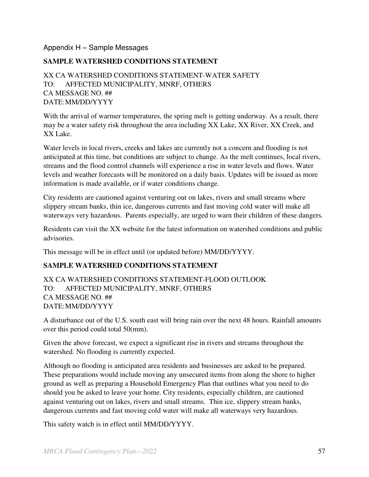#### Appendix H – Sample Messages

#### **SAMPLE WATERSHED CONDITIONS STATEMENT**

XX CA WATERSHED CONDITIONS STATEMENT-WATER SAFETY TO: AFFECTED MUNICIPALITY, MNRF, OTHERS CA MESSAGE NO. ## DATE: MM/DD/YYYY

With the arrival of warmer temperatures, the spring melt is getting underway. As a result, there may be a water safety risk throughout the area including XX Lake, XX River, XX Creek, and XX Lake.

Water levels in local rivers, creeks and lakes are currently not a concern and flooding is not anticipated at this time, but conditions are subject to change. As the melt continues, local rivers, streams and the flood control channels will experience a rise in water levels and flows. Water levels and weather forecasts will be monitored on a daily basis. Updates will be issued as more information is made available, or if water conditions change.

City residents are cautioned against venturing out on lakes, rivers and small streams where slippery stream banks, thin ice, dangerous currents and fast moving cold water will make all waterways very hazardous. Parents especially, are urged to warn their children of these dangers.

Residents can visit the XX website for the latest information on watershed conditions and public advisories.

This message will be in effect until (or updated before) MM/DD/YYYY.

#### **SAMPLE WATERSHED CONDITIONS STATEMENT**

#### XX CA WATERSHED CONDITIONS STATEMENT-FLOOD OUTLOOK TO: AFFECTED MUNICIPALITY, MNRF, OTHERS CA MESSAGE NO. ## DATE: MM/DD/YYYY

A disturbance out of the U.S. south east will bring rain over the next 48 hours. Rainfall amounts over this period could total 50(mm).

Given the above forecast, we expect a significant rise in rivers and streams throughout the watershed. No flooding is currently expected.

Although no flooding is anticipated area residents and businesses are asked to be prepared. These preparations would include moving any unsecured items from along the shore to higher ground as well as preparing a Household Emergency Plan that outlines what you need to do should you be asked to leave your home. City residents, especially children, are cautioned against venturing out on lakes, rivers and small streams. Thin ice, slippery stream banks, dangerous currents and fast moving cold water will make all waterways very hazardous.

This safety watch is in effect until MM/DD/YYYY.